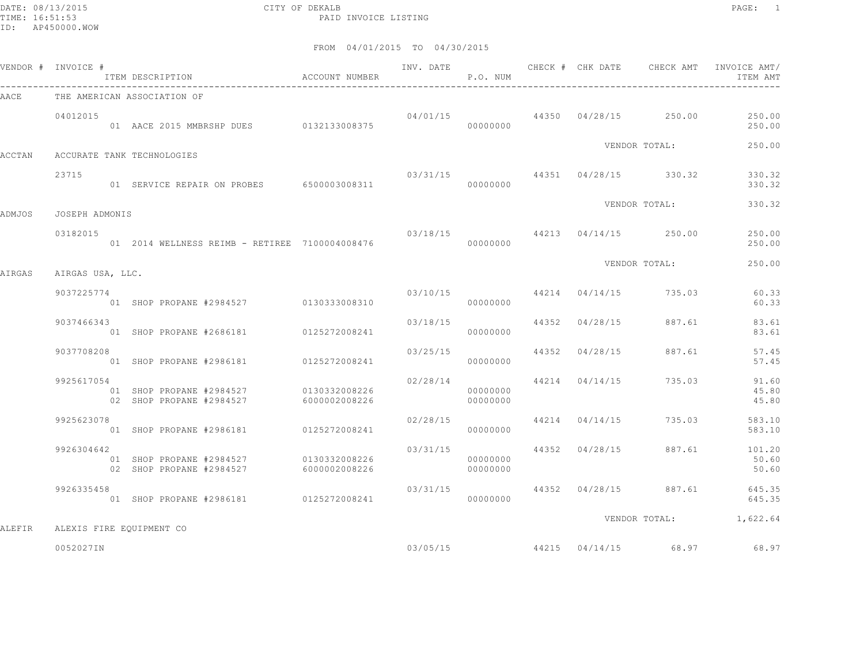DATE: 08/13/2015 CITY OF DEKALB PAGE: 1 PAID INVOICE LISTING

|        | VENDOR # INVOICE # | ITEM DESCRIPTION<br>$\hfill$<br>ACCOUNT NUMBER                     |               |                         | P.O. NUM             |                |                                        | ITEM AMT                               |
|--------|--------------------|--------------------------------------------------------------------|---------------|-------------------------|----------------------|----------------|----------------------------------------|----------------------------------------|
| AACE   |                    | THE AMERICAN ASSOCIATION OF                                        |               |                         |                      |                |                                        |                                        |
|        | 04012015           |                                                                    |               |                         |                      |                | $04/01/15$ 44350 $04/28/15$ 250.00     | 250.00<br>250.00                       |
| ACCTAN |                    | ACCURATE TANK TECHNOLOGIES                                         |               |                         |                      |                | VENDOR TOTAL:                          | 250.00                                 |
|        | 23715              | 01 SERVICE REPAIR ON PROBES 6500003008311                          |               |                         | 00000000             |                | $03/31/15$ $44351$ $04/28/15$ $330.32$ | 330.32<br>330.32                       |
| ADMJOS | JOSEPH ADMONIS     |                                                                    |               |                         |                      |                | VENDOR TOTAL:                          | 330.32                                 |
|        | 03182015           | 01  2014  WELLNESS REIMB - RETIREE  7100004008476                  |               |                         | 00000000             |                | 03/18/15 44213 04/14/15 250.00         | 250.00<br>250.00                       |
| AIRGAS | AIRGAS USA, LLC.   |                                                                    |               |                         |                      |                | VENDOR TOTAL:                          | 250.00                                 |
|        | 9037225774         | 01 SHOP PROPANE #2984527 0130333008310                             |               |                         | 00000000             |                | $03/10/15$ $44214$ $04/14/15$ $735.03$ | 60.33<br>60.33                         |
|        | 9037466343         | 01 SHOP PROPANE #2686181 0125272008241                             |               | 03/18/15                | 00000000             | 44352 04/28/15 | 887.61                                 | 83.61<br>83.61                         |
|        | 9037708208         | 01 SHOP PROPANE #2986181 0125272008241                             |               | 03/25/15 44352 04/28/15 | 00000000             |                | 887.61                                 | 57.45<br>57.45                         |
|        | 9925617054         | 01 SHOP PROPANE #2984527 0130332008226<br>02 SHOP PROPANE #2984527 | 6000002008226 | 02/28/14                | 00000000<br>00000000 | 44214 04/14/15 | 735.03                                 | 91.60<br>45.80<br>45.80                |
|        | 9925623078         | 01 SHOP PROPANE #2986181 0125272008241                             |               | 02/28/15                | 00000000             |                | 44214 04/14/15 735.03                  | 583.10<br>583.10                       |
|        | 9926304642         | 01 SHOP PROPANE #2984527<br>02 SHOP PROPANE #2984527 6000002008226 | 0130332008226 | 03/31/15                | 00000000<br>00000000 |                | 44352 04/28/15 887.61                  | 101.20<br>50.60<br>50.60               |
|        | 9926335458         | 01 SHOP PROPANE #2986181 0125272008241                             |               | 03/31/15                | 00000000             |                |                                        | 44352 04/28/15 887.61 645.35<br>645.35 |
| ALEFIR |                    | ALEXIS FIRE EQUIPMENT CO                                           |               |                         |                      |                |                                        | VENDOR TOTAL: 1,622.64                 |
|        | 0052027IN          |                                                                    |               | 03/05/15                |                      |                | 44215 04/14/15 68.97                   | 68.97                                  |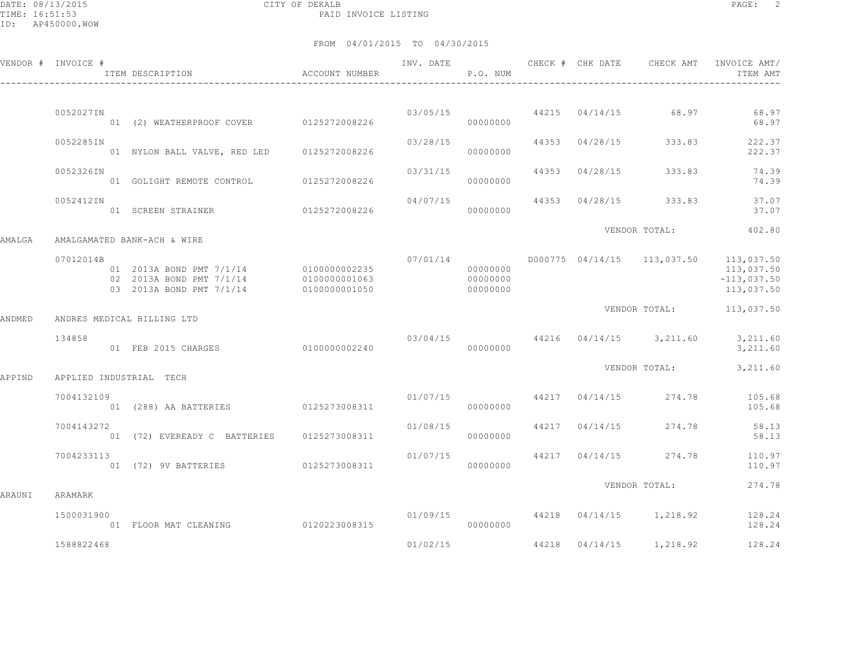DATE: 08/13/2015 CITY OF DEKALB PAGE: 2 PAID INVOICE LISTING

|        | VENDOR # INVOICE #      | ITEM DESCRIPTION<br>$\hfill$<br>ACCOUNT NUMBER                                                 |                                | INV. DATE | P.O. NUM                         |                | CHECK # CHK DATE CHECK AMT         | INVOICE AMT/<br>ITEM AMT                                                            |
|--------|-------------------------|------------------------------------------------------------------------------------------------|--------------------------------|-----------|----------------------------------|----------------|------------------------------------|-------------------------------------------------------------------------------------|
|        |                         |                                                                                                |                                |           |                                  |                |                                    |                                                                                     |
|        | 0052027IN               | 01 (2) WEATHERPROOF COVER 0125272008226                                                        |                                |           | 00000000                         |                | $03/05/15$ 44215 $04/14/15$ 68.97  | 68.97<br>68.97                                                                      |
|        | 0052285IN               | 01 NYLON BALL VALVE, RED LED 0125272008226                                                     |                                | 03/28/15  | 00000000                         | 44353 04/28/15 | 333.83                             | 222.37<br>222.37                                                                    |
|        | 0052326IN               | 01 GOLIGHT REMOTE CONTROL 0125272008226                                                        |                                | 03/31/15  | 00000000                         | 44353 04/28/15 | 333.83                             | 74.39<br>74.39                                                                      |
|        | 0052412IN               | 01 SCREEN STRAINER                                                                             | 0125272008226                  | 04/07/15  | 00000000                         |                | 44353 04/28/15 333.83              | 37.07<br>37.07                                                                      |
| AMALGA |                         | AMALGAMATED BANK-ACH & WIRE                                                                    |                                |           |                                  |                | VENDOR TOTAL:                      | 402.80                                                                              |
|        | 07012014B               | 01 2013A BOND PMT 7/1/14 0100000002235<br>02 2013A BOND PMT 7/1/14<br>03 2013A BOND PMT 7/1/14 | 0100000001063<br>0100000001050 | 07/01/14  | 00000000<br>00000000<br>00000000 |                |                                    | D000775 04/14/15 113,037.50 113,037.50<br>113,037.50<br>$-113,037.50$<br>113,037.50 |
| ANDMED |                         | ANDRES MEDICAL BILLING LTD                                                                     |                                |           |                                  |                |                                    | VENDOR TOTAL: 113,037.50                                                            |
|        | 134858                  | 01 FEB 2015 CHARGES                                                                            | 0100000002240                  |           | 00000000                         |                | $03/04/15$ 44216 04/14/15 3,211.60 | 3,211.60<br>3,211.60                                                                |
| APPIND | APPLIED INDUSTRIAL TECH |                                                                                                |                                |           |                                  |                | VENDOR TOTAL:                      | 3,211.60                                                                            |
|        | 7004132109              | 01 (288) AA BATTERIES 0125273008311                                                            |                                |           | 01/07/15<br>00000000             |                | 44217 04/14/15 274.78              | 105.68<br>105.68                                                                    |
|        | 7004143272              | 01 (72) EVEREADY C BATTERIES 0125273008311                                                     |                                | 01/08/15  | 00000000                         | 44217 04/14/15 | 274.78                             | 58.13<br>58.13                                                                      |
|        | 7004233113              |                                                                                                |                                | 01/07/15  | 00000000                         | 44217 04/14/15 | 274.78                             | 110.97<br>110.97                                                                    |
| ARAUNI | ARAMARK                 |                                                                                                |                                |           |                                  |                | VENDOR TOTAL:                      | 274.78                                                                              |
|        | 1500031900              | 01 FLOOR MAT CLEANING 0120223008315                                                            |                                | 01/09/15  | 00000000                         |                | 44218 04/14/15 1,218.92            | 128.24<br>128.24                                                                    |
|        | 1588822468              |                                                                                                |                                | 01/02/15  |                                  |                | 44218  04/14/15  1,218.92          | 128.24                                                                              |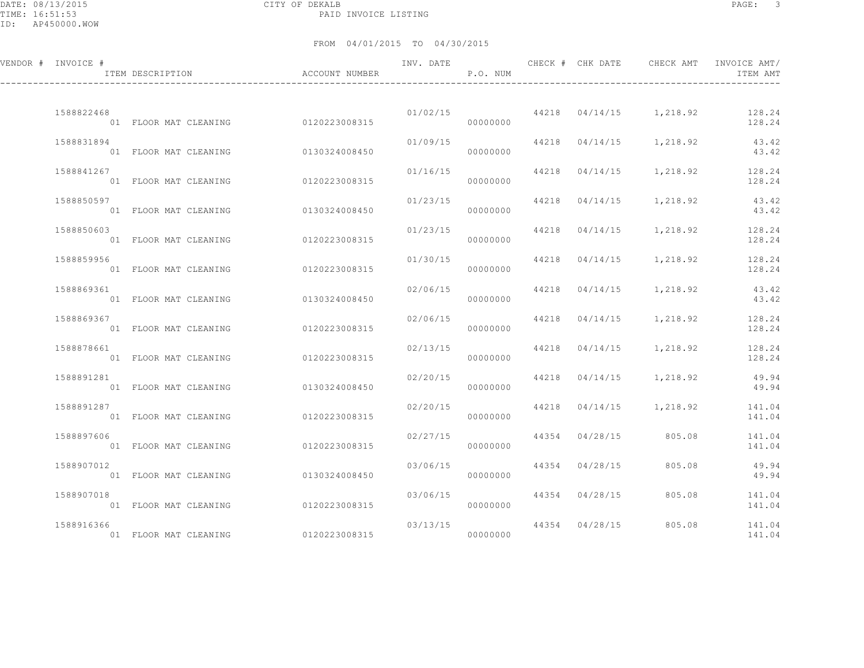DATE: 08/13/2015 CITY OF DEKALB PAGE: 3 PAID INVOICE LISTING

| VENDOR # INVOICE # | ITEM DESCRIPTION                    | ACCOUNT NUMBER | INV. DATE | P.O. NUM  |                | CHECK # CHK DATE CHECK AMT        | INVOICE AMT/<br>ITEM AMT |
|--------------------|-------------------------------------|----------------|-----------|-----------|----------------|-----------------------------------|--------------------------|
| 1588822468         | 01 FLOOR MAT CLEANING 0120223008315 |                | 01/02/15  | 00000000  |                | 44218  04/14/15  1,218.92  128.24 | 128.24                   |
| 1588831894         | 01 FLOOR MAT CLEANING               | 0130324008450  | 01/09/15  | 00000000  | 44218 04/14/15 | 1,218.92                          | 43.42<br>43.42           |
| 1588841267         | 01 FLOOR MAT CLEANING               | 0120223008315  | 01/16/15  | 00000000  |                | 44218  04/14/15  1,218.92  128.24 | 128.24                   |
| 1588850597         | 01 FLOOR MAT CLEANING               | 0130324008450  | 01/23/15  | 00000000  | 44218 04/14/15 | 1,218.92                          | 43.42<br>43.42           |
| 1588850603         | 01 FLOOR MAT CLEANING 0120223008315 |                | 01/23/15  | 00000000  | 44218 04/14/15 | 1,218.92 128.24                   | 128.24                   |
| 1588859956         | 01 FLOOR MAT CLEANING               | 0120223008315  | 01/30/15  | 00000000  | 44218 04/14/15 | 1,218.92                          | 128.24<br>128.24         |
| 1588869361         | 01 FLOOR MAT CLEANING               | 0130324008450  | 02/06/15  | 00000000  |                | 44218 04/14/15 1,218.92           | 43.42<br>43.42           |
| 1588869367         | 01 FLOOR MAT CLEANING               | 0120223008315  | 02/06/15  | 00000000  | 44218 04/14/15 | 1,218.92                          | 128.24<br>128.24         |
| 1588878661         | 01 FLOOR MAT CLEANING               | 0120223008315  | 02/13/15  | 00000000  | 44218 04/14/15 | 1,218.92                          | 128.24<br>128.24         |
| 1588891281         | 01 FLOOR MAT CLEANING               | 0130324008450  | 02/20/15  | 00000000  |                | 44218 04/14/15 1,218.92           | 49.94<br>49.94           |
| 1588891287         | 01 FLOOR MAT CLEANING               | 0120223008315  | 02/20/15  | 00000000  | 44218 04/14/15 | 1,218.92                          | 141.04<br>141.04         |
| 1588897606         | 01 FLOOR MAT CLEANING               | 0120223008315  | 02/27/15  | 00000000  | 44354 04/28/15 | 805.08                            | 141.04<br>141.04         |
| 1588907012         | 01 FLOOR MAT CLEANING               | 0130324008450  | 03/06/15  | 00000000  | 44354 04/28/15 | 805.08                            | 49.94<br>49.94           |
| 1588907018         | 01 FLOOR MAT CLEANING               | 0120223008315  | 03/06/15  | 000000000 | 44354 04/28/15 | 805.08                            | 141.04<br>141.04         |
| 1588916366         | 01 FLOOR MAT CLEANING               | 0120223008315  | 03/13/15  | 00000000  | 44354 04/28/15 | 805.08                            | 141.04<br>141.04         |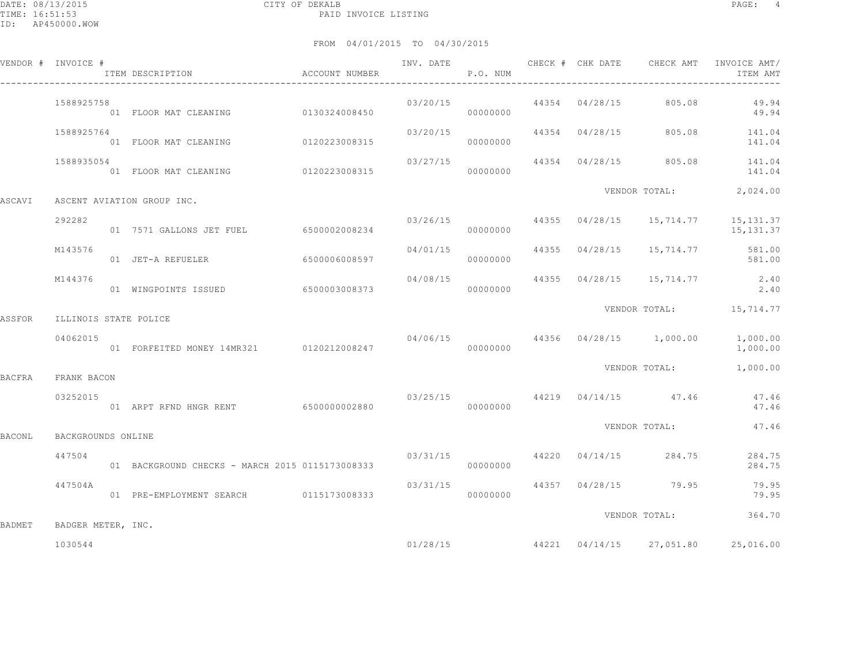|        | VENDOR # INVOICE #    | ACCOUNT NUMBER<br>ITEM DESCRIPTION              | INV. DATE | P.O. NUM |  | CHECK # CHK DATE CHECK AMT               | INVOICE AMT/<br>ITEM AMT                                           |
|--------|-----------------------|-------------------------------------------------|-----------|----------|--|------------------------------------------|--------------------------------------------------------------------|
|        | 1588925758            | 01 FLOOR MAT CLEANING 0130324008450             | 03/20/15  | 00000000 |  | 44354 04/28/15 805.08                    | 49.94<br>49.94                                                     |
|        | 1588925764            | 01 FLOOR MAT CLEANING 0120223008315             | 03/20/15  | 00000000 |  |                                          | 44354 04/28/15 805.08 141.04<br>141.04                             |
|        | 1588935054            |                                                 | 03/27/15  |          |  |                                          | 44354 04/28/15 805.08 141.04<br>141.04                             |
| ASCAVI |                       | ASCENT AVIATION GROUP INC.                      |           |          |  |                                          | VENDOR TOTAL: 2,024.00                                             |
|        | 292282                | 01 7571 GALLONS JET FUEL 6500002008234          |           | 00000000 |  |                                          | $03/26/15$ $44355$ $04/28/15$ $15,714.77$ $15,131.37$<br>15,131.37 |
|        | M143576               | 01 JET-A REFUELER 6500006008597                 |           | 00000000 |  |                                          | 04/01/15 44355 04/28/15 15,714.77 581.00<br>581.00                 |
|        | M144376               |                                                 |           |          |  |                                          | $04/08/15$ 44355 $04/28/15$ 15, 714.77 2.40<br>2.40                |
| ASSFOR | ILLINOIS STATE POLICE |                                                 |           |          |  |                                          | VENDOR TOTAL: 15,714.77                                            |
|        | 04062015              |                                                 |           |          |  | $04/06/15$ $44356$ $04/28/15$ $1,000.00$ | 1,000.00<br>1,000.00                                               |
| BACFRA | FRANK BACON           |                                                 |           |          |  |                                          | VENDOR TOTAL: 1,000.00                                             |
|        | 03252015              |                                                 |           |          |  | $03/25/15$ $44219$ $04/14/15$ $47.46$    | 47.46<br>47.46                                                     |
| BACONL | BACKGROUNDS ONLINE    |                                                 |           |          |  | VENDOR TOTAL:                            | 47.46                                                              |
|        | 447504                | 01 BACKGROUND CHECKS - MARCH 2015 0115173008333 |           | 00000000 |  | 03/31/15 44220 04/14/15 284.75           | 284.75<br>284.75                                                   |
|        | 447504A               | 01 PRE-EMPLOYMENT SEARCH 0115173008333          | 03/31/15  | 00000000 |  | 44357 04/28/15 79.95                     | 79.95<br>79.95                                                     |
| BADMET | BADGER METER, INC.    |                                                 |           |          |  | VENDOR TOTAL:                            | 364.70                                                             |
|        | 1030544               |                                                 |           |          |  |                                          | $01/28/15$ $44221$ $04/14/15$ $27,051.80$ $25,016.00$              |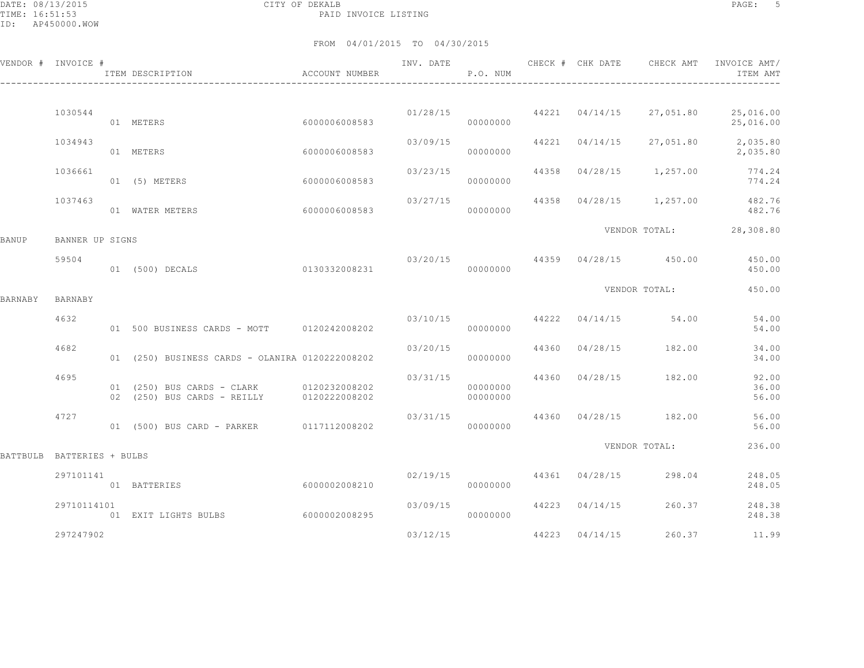DATE: 08/13/2015 CITY OF DEKALB PAGE: 5 PAID INVOICE LISTING

|          | VENDOR # INVOICE # | ACCOUNT NUMBER<br>ITEM DESCRIPTION                                      |               | INV. DATE | P.O. NUM             |       | CHECK # CHK DATE | CHECK AMT                             | INVOICE AMT/<br>ITEM AMT           |
|----------|--------------------|-------------------------------------------------------------------------|---------------|-----------|----------------------|-------|------------------|---------------------------------------|------------------------------------|
|          |                    |                                                                         |               |           |                      |       |                  |                                       |                                    |
|          | 1030544            | 01 METERS                                                               | 6000006008583 | 01/28/15  | 00000000             |       | 44221 04/14/15   | 27,051.80                             | 25,016.00<br>25,016.00             |
|          | 1034943            | 01 METERS                                                               | 6000006008583 | 03/09/15  | 00000000             |       | 44221 04/14/15   |                                       | 27,051.80 2,035.80<br>2,035.80     |
|          | 1036661            | 01 (5) METERS                                                           | 6000006008583 | 03/23/15  | 00000000             | 44358 |                  | $04/28/15$ 1,257.00                   | 774.24<br>774.24                   |
|          | 1037463            | 01 WATER METERS                                                         | 6000006008583 |           | 03/27/15<br>00000000 | 44358 |                  |                                       | 04/28/15 1,257.00 482.76<br>482.76 |
| BANUP    | BANNER UP SIGNS    |                                                                         |               |           |                      |       |                  |                                       | VENDOR TOTAL: 28,308.80            |
|          |                    |                                                                         |               |           |                      |       |                  |                                       |                                    |
|          | 59504              | 0130332008231<br>01 (500) DECALS                                        |               | 03/20/15  | 00000000             |       |                  | 44359 04/28/15 450.00                 | 450.00<br>450.00                   |
| BARNABY  | BARNABY            |                                                                         |               |           |                      |       |                  | VENDOR TOTAL:                         | 450.00                             |
|          | 4632               | 01 500 BUSINESS CARDS - MOTT 0120242008202                              |               |           | 00000000             |       |                  | $03/10/15$ $44222$ $04/14/15$ $54.00$ | 54.00<br>54.00                     |
|          | 4682               | 01 (250) BUSINESS CARDS - OLANIRA 0120222008202                         |               | 03/20/15  | 00000000             |       | 44360 04/28/15   | 182.00                                | 34.00<br>34.00                     |
|          | 4695               | 01 (250) BUS CARDS - CLARK 0120232008202<br>02 (250) BUS CARDS - REILLY | 0120222008202 | 03/31/15  | 00000000<br>00000000 |       |                  | 44360 04/28/15 182.00                 | 92.00<br>36.00<br>56.00            |
|          | 4727               | 01 (500) BUS CARD - PARKER                                              | 0117112008202 | 03/31/15  | 00000000             |       |                  | 44360 04/28/15 182.00                 | 56.00<br>56.00                     |
| BATTBULB | BATTERIES + BULBS  |                                                                         |               |           |                      |       |                  | VENDOR TOTAL:                         | 236.00                             |
|          |                    |                                                                         |               |           |                      |       |                  |                                       |                                    |
|          | 297101141          | 01 BATTERIES                                                            | 6000002008210 |           | 02/19/15<br>00000000 |       | 44361 04/28/15   | 298.04                                | 248.05<br>248.05                   |
|          | 29710114101        | 01 EXIT LIGHTS BULBS                                                    | 6000002008295 | 03/09/15  | 00000000             |       | 44223 04/14/15   | 260.37                                | 248.38<br>248.38                   |
|          | 297247902          |                                                                         |               | 03/12/15  |                      |       | 44223 04/14/15   | 260.37                                | 11.99                              |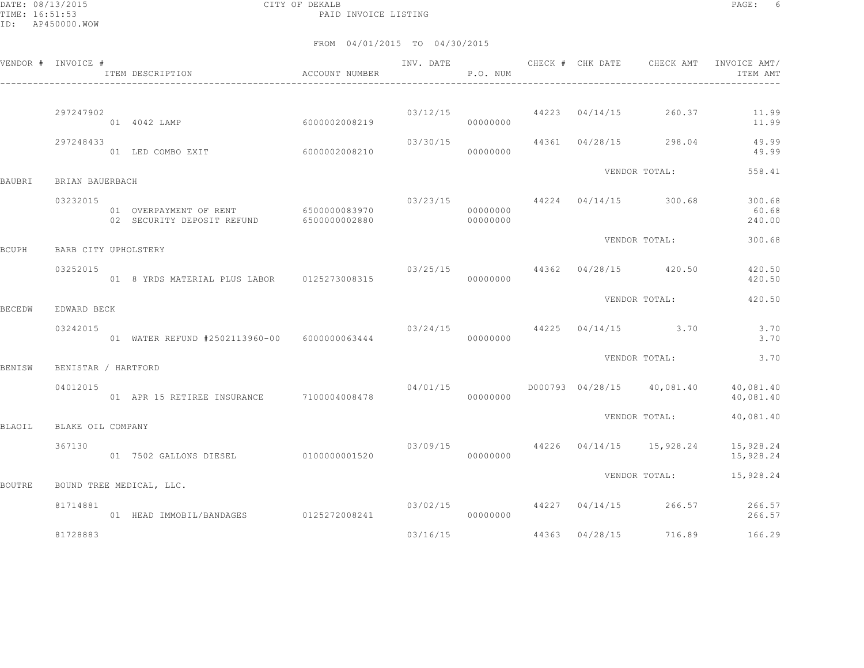DATE: 08/13/2015 CITY OF DEKALB PAGE: 6 PAID INVOICE LISTING

|        | VENDOR # INVOICE #   | ACCOUNT NUMBER<br>ITEM DESCRIPTION                                 |               |                                      | P.O. NUM             |                |                                        | INV. DATE 6 1999 CHECK # CHK DATE 6 CHECK AMT INVOICE AMT<br>ITEM AMT |
|--------|----------------------|--------------------------------------------------------------------|---------------|--------------------------------------|----------------------|----------------|----------------------------------------|-----------------------------------------------------------------------|
|        |                      |                                                                    |               |                                      |                      |                |                                        |                                                                       |
|        | 297247902            | 60000002008219<br>01 4042 LAMP                                     |               |                                      | 00000000             |                | 03/12/15 44223 04/14/15 260.37         | 11.99<br>11.99                                                        |
|        | 297248433            | 01 LED COMBO EXIT 6000002008210                                    |               | 03/30/15                             | 00000000             |                | 44361 04/28/15 298.04                  | 49.99<br>49.99                                                        |
| BAUBRI | BRIAN BAUERBACH      |                                                                    |               |                                      |                      |                | VENDOR TOTAL:                          | 558.41                                                                |
|        | 03232015             | 01 OVERPAYMENT OF RENT 6500000083970<br>02 SECURITY DEPOSIT REFUND | 6500000002880 |                                      | 00000000<br>00000000 |                | $03/23/15$ $44224$ $04/14/15$ $300.68$ | 300.68<br>60.68<br>240.00                                             |
| BCUPH  | BARB CITY UPHOLSTERY |                                                                    |               |                                      |                      |                | VENDOR TOTAL:                          | 300.68                                                                |
|        | 03252015             |                                                                    |               | 03/25/15 44362 04/28/15 420.50       | 00000000             |                |                                        | 420.50<br>420.50                                                      |
| BECEDW | EDWARD BECK          |                                                                    |               |                                      |                      |                | VENDOR TOTAL:                          | 420.50                                                                |
|        | 03242015             | 01 WATER REFUND #2502113960-00 6000000063444                       |               | $03/24/15$ $44225$ $04/14/15$ $3.70$ | 00000000             |                |                                        | 3.70<br>3.70                                                          |
| BENISW | BENISTAR / HARTFORD  |                                                                    |               |                                      |                      |                | VENDOR TOTAL:                          | 3.70                                                                  |
|        | 04012015             | 01 APR 15 RETIREE INSURANCE 7100004008478                          |               | 04/01/15                             | 00000000             |                |                                        | D000793 04/28/15 40,081.40 40,081.40<br>40,081.40                     |
| BLAOIL | BLAKE OIL COMPANY    |                                                                    |               |                                      |                      |                | VENDOR TOTAL:                          | 40,081.40                                                             |
|        | 367130               | 01 7502 GALLONS DIESEL 0100000001520                               |               |                                      | 00000000             |                |                                        | $03/09/15$ $44226$ $04/14/15$ $15,928.24$ $15,928.24$<br>15,928.24    |
| BOUTRE |                      | BOUND TREE MEDICAL, LLC.                                           |               |                                      |                      |                |                                        | VENDOR TOTAL: 15,928.24                                               |
|        | 81714881             | 01 HEAD IMMOBIL/BANDAGES 0125272008241                             |               |                                      | 00000000             |                |                                        | $03/02/15$ $44227$ $04/14/15$ $266.57$ $266.57$<br>266.57             |
|        | 81728883             |                                                                    |               | 03/16/15                             |                      | 44363 04/28/15 | 716.89                                 | 166.29                                                                |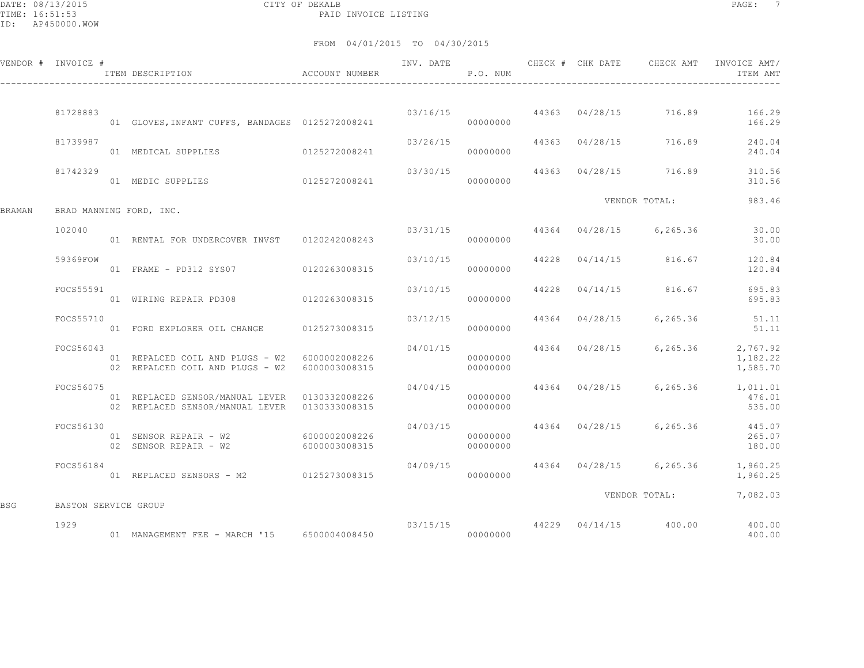DATE: 08/13/2015 CITY OF DEKALB PAGE: 7 PAID INVOICE LISTING

|        | VENDOR # INVOICE #   |                                                                                                  |                       | P.O. NUM             |  |                                        | INV. DATE 6 1992 CHECK # CHK DATE 6 CHECK AMT INVOICE AMT<br>ITEM AMT |
|--------|----------------------|--------------------------------------------------------------------------------------------------|-----------------------|----------------------|--|----------------------------------------|-----------------------------------------------------------------------|
|        | 81728883             |                                                                                                  |                       |                      |  |                                        | 03/16/15 44363 04/28/15 716.89 166.29                                 |
|        |                      | 01 GLOVES, INFANT CUFFS, BANDAGES 0125272008241                                                  |                       | 00000000             |  |                                        | 166.29                                                                |
|        | 81739987             | 01 MEDICAL SUPPLIES 0125272008241                                                                | 03/26/15              | 00000000             |  | 44363 04/28/15 716.89                  | 240.04<br>240.04                                                      |
|        | 81742329             | 01 MEDIC SUPPLIES 0125272008241                                                                  |                       | 00000000             |  | 03/30/15 44363 04/28/15 716.89         | 310.56<br>310.56                                                      |
| BRAMAN |                      | BRAD MANNING FORD, INC.                                                                          |                       |                      |  | VENDOR TOTAL:                          | 983.46                                                                |
|        | 102040               | 01 RENTAL FOR UNDERCOVER INVST 0120242008243                                                     |                       | 00000000             |  | 03/31/15 44364 04/28/15 6,265.36       | 30.00<br>30.00                                                        |
|        | 59369FOW             | 01 FRAME - PD312 SYS07 0120263008315                                                             | 03/10/15              |                      |  | 44228 04/14/15 816.67                  | 120.84<br>120.84                                                      |
|        | FOCS55591            | 01 WIRING REPAIR PD308 0120263008315                                                             |                       | 00000000             |  | $03/10/15$ $44228$ $04/14/15$ $816.67$ | 695.83<br>695.83                                                      |
|        | FOCS55710            | 01 FORD EXPLORER OIL CHANGE 0125273008315                                                        | 03/12/15              | 00000000             |  | 44364 04/28/15 6,265.36                | 51.11<br>51.11                                                        |
|        | FOCS56043            | 01 REPALCED COIL AND PLUGS - W2 6000002008226<br>02 REPALCED COIL AND PLUGS - W2 6000003008315   | 04/01/15<br>00000000  | 00000000             |  |                                        | 44364 04/28/15 6,265.36 2,767.92<br>1,182.22<br>1,585.70              |
|        | FOCS56075            | 01 REPLACED SENSOR/MANUAL LEVER  0130332008226<br>02 REPLACED SENSOR/MANUAL LEVER  0130333008315 | 04/04/15              | 00000000<br>00000000 |  |                                        | 44364 04/28/15 6,265.36 1,011.01<br>476.01<br>535.00                  |
|        | FOCS56130            | 01 SENSOR REPAIR - W2 6000002008226<br>02 SENSOR REPAIR - W2 6000003008315                       | 04/03/15              | 00000000<br>00000000 |  |                                        | 44364 04/28/15 6,265.36 445.07<br>265.07<br>180.00                    |
|        | FOCS56184            | 01 REPLACED SENSORS - M2 0125273008315                                                           | 04/09/15<br>000000000 |                      |  |                                        | 44364 04/28/15 6,265.36 1,960.25<br>1,960.25                          |
| BSG    | BASTON SERVICE GROUP |                                                                                                  |                       |                      |  |                                        | VENDOR TOTAL: 7,082.03                                                |
|        | 1929                 |                                                                                                  |                       |                      |  | $03/15/15$ $44229$ $04/14/15$ $400.00$ | 400.00<br>400.00                                                      |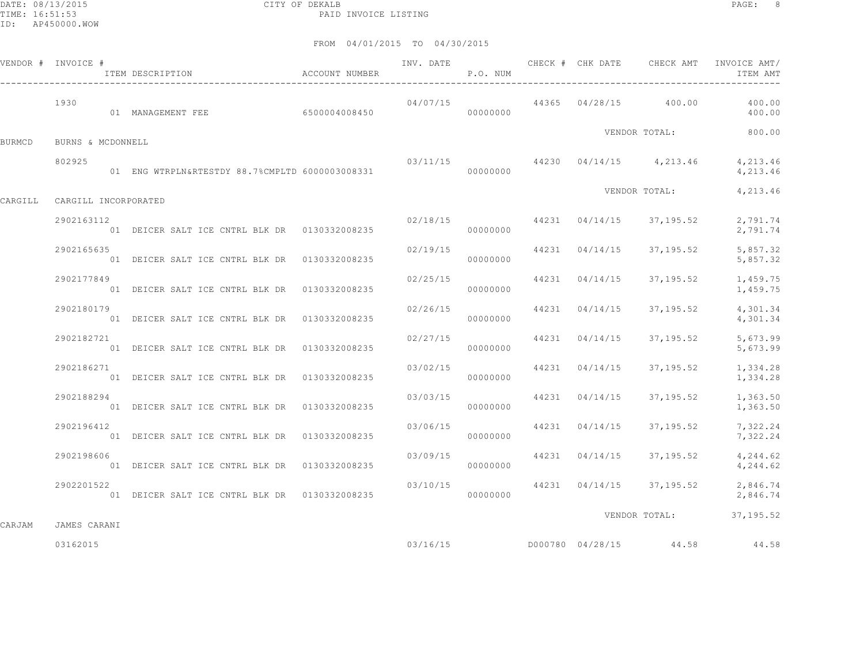DATE: 08/13/2015 CITY OF DEKALB PAGE: 8 PAID INVOICE LISTING

|        | VENDOR # INVOICE #           | ACCOUNT NUMBER<br>ITEM DESCRIPTION              | INV. DATE<br>P.O. NUM              |          |                | CHECK # CHK DATE CHECK AMT                | INVOICE AMT/<br>ITEM AMT               |
|--------|------------------------------|-------------------------------------------------|------------------------------------|----------|----------------|-------------------------------------------|----------------------------------------|
|        | 1930                         |                                                 |                                    | 04/07/15 |                |                                           | 44365 04/28/15 400.00 400.00<br>400.00 |
| BURMCD | BURNS & MCDONNELL            |                                                 |                                    |          |                | VENDOR TOTAL:                             | 800.00                                 |
|        | 802925                       | 01 ENG WTRPLN&RTESTDY 88.7%CMPLTD 6000003008331 | $03/11/15$ 44230 04/14/15 4,213.46 | 00000000 |                |                                           | 4,213.46<br>4,213.46                   |
|        | CARGILL CARGILL INCORPORATED |                                                 |                                    |          |                | VENDOR TOTAL:                             | 4,213.46                               |
|        | 2902163112                   | 01 DEICER SALT ICE CNTRL BLK DR 0130332008235   |                                    | 00000000 |                | $02/18/15$ $44231$ $04/14/15$ $37,195.52$ | 2,791.74<br>2,791.74                   |
|        | 2902165635                   | 01 DEICER SALT ICE CNTRL BLK DR 0130332008235   | 02/19/15                           | 00000000 | 44231 04/14/15 | 37,195.52                                 | 5,857.32<br>5,857.32                   |
|        | 2902177849                   | 01 DEICER SALT ICE CNTRL BLK DR 0130332008235   | 02/25/15                           | 00000000 | 44231 04/14/15 | 37,195.52                                 | 1,459.75<br>1,459.75                   |
|        | 2902180179                   | 01 DEICER SALT ICE CNTRL BLK DR 0130332008235   | 02/26/15                           | 00000000 | 44231 04/14/15 | 37,195.52                                 | 4,301.34<br>4,301.34                   |
|        | 2902182721                   | 01 DEICER SALT ICE CNTRL BLK DR 0130332008235   | 02/27/15                           | 00000000 | 44231 04/14/15 | 37,195.52                                 | 5,673.99<br>5,673.99                   |
|        | 2902186271                   | 01 DEICER SALT ICE CNTRL BLK DR 0130332008235   | 03/02/15                           | 00000000 | 44231 04/14/15 | 37,195.52                                 | 1,334.28<br>1,334.28                   |
|        | 2902188294                   | 01 DEICER SALT ICE CNTRL BLK DR 0130332008235   | 03/03/15                           | 00000000 | 44231 04/14/15 | 37,195.52                                 | 1,363.50<br>1,363.50                   |
|        | 2902196412                   | 01 DEICER SALT ICE CNTRL BLK DR 0130332008235   | 03/06/15                           | 00000000 | 44231 04/14/15 | 37,195.52                                 | 7,322.24<br>7,322.24                   |
|        | 2902198606                   | 01 DEICER SALT ICE CNTRL BLK DR 0130332008235   | 03/09/15 44231 04/14/15            | 00000000 |                | 37,195.52                                 | 4,244.62<br>4,244.62                   |
|        | 2902201522                   | 01 DEICER SALT ICE CNTRL BLK DR 0130332008235   | 03/10/15                           | 00000000 |                | 44231 04/14/15 37,195.52                  | 2,846.74<br>2,846.74                   |
| CARJAM | JAMES CARANI                 |                                                 |                                    |          |                |                                           | VENDOR TOTAL: 37,195.52                |
|        | 03162015                     |                                                 |                                    |          |                |                                           | 44.58                                  |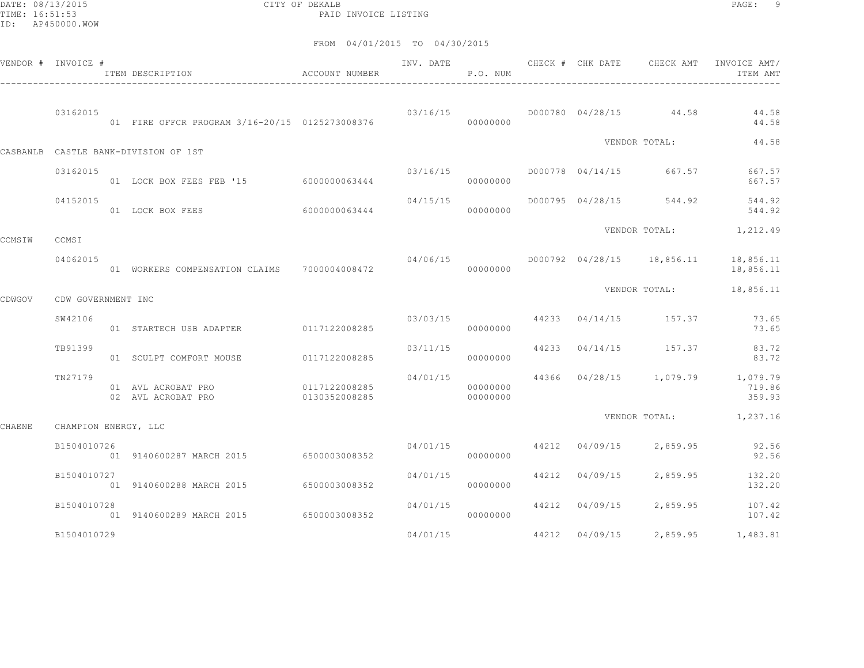DATE: 08/13/2015 CITY OF DEKALB PAGE: 9 PAID INVOICE LISTING

|        | VENDOR # INVOICE #   | ITEM DESCRIPTION ACCOUNT NUMBER                |                                |                         | P.O. NUM             |                | INV. DATE 6 CHECK # CHK DATE CHECK AMT      | INVOICE AMT/<br>ITEM AMT                             |
|--------|----------------------|------------------------------------------------|--------------------------------|-------------------------|----------------------|----------------|---------------------------------------------|------------------------------------------------------|
|        | 03162015             | 01 FIRE OFFCR PROGRAM 3/16-20/15 0125273008376 |                                |                         | 00000000             |                | $03/16/15$ D000780 04/28/15 44.58           | 44.58<br>44.58                                       |
|        |                      | CASBANLB CASTLE BANK-DIVISION OF 1ST           |                                |                         |                      |                | VENDOR TOTAL:                               | 44.58                                                |
|        | 03162015             | 01 LOCK BOX FEES FEB '15 6000000063444         |                                | 03/16/15                | 00000000             |                | D000778 04/14/15 667.57                     | 667.57<br>667.57                                     |
|        | 04152015             | 01 LOCK BOX FEES 6000000063444                 |                                | 04/15/15                | 00000000             |                | D000795 04/28/15 544.92                     | 544.92<br>544.92                                     |
| CCMSIW | CCMSI                |                                                |                                |                         |                      |                |                                             | VENDOR TOTAL: 1,212.49                               |
|        | 04062015             |                                                |                                |                         |                      |                | $04/06/15$ $0000792$ $04/28/15$ $18,856.11$ | 18,856.11<br>18,856.11                               |
| CDWGOV | CDW GOVERNMENT INC   |                                                |                                |                         |                      |                | VENDOR TOTAL:                               | 18,856.11                                            |
|        | SW42106              | 01 STARTECH USB ADAPTER 0117122008285          |                                | 03/03/15                | 00000000             |                | 44233 04/14/15 157.37                       | 73.65<br>73.65                                       |
|        | TB91399              | 01 SCULPT COMFORT MOUSE                        | 0117122008285                  | 03/11/15                | 00000000             |                | 44233 04/14/15 157.37                       | 83.72<br>83.72                                       |
|        | TN27179              | 01 AVL ACROBAT PRO<br>02 AVL ACROBAT PRO       | 0117122008285<br>0130352008285 | 04/01/15                | 00000000<br>00000000 |                |                                             | 44366 04/28/15 1,079.79 1,079.79<br>719.86<br>359.93 |
| CHAENE | CHAMPION ENERGY, LLC |                                                |                                |                         |                      |                |                                             | VENDOR TOTAL: 1,237.16                               |
|        | B1504010726          | 01 9140600287 MARCH 2015 6500003008352         |                                | 04/01/15 44212 04/09/15 | 00000000             |                |                                             | 2,859.95 92.56<br>92.56                              |
|        | B1504010727          | 01 9140600288 MARCH 2015 6500003008352         |                                | 04/01/15                | 00000000             |                | 44212 04/09/15 2,859.95                     | 132.20<br>132.20                                     |
|        | B1504010728          | 01 9140600289 MARCH 2015 6500003008352         |                                | 04/01/15                | 00000000             |                | 44212 04/09/15 2,859.95                     | 107.42<br>107.42                                     |
|        | B1504010729          |                                                |                                | 04/01/15                |                      | 44212 04/09/15 | 2,859.95                                    | 1,483.81                                             |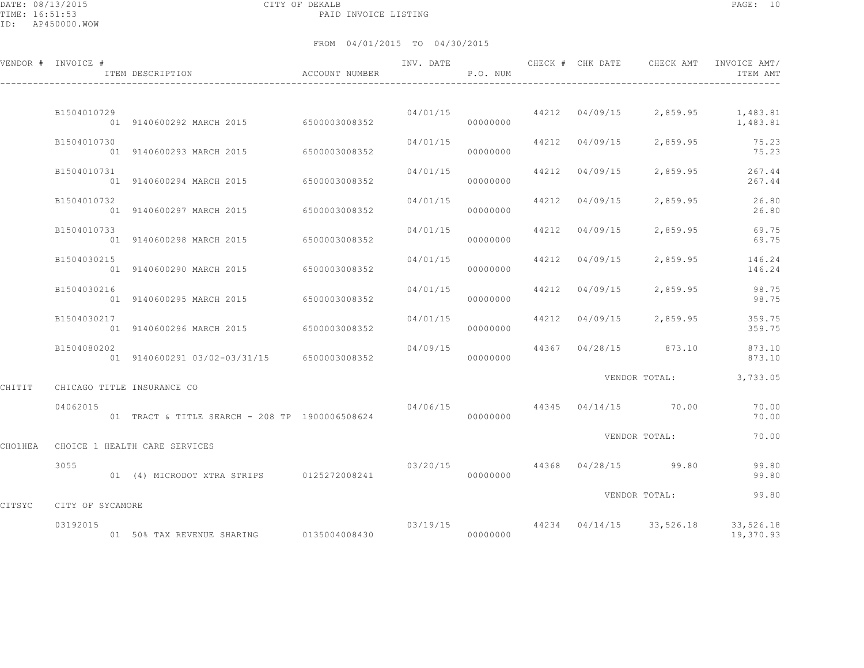DATE: 08/13/2015 CITY OF DEKALB PAGE: 10 PAID INVOICE LISTING

|        | VENDOR # INVOICE # | ITEM DESCRIPTION                               | ACCOUNT NUMBER | INV. DATE | P.O. NUM |       | CHECK # CHK DATE     | CHECK AMT                             | INVOICE AMT/<br>ITEM AMT                                           |
|--------|--------------------|------------------------------------------------|----------------|-----------|----------|-------|----------------------|---------------------------------------|--------------------------------------------------------------------|
|        |                    |                                                |                |           |          |       |                      |                                       |                                                                    |
|        | B1504010729        | 01 9140600292 MARCH 2015 6500003008352         |                |           | 00000000 |       |                      |                                       | $04/01/15$ 44212 04/09/15 2,859.95 1,483.81<br>1,483.81            |
|        | B1504010730        | 01 9140600293 MARCH 2015                       | 6500003008352  | 04/01/15  | 00000000 |       | 44212 04/09/15       | 2,859.95                              | 75.23<br>75.23                                                     |
|        | B1504010731        | 01 9140600294 MARCH 2015                       | 6500003008352  | 04/01/15  | 00000000 | 44212 | 04/09/15             | 2,859.95                              | 267.44<br>267.44                                                   |
|        | B1504010732        | 01 9140600297 MARCH 2015                       | 6500003008352  | 04/01/15  | 00000000 |       | 44212 04/09/15       | 2,859.95                              | 26.80<br>26.80                                                     |
|        | B1504010733        | 01 9140600298 MARCH 2015                       | 6500003008352  | 04/01/15  | 00000000 |       | 44212 04/09/15       | 2,859.95                              | 69.75<br>69.75                                                     |
|        | B1504030215        | 01 9140600290 MARCH 2015                       | 6500003008352  | 04/01/15  | 00000000 |       | 44212 04/09/15       |                                       | 2,859.95 146.24<br>146.24                                          |
|        | B1504030216        | 01 9140600295 MARCH 2015                       | 6500003008352  | 04/01/15  | 00000000 |       | 44212 04/09/15       | 2,859.95                              | 98.75<br>98.75                                                     |
|        | B1504030217        | 01 9140600296 MARCH 2015 6500003008352         |                | 04/01/15  | 00000000 |       | 44212 04/09/15       | 2,859.95                              | 359.75<br>359.75                                                   |
|        | B1504080202        | 01 9140600291 03/02-03/31/15 6500003008352     |                | 04/09/15  | 00000000 |       |                      |                                       | 44367 04/28/15 873.10 873.10<br>873.10                             |
|        |                    |                                                |                |           |          |       |                      | VENDOR TOTAL:                         | 3,733.05                                                           |
| CHITIT |                    | CHICAGO TITLE INSURANCE CO                     |                |           |          |       |                      |                                       |                                                                    |
|        | 04062015           | 01 TRACT & TITLE SEARCH - 208 TP 1900006508624 |                |           | 00000000 |       |                      | $04/06/15$ $44345$ $04/14/15$ $70.00$ | 70.00<br>70.00                                                     |
|        |                    | CHO1HEA CHOICE 1 HEALTH CARE SERVICES          |                |           |          |       |                      | VENDOR TOTAL:                         | 70.00                                                              |
|        | 3055               | 01 (4) MICRODOT XTRA STRIPS 0125272008241      |                | 03/20/15  | 00000000 |       | 44368 04/28/15 99.80 |                                       | 99.80<br>99.80                                                     |
| CITSYC | CITY OF SYCAMORE   |                                                |                |           |          |       |                      | VENDOR TOTAL:                         | 99.80                                                              |
|        | 03192015           |                                                |                |           |          |       |                      |                                       | $03/19/15$ $44234$ $04/14/15$ $33,526.18$ $33,526.18$<br>19,370.93 |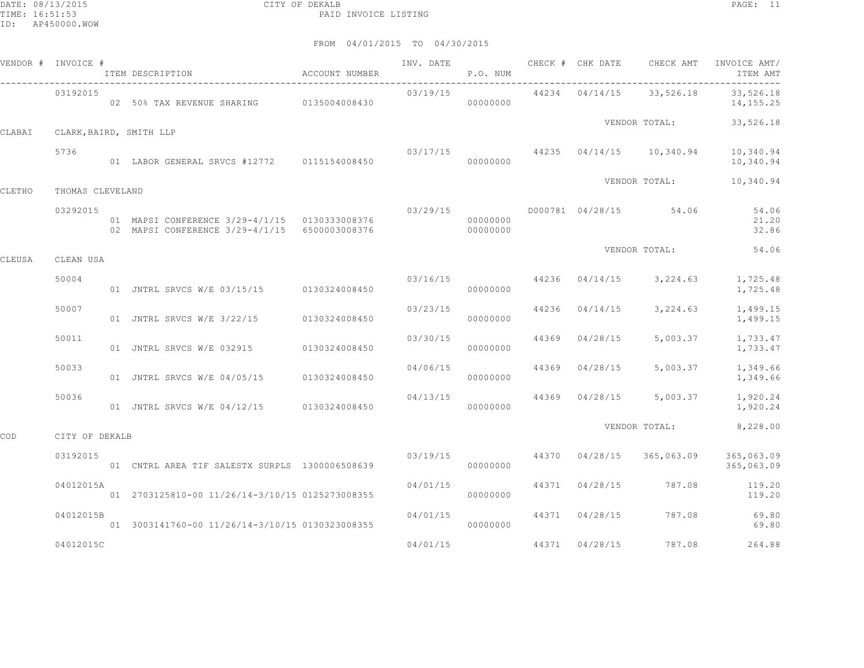|        | VENDOR # INVOICE # | ITEM DESCRIPTION                                                                               | ACCOUNT NUMBER | INV. DATE | P.O. NUM             |       |                | CHECK # CHK DATE CHECK AMT          | INVOICE AMT/<br>ITEM AMT |
|--------|--------------------|------------------------------------------------------------------------------------------------|----------------|-----------|----------------------|-------|----------------|-------------------------------------|--------------------------|
|        | 03192015           | 02 50% TAX REVENUE SHARING 0135004008430                                                       |                | 03/19/15  | 00000000             |       | 44234 04/14/15 | 33,526.18                           | 33,526.18<br>14, 155. 25 |
| CLABAI |                    | CLARK, BAIRD, SMITH LLP                                                                        |                |           |                      |       |                | VENDOR TOTAL:                       | 33,526.18                |
|        | 5736               | 01 LABOR GENERAL SRVCS #12772 0115154008450                                                    |                |           | 00000000             |       |                | $03/17/15$ 44235 04/14/15 10,340.94 | 10,340.94<br>10,340.94   |
| CLETHO | THOMAS CLEVELAND   |                                                                                                |                |           |                      |       |                | VENDOR TOTAL:                       | 10,340.94                |
|        | 03292015           | 01 MAPSI CONFERENCE 3/29-4/1/15 0130333008376<br>02 MAPSI CONFERENCE 3/29-4/1/15 6500003008376 |                | 03/29/15  | 00000000<br>00000000 |       |                | D000781 04/28/15 54.06              | 54.06<br>21.20<br>32.86  |
| CLEUSA | CLEAN USA          |                                                                                                |                |           |                      |       |                | VENDOR TOTAL:                       | 54.06                    |
|        | 50004              | 01 JNTRL SRVCS W/E 03/15/15 0130324008450                                                      |                |           | 03/16/15<br>00000000 |       |                | 44236 04/14/15 3,224.63             | 1,725.48<br>1,725.48     |
|        | 50007              | 01 JNTRL SRVCS W/E 3/22/15 0130324008450                                                       |                | 03/23/15  | 00000000             | 44236 | 04/14/15       | 3,224.63                            | 1,499.15<br>1,499.15     |
|        | 50011              | 01 JNTRL SRVCS W/E 032915                                                                      | 0130324008450  | 03/30/15  | 00000000             | 44369 | 04/28/15       | 5,003.37                            | 1,733.47<br>1,733.47     |
|        | 50033              | 01 JNTRL SRVCS W/E 04/05/15                                                                    | 0130324008450  | 04/06/15  | 00000000             | 44369 | 04/28/15       | 5,003.37                            | 1,349.66<br>1,349.66     |
|        | 50036              | 01 JNTRL SRVCS W/E 04/12/15 0130324008450                                                      |                | 04/13/15  | 00000000             |       |                | 44369 04/28/15 5,003.37             | 1,920.24<br>1,920.24     |
| COD    | CITY OF DEKALB     |                                                                                                |                |           |                      |       |                | VENDOR TOTAL:                       | 8,228.00                 |
|        | 03192015           | 01 CNTRL AREA TIF SALESTX SURPLS 1300006508639                                                 |                | 03/19/15  | 00000000             |       | 44370 04/28/15 | 365,063.09                          | 365,063.09<br>365,063.09 |
|        | 04012015A          | 01 2703125810-00 11/26/14-3/10/15 0125273008355                                                |                | 04/01/15  | 00000000             |       | 44371 04/28/15 | 787.08                              | 119.20<br>119.20         |
|        | 04012015B          | 01 3003141760-00 11/26/14-3/10/15 0130323008355                                                |                | 04/01/15  | 00000000             | 44371 | 04/28/15       | 787.08                              | 69.80<br>69.80           |
|        | 04012015C          |                                                                                                |                | 04/01/15  |                      | 44371 | 04/28/15       | 787.08                              | 264.88                   |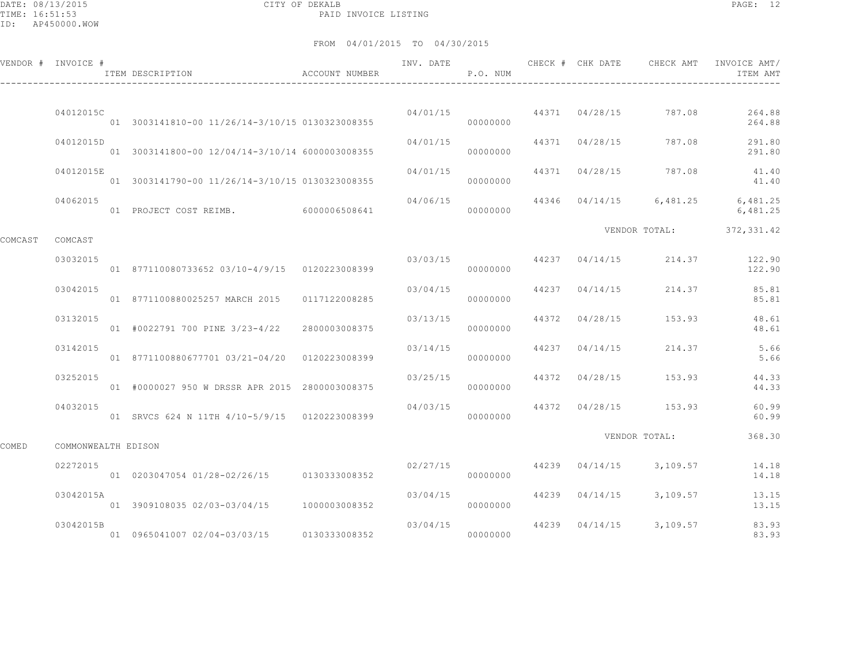DATE: 08/13/2015 CITY OF DEKALB PAGE: 12 PAID INVOICE LISTING

|         | VENDOR # INVOICE #  | ACCOUNT NUMBER<br>ITEM DESCRIPTION              |               | INV. DATE | P.O. NUM             |       | CHECK # CHK DATE CHECK AMT |                         | INVOICE AMT/<br>ITEM AMT |
|---------|---------------------|-------------------------------------------------|---------------|-----------|----------------------|-------|----------------------------|-------------------------|--------------------------|
|         |                     |                                                 |               |           |                      |       |                            |                         |                          |
|         | 04012015C           | 01 3003141810-00 11/26/14-3/10/15 0130323008355 |               |           | 04/01/15<br>00000000 |       |                            | 44371 04/28/15 787.08   | 264.88<br>264.88         |
|         | 04012015D           | 01 3003141800-00 12/04/14-3/10/14 6000003008355 |               | 04/01/15  | 00000000             |       | 44371 04/28/15             | 787.08                  | 291.80<br>291.80         |
|         | 04012015E           | 01 3003141790-00 11/26/14-3/10/15 0130323008355 |               | 04/01/15  | 00000000             |       |                            | 44371 04/28/15 787.08   | 41.40<br>41.40           |
|         | 04062015            | 01 PROJECT COST REIMB. 6000006508641            |               | 04/06/15  | 00000000             |       |                            | 44346 04/14/15 6,481.25 | 6,481.25<br>6,481.25     |
|         |                     |                                                 |               |           |                      |       |                            | VENDOR TOTAL:           | 372, 331.42              |
| COMCAST | COMCAST             |                                                 |               |           |                      |       |                            |                         |                          |
|         | 03032015            | 01 877110080733652 03/10-4/9/15 0120223008399   |               | 03/03/15  | 00000000             |       | 44237 04/14/15             | 214.37                  | 122.90<br>122.90         |
|         | 03042015            | 01 8771100880025257 MARCH 2015 0117122008285    |               | 03/04/15  | 00000000             |       | 44237 04/14/15             | 214.37                  | 85.81<br>85.81           |
|         | 03132015            | 01 #0022791 700 PINE 3/23-4/22                  | 2800003008375 | 03/13/15  | 00000000             | 44372 | 04/28/15                   | 153.93                  | 48.61<br>48.61           |
|         | 03142015            | 01 8771100880677701 03/21-04/20 0120223008399   |               | 03/14/15  | 00000000             |       | 44237 04/14/15             | 214.37                  | 5.66<br>5.66             |
|         | 03252015            | 01 #0000027 950 W DRSSR APR 2015 2800003008375  |               | 03/25/15  | 00000000             |       | 44372 04/28/15             | 153.93                  | 44.33<br>44.33           |
|         | 04032015            | 01 SRVCS 624 N 11TH 4/10-5/9/15 0120223008399   |               | 04/03/15  | 00000000             | 44372 |                            | 04/28/15 153.93         | 60.99<br>60.99           |
| COMED   | COMMONWEALTH EDISON |                                                 |               |           |                      |       |                            | VENDOR TOTAL:           | 368.30                   |
|         |                     |                                                 |               |           |                      |       |                            |                         |                          |
|         | 02272015            | 01 0203047054 01/28-02/26/15 0130333008352      |               | 02/27/15  | 00000000             |       |                            | 44239 04/14/15 3,109.57 | 14.18<br>14.18           |
|         | 03042015A           | 01 3909108035 02/03-03/04/15                    | 1000003008352 | 03/04/15  | 00000000             |       | 44239 04/14/15             | 3,109.57                | 13.15<br>13.15           |
|         | 03042015B           | 01 0965041007 02/04-03/03/15 0130333008352      |               | 03/04/15  | 00000000             |       |                            | 44239 04/14/15 3,109.57 | 83.93<br>83.93           |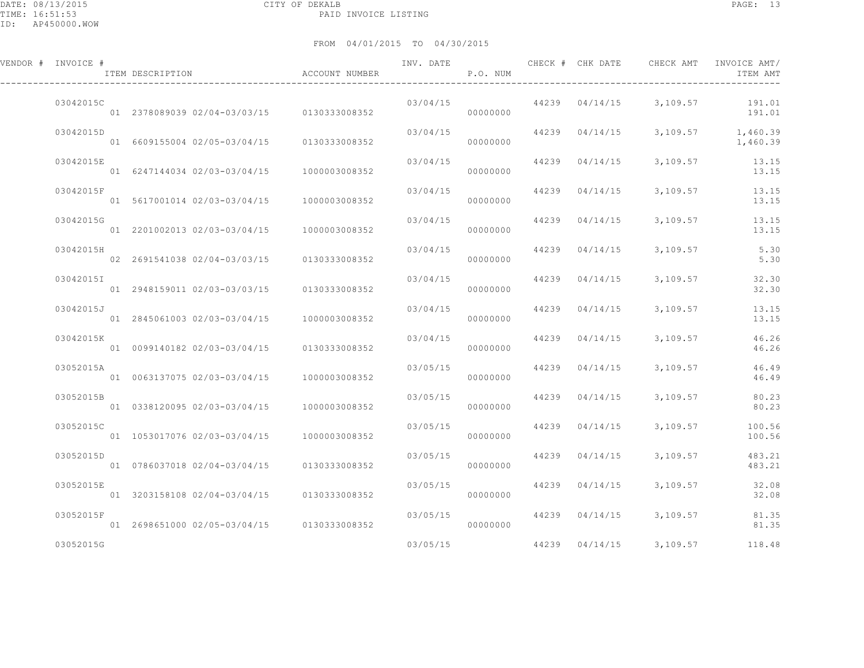| VENDOR # INVOICE # | ITEM DESCRIPTION                              | ACCOUNT NUMBER | INV. DATE | P.O. NUM |       | CHECK # CHK DATE | CHECK AMT | INVOICE AMT/<br>ITEM AMT |
|--------------------|-----------------------------------------------|----------------|-----------|----------|-------|------------------|-----------|--------------------------|
| 03042015C          | 01 2378089039 02/04-03/03/15 0130333008352    |                | 03/04/15  | 00000000 |       | 44239 04/14/15   | 3,109.57  | 191.01<br>191.01         |
| 03042015D          | 01 6609155004 02/05-03/04/15                  | 0130333008352  | 03/04/15  | 00000000 |       | 44239 04/14/15   | 3,109.57  | 1,460.39<br>1,460.39     |
| 03042015E          | 01 6247144034 02/03-03/04/15                  | 1000003008352  | 03/04/15  | 00000000 |       | 44239 04/14/15   | 3,109.57  | 13.15<br>13.15           |
| 03042015F          | 01 5617001014 02/03-03/04/15                  | 1000003008352  | 03/04/15  | 00000000 |       | 44239 04/14/15   | 3,109.57  | 13.15<br>13.15           |
| 03042015G          | 01 2201002013 02/03-03/04/15                  | 1000003008352  | 03/04/15  | 00000000 |       | 44239 04/14/15   | 3,109.57  | 13.15<br>13.15           |
| 03042015H          | 02 2691541038 02/04-03/03/15                  | 0130333008352  | 03/04/15  | 00000000 |       | 44239 04/14/15   | 3,109.57  | 5.30<br>5.30             |
| 03042015I          | 01 2948159011 02/03-03/03/15                  | 0130333008352  | 03/04/15  | 00000000 | 44239 | 04/14/15         | 3,109.57  | 32.30<br>32.30           |
| 03042015J          | 01 2845061003 02/03-03/04/15                  | 1000003008352  | 03/04/15  | 00000000 | 44239 | 04/14/15         | 3,109.57  | 13.15<br>13.15           |
| 03042015K          | 01 0099140182 02/03-03/04/15                  | 0130333008352  | 03/04/15  | 00000000 |       | 44239 04/14/15   | 3,109.57  | 46.26<br>46.26           |
| 03052015A          | 01 0063137075 02/03-03/04/15                  | 1000003008352  | 03/05/15  | 00000000 |       | 44239 04/14/15   | 3,109.57  | 46.49<br>46.49           |
| 03052015B          | 01 0338120095 02/03-03/04/15                  | 1000003008352  | 03/05/15  | 00000000 |       | 44239 04/14/15   | 3,109.57  | 80.23<br>80.23           |
| 03052015C          | 01 1053017076 02/03-03/04/15                  | 1000003008352  | 03/05/15  | 00000000 | 44239 | 04/14/15         | 3,109.57  | 100.56<br>100.56         |
| 03052015D          | 01 0786037018 02/04-03/04/15                  | 0130333008352  | 03/05/15  | 00000000 | 44239 | 04/14/15         | 3,109.57  | 483.21<br>483.21         |
| 03052015E          | 01 3203158108 02/04-03/04/15                  | 0130333008352  | 03/05/15  | 00000000 |       | 44239 04/14/15   | 3,109.57  | 32.08<br>32.08           |
| 03052015F          | 01  2698651000  02/05-03/04/15  0130333008352 |                | 03/05/15  | 00000000 | 44239 | 04/14/15         | 3,109.57  | 81.35<br>81.35           |
| 03052015G          |                                               |                | 03/05/15  |          | 44239 | 04/14/15         | 3,109.57  | 118.48                   |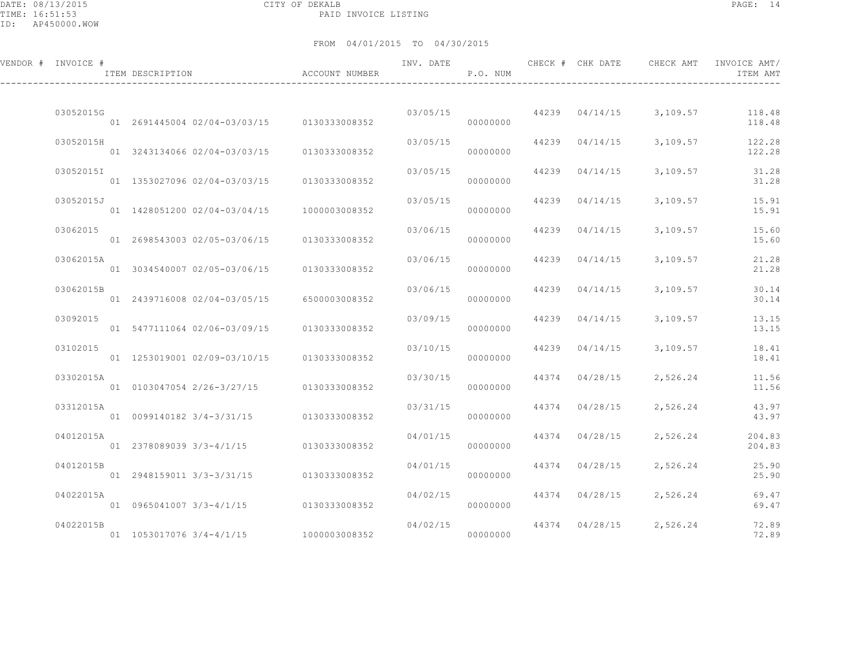DATE: 08/13/2015 CITY OF DEKALB PAGE: 14 PAID INVOICE LISTING

| VENDOR # INVOICE # | ITEM DESCRIPTION                                                   | ACCOUNT NUMBER | INV. DATE | P.O. NUM             |       | CHECK # CHK DATE | CHECK AMT                      | INVOICE AMT/<br>ITEM AMT |
|--------------------|--------------------------------------------------------------------|----------------|-----------|----------------------|-------|------------------|--------------------------------|--------------------------|
| 03052015G          | 01 2691445004 02/04-03/03/15 0130333008352                         |                | 03/05/15  | 00000000             |       |                  | 44239 04/14/15 3,109.57 118.48 | 118.48                   |
| 03052015H          | 01 3243134066 02/04-03/03/15                                       | 0130333008352  | 03/05/15  | 00000000             |       | 44239 04/14/15   | 3,109.57                       | 122.28<br>122.28         |
| 03052015I          | 01 1353027096 02/04-03/03/15                                       | 0130333008352  | 03/05/15  | 00000000             |       | 44239 04/14/15   | 3,109.57                       | 31.28<br>31.28           |
| 03052015J          | 01 1428051200 02/04-03/04/15                                       | 1000003008352  | 03/05/15  | 00000000             | 44239 | 04/14/15         | 3,109.57                       | 15.91<br>15.91           |
| 03062015           | 01 2698543003 02/05-03/06/15                                       | 0130333008352  | 03/06/15  | 00000000             |       | 44239 04/14/15   | 3,109.57                       | 15.60<br>15.60           |
| 03062015A          | 01 3034540007 02/05-03/06/15                                       | 0130333008352  | 03/06/15  | 00000000             |       | 44239 04/14/15   | 3,109.57                       | 21.28<br>21.28           |
| 03062015B          | 01 2439716008 02/04-03/05/15                                       | 6500003008352  | 03/06/15  | 00000000             |       | 44239 04/14/15   | 3,109.57                       | 30.14<br>30.14           |
| 03092015           | 01 5477111064 02/06-03/09/15                                       | 0130333008352  | 03/09/15  | 00000000             |       | 44239 04/14/15   | 3,109.57                       | 13.15<br>13.15           |
| 03102015           | 01 1253019001 02/09-03/10/15                                       | 0130333008352  | 03/10/15  | 00000000             | 44239 | 04/14/15         | 3,109.57                       | 18.41<br>18.41           |
| 03302015A          | 01 0103047054 2/26-3/27/15 0130333008352                           |                | 03/30/15  | 00000000             |       | 44374 04/28/15   | 2,526.24                       | 11.56<br>11.56           |
| 03312015A          |                                                                    | 0130333008352  | 03/31/15  | 00000000             |       | 44374 04/28/15   | 2,526.24                       | 43.97<br>43.97           |
| 04012015A          | 01 2378089039 3/3-4/1/15 0130333008352                             |                | 04/01/15  | 00000000             |       | 44374 04/28/15   | 2,526.24                       | 204.83<br>204.83         |
| 04012015B          | 01 2948159011 3/3-3/31/15                                          | 0130333008352  | 04/01/15  | 00000000             |       | 44374 04/28/15   | 2,526.24                       | 25.90<br>25.90           |
| 04022015A          |                                                                    |                | 04/02/15  |                      |       | 44374 04/28/15   | 2,526.24                       | 69.47                    |
| 04022015B          | 01 0965041007 3/3-4/1/15<br>01 1053017076 3/4-4/1/15 1000003008352 | 0130333008352  | 04/02/15  | 00000000<br>00000000 |       |                  | 44374 04/28/15 2,526.24        | 69.47<br>72.89<br>72.89  |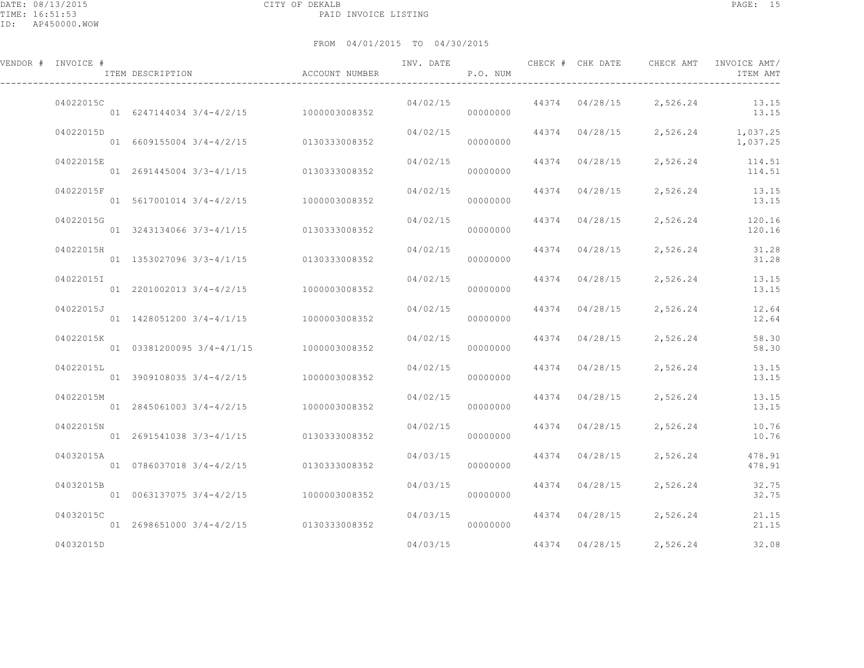DATE: 08/13/2015 CITY OF DEKALB PAGE: 15 PAID INVOICE LISTING

ID: AP450000.WOW

| VENDOR # INVOICE # | ITEM DESCRIPTION                          | ACCOUNT NUMBER | INV. DATE | P.O. NUM |                | CHECK # CHK DATE CHECK AMT | INVOICE AMT/<br>ITEM AMT      |
|--------------------|-------------------------------------------|----------------|-----------|----------|----------------|----------------------------|-------------------------------|
| 04022015C          | 01 6247144034 3/4-4/2/15 1000003008352    |                | 04/02/15  | 00000000 |                | 44374 04/28/15 2,526.24    | 13.15<br>13.15                |
| 04022015D          | 01 6609155004 3/4-4/2/15 0130333008352    |                | 04/02/15  | 00000000 | 44374 04/28/15 |                            | 2,526.24 1,037.25<br>1,037.25 |
| 04022015E          | 01 2691445004 3/3-4/1/15 0130333008352    |                | 04/02/15  | 00000000 | 44374 04/28/15 | 2,526.24                   | 114.51<br>114.51              |
| 04022015F          | 01 5617001014 3/4-4/2/15 1000003008352    |                | 04/02/15  | 00000000 | 44374 04/28/15 | 2,526.24                   | 13.15<br>13.15                |
| 04022015G          | 01 3243134066 3/3-4/1/15 0130333008352    |                | 04/02/15  | 00000000 | 44374 04/28/15 | 2,526.24                   | 120.16<br>120.16              |
| 04022015H          | 01 1353027096 3/3-4/1/15 0130333008352    |                | 04/02/15  | 00000000 | 44374 04/28/15 | 2,526.24                   | 31.28<br>31.28                |
| 04022015I          | 01 2201002013 3/4-4/2/15 1000003008352    |                | 04/02/15  | 00000000 | 44374 04/28/15 | 2,526.24                   | 13.15<br>13.15                |
| 04022015J          | 01  1428051200  3/4-4/1/15  1000003008352 |                | 04/02/15  | 00000000 | 44374 04/28/15 | 2,526.24                   | 12.64<br>12.64                |
| 04022015K          | 01 03381200095 3/4-4/1/15                 | 1000003008352  | 04/02/15  | 00000000 | 44374 04/28/15 | 2,526.24                   | 58.30<br>58.30                |
| 04022015L          | 01 3909108035 3/4-4/2/15 1000003008352    |                | 04/02/15  | 00000000 | 44374 04/28/15 | 2,526.24                   | 13.15<br>13.15                |
| 04022015M          | 01 2845061003 3/4-4/2/15                  | 1000003008352  | 04/02/15  | 00000000 | 44374 04/28/15 | 2,526.24                   | 13.15<br>13.15                |
| 04022015N          | 01 2691541038 3/3-4/1/15                  | 0130333008352  | 04/02/15  | 00000000 | 44374 04/28/15 | 2,526.24                   | 10.76<br>10.76                |
| 04032015A          | 01 0786037018 3/4-4/2/15 0130333008352    |                | 04/03/15  | 00000000 | 44374 04/28/15 | 2,526.24                   | 478.91<br>478.91              |
| 04032015B          | 01 0063137075 3/4-4/2/15 1000003008352    |                | 04/03/15  | 00000000 | 44374 04/28/15 | 2,526.24                   | 32.75<br>32.75                |
| 04032015C          | 01 2698651000 3/4-4/2/15 0130333008352    |                | 04/03/15  | 00000000 | 44374 04/28/15 | 2,526.24                   | 21.15<br>21.15                |
| 04032015D          |                                           |                | 04/03/15  |          | 44374 04/28/15 | 2,526.24                   | 32.08                         |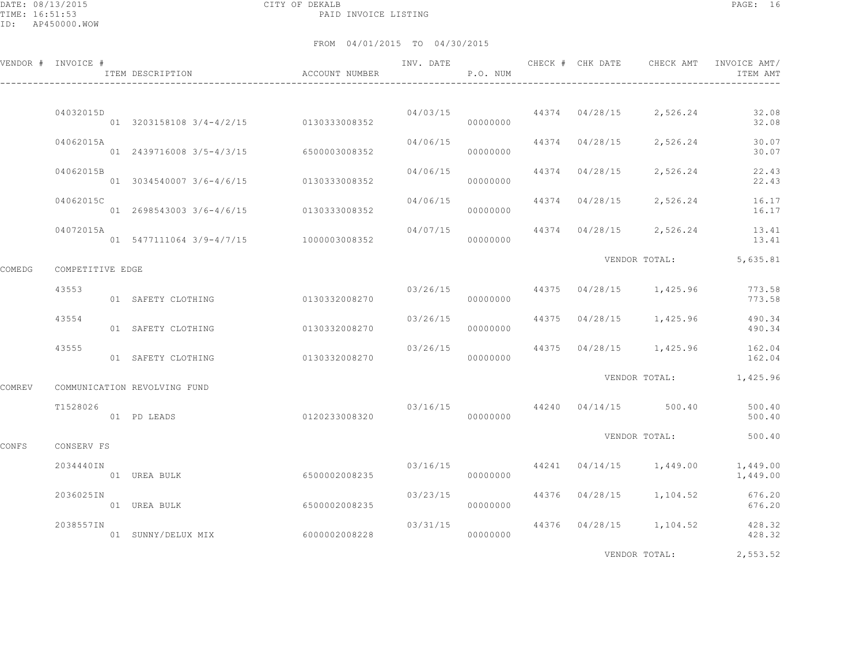DATE: 08/13/2015 CITY OF DEKALB PAGE: 16 PAID INVOICE LISTING

|        | VENDOR # INVOICE # | ITEM DESCRIPTION                          | ACCOUNT NUMBER | INV. DATE | P.O. NUM |                | CHECK # CHK DATE CHECK AMT               | INVOICE AMT/<br>ITEM AMT                 |
|--------|--------------------|-------------------------------------------|----------------|-----------|----------|----------------|------------------------------------------|------------------------------------------|
|        | 04032015D          | 01 3203158108 3/4-4/2/15 0130333008352    |                |           | 00000000 |                | $04/03/15$ $44374$ $04/28/15$ $2,526.24$ | 32.08<br>32.08                           |
|        | 04062015A          | 01 2439716008 3/5-4/3/15 6500003008352    |                | 04/06/15  | 00000000 |                | 44374 04/28/15 2,526.24                  | 30.07<br>30.07                           |
|        | 04062015B          | 01 3034540007 3/6-4/6/15 0130333008352    |                | 04/06/15  | 00000000 | 44374 04/28/15 | 2,526.24                                 | 22.43<br>22.43                           |
|        | 04062015C          | 01  2698543003  3/6-4/6/15  0130333008352 |                | 04/06/15  | 00000000 | 44374 04/28/15 | 2,526.24                                 | 16.17<br>16.17                           |
|        | 04072015A          | 01 5477111064 3/9-4/7/15 1000003008352    |                | 04/07/15  | 00000000 |                | 44374 04/28/15 2,526.24                  | 13.41<br>13.41                           |
| COMEDG | COMPETITIVE EDGE   |                                           |                |           |          |                | VENDOR TOTAL:                            | 5,635.81                                 |
|        | 43553              | 01 SAFETY CLOTHING                        | 0130332008270  |           | 00000000 |                | $03/26/15$ $44375$ $04/28/15$ $1,425.96$ | 773.58<br>773.58                         |
|        | 43554              | 01 SAFETY CLOTHING                        | 0130332008270  | 03/26/15  | 00000000 |                | 44375 04/28/15 1,425.96                  | 490.34<br>490.34                         |
|        | 43555              | 01 SAFETY CLOTHING                        | 0130332008270  | 03/26/15  | 00000000 |                |                                          | 44375 04/28/15 1,425.96 162.04<br>162.04 |
| COMREV |                    | COMMUNICATION REVOLVING FUND              |                |           |          |                |                                          | VENDOR TOTAL: 1,425.96                   |
|        | T1528026           | 01 PD LEADS                               | 0120233008320  |           | 00000000 |                | $03/16/15$ $44240$ $04/14/15$ $500.40$   | 500.40<br>500.40                         |
| CONFS  | CONSERV FS         |                                           |                |           |          |                | VENDOR TOTAL:                            | 500.40                                   |
|        | 2034440IN          | 01 UREA BULK                              | 6500002008235  | 03/16/15  | 00000000 |                | 44241 04/14/15 1,449.00                  | 1,449.00<br>1,449.00                     |
|        | 2036025IN          | 01 UREA BULK                              | 6500002008235  | 03/23/15  | 00000000 |                |                                          | 44376 04/28/15 1,104.52 676.20<br>676.20 |
|        | 2038557IN          | 01 SUNNY/DELUX MIX                        | 60000002008228 | 03/31/15  | 00000000 |                | 44376 04/28/15 1,104.52                  | 428.32<br>428.32                         |
|        |                    |                                           |                |           |          |                | VENDOR TOTAL:                            | 2,553.52                                 |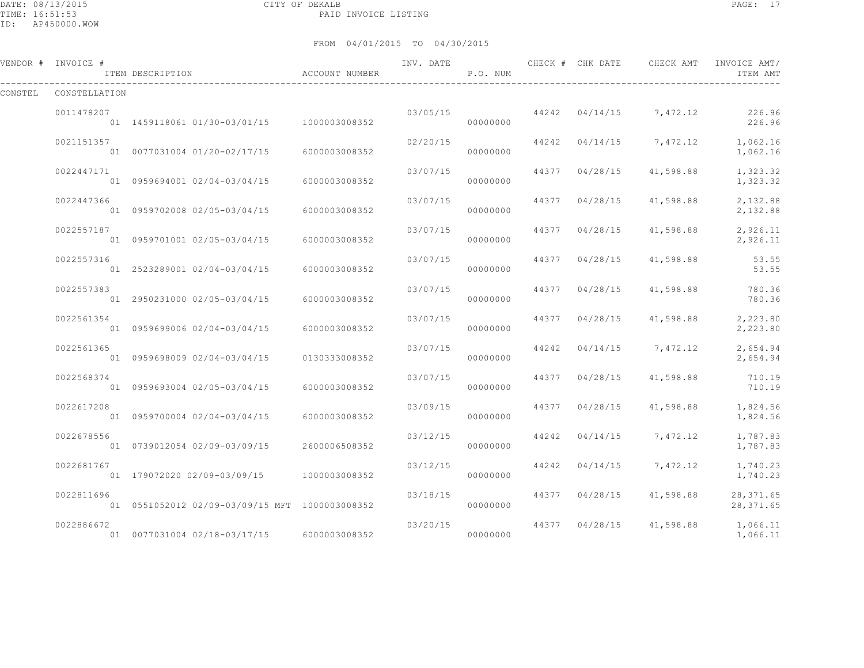DATE: 08/13/2015 CITY OF DEKALB PAGE: 17 PAID INVOICE LISTING

ID: AP450000.WOW

|         | VENDOR # INVOICE # | ITEM DESCRIPTION                               | ACCOUNT NUMBER | INV. DATE | P.O. NUM |       | CHECK # CHK DATE | CHECK AMT               | INVOICE AMT/<br>ITEM AMT |
|---------|--------------------|------------------------------------------------|----------------|-----------|----------|-------|------------------|-------------------------|--------------------------|
| CONSTEL | CONSTELLATION      |                                                |                |           |          |       |                  |                         |                          |
|         | 0011478207         | 01  1459118061  01/30-03/01/15  1000003008352  |                | 03/05/15  | 00000000 |       | 44242 04/14/15   | 7,472.12                | 226.96<br>226.96         |
|         | 0021151357         | 01 0077031004 01/20-02/17/15                   | 6000003008352  | 02/20/15  | 00000000 |       |                  | 44242 04/14/15 7,472.12 | 1,062.16<br>1,062.16     |
|         | 0022447171         | 01 0959694001 02/04-03/04/15                   | 6000003008352  | 03/07/15  | 00000000 | 44377 | 04/28/15         | 41,598.88               | 1,323.32<br>1,323.32     |
|         | 0022447366         | 01 0959702008 02/05-03/04/15                   | 6000003008352  | 03/07/15  | 00000000 | 44377 | 04/28/15         | 41,598.88               | 2,132.88<br>2,132.88     |
|         | 0022557187         | 01 0959701001 02/05-03/04/15                   | 6000003008352  | 03/07/15  | 00000000 | 44377 | 04/28/15         | 41,598.88               | 2,926.11<br>2,926.11     |
|         | 0022557316         | 01 2523289001 02/04-03/04/15                   | 6000003008352  | 03/07/15  | 00000000 | 44377 | 04/28/15         | 41,598.88               | 53.55<br>53.55           |
|         | 0022557383         | 01 2950231000 02/05-03/04/15                   | 6000003008352  | 03/07/15  | 00000000 | 44377 | 04/28/15         | 41,598.88               | 780.36<br>780.36         |
|         | 0022561354         | 01 0959699006 02/04-03/04/15                   | 6000003008352  | 03/07/15  | 00000000 | 44377 | 04/28/15         | 41,598.88               | 2,223.80<br>2,223.80     |
|         | 0022561365         | 01 0959698009 02/04-03/04/15                   | 0130333008352  | 03/07/15  | 00000000 | 44242 |                  | $04/14/15$ 7,472.12     | 2,654.94<br>2,654.94     |
|         | 0022568374         | 01 0959693004 02/05-03/04/15                   | 6000003008352  | 03/07/15  | 00000000 | 44377 | 04/28/15         | 41,598.88               | 710.19<br>710.19         |
|         | 0022617208         | 01 0959700004 02/04-03/04/15                   | 6000003008352  | 03/09/15  | 00000000 | 44377 | 04/28/15         | 41,598.88               | 1,824.56<br>1,824.56     |
|         | 0022678556         | 01 0739012054 02/09-03/09/15                   | 2600006508352  | 03/12/15  | 00000000 | 44242 | 04/14/15         | 7,472.12                | 1,787.83<br>1,787.83     |
|         | 0022681767         | 01 179072020 02/09-03/09/15                    | 1000003008352  | 03/12/15  | 00000000 | 44242 | 04/14/15         | 7,472.12                | 1,740.23<br>1,740.23     |
|         | 0022811696         | 01 0551052012 02/09-03/09/15 MFT 1000003008352 |                | 03/18/15  | 00000000 | 44377 | 04/28/15         | 41,598.88               | 28, 371.65<br>28, 371.65 |
|         | 0022886672         | 01 0077031004 02/18-03/17/15                   | 6000003008352  | 03/20/15  | 00000000 | 44377 | 04/28/15         | 41,598.88               | 1,066.11<br>1,066.11     |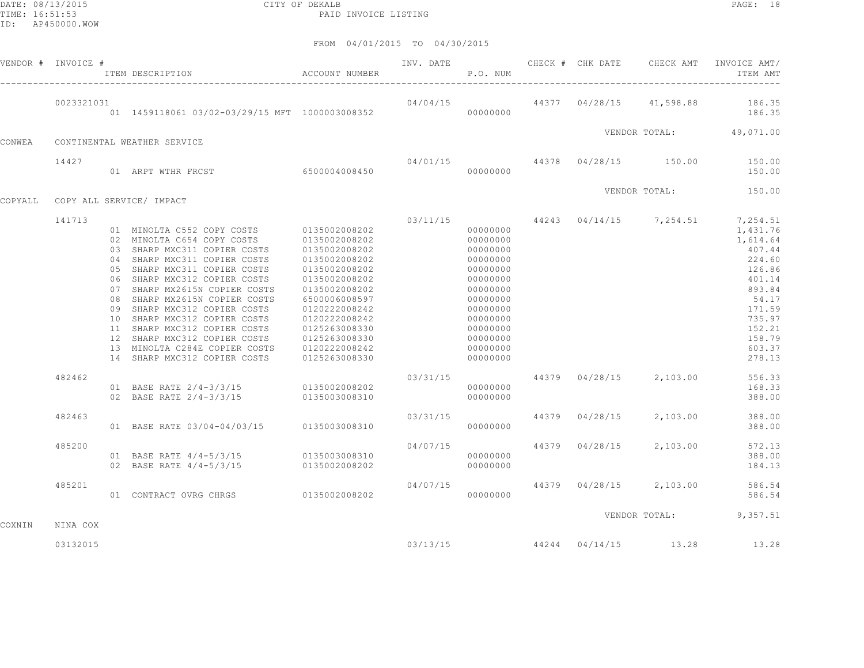DATE: 08/13/2015 CITY OF DEKALB PAGE: 18 PAID INVOICE LISTING

|         | VENDOR # INVOICE # | ACCOUNT NUMBER<br>ITEM DESCRIPTION                                                                                                                                                                                                                                                                                                                                                                                                                                                      |                                                                                                                                                                                                          |          | P.O. NUM                                                                                                                                                             |                |                                       | INV. DATE 6 CHECK # CHK DATE CHECK AMT INVOICE AMT/<br>ITEM AMT                                                                                                                                    |
|---------|--------------------|-----------------------------------------------------------------------------------------------------------------------------------------------------------------------------------------------------------------------------------------------------------------------------------------------------------------------------------------------------------------------------------------------------------------------------------------------------------------------------------------|----------------------------------------------------------------------------------------------------------------------------------------------------------------------------------------------------------|----------|----------------------------------------------------------------------------------------------------------------------------------------------------------------------|----------------|---------------------------------------|----------------------------------------------------------------------------------------------------------------------------------------------------------------------------------------------------|
|         | 0023321031         |                                                                                                                                                                                                                                                                                                                                                                                                                                                                                         |                                                                                                                                                                                                          |          |                                                                                                                                                                      |                |                                       | $04/04/15$ $44377$ $04/28/15$ $41,598.88$ $186.35$<br>186.35                                                                                                                                       |
| CONWEA  |                    | CONTINENTAL WEATHER SERVICE                                                                                                                                                                                                                                                                                                                                                                                                                                                             |                                                                                                                                                                                                          |          |                                                                                                                                                                      |                |                                       | VENDOR TOTAL: 49,071.00                                                                                                                                                                            |
|         |                    |                                                                                                                                                                                                                                                                                                                                                                                                                                                                                         |                                                                                                                                                                                                          |          |                                                                                                                                                                      |                |                                       |                                                                                                                                                                                                    |
|         | 14427              |                                                                                                                                                                                                                                                                                                                                                                                                                                                                                         |                                                                                                                                                                                                          |          |                                                                                                                                                                      |                |                                       | 04/01/15 44378 04/28/15 150.00 150.00<br>150.00                                                                                                                                                    |
| COPYALL |                    | COPY ALL SERVICE/ IMPACT                                                                                                                                                                                                                                                                                                                                                                                                                                                                |                                                                                                                                                                                                          |          |                                                                                                                                                                      |                |                                       | VENDOR TOTAL: 150.00                                                                                                                                                                               |
|         | 141713<br>482462   | 01 MINOLTA C552 COPY COSTS 0135002008202<br>02 MINOLTA C654 COPY COSTS 0135002008202<br>03 SHARP MXC311 COPIER COSTS<br>04 SHARP MXC311 COPIER COSTS<br>05 SHARP MXC311 COPIER COSTS<br>06 SHARP MXC312 COPIER COSTS<br>07 SHARP MX2615N COPIER COSTS<br>08 SHARP MX2615N COPIER COSTS<br>09 SHARP MXC312 COPIER COSTS<br>10 SHARP MXC312 COPIER COSTS<br>11 SHARP MXC312 COPIER COSTS<br>12 SHARP MXC312 COPIER COSTS<br>13 MINOLTA C284E COPIER COSTS<br>14 SHARP MXC312 COPIER COSTS | 0135002008202<br>0135002008202<br>0135002008202<br>0135002008202<br>0135002008202<br>6500006008597<br>0120222008242<br>0120222008242<br>0125263008330<br>0125263008330<br>0120222008242<br>0125263008330 | 03/31/15 | 00000000<br>00000000<br>00000000<br>00000000<br>00000000<br>00000000<br>00000000<br>00000000<br>00000000<br>00000000<br>00000000<br>00000000<br>00000000<br>00000000 |                | 44379  04/28/15  2,103.00             | 03/11/15 44243 04/14/15 7,254.51 7,254.51<br>1,431.76<br>1,614.64<br>407.44<br>224.60<br>126.86<br>401.14<br>893.84<br>54.17<br>171.59<br>735.97<br>152.21<br>158.79<br>603.37<br>278.13<br>556.33 |
|         |                    | 01 BASE RATE 2/4-3/3/15 0135002008202<br>02 BASE RATE 2/4-3/3/15 0135003008310                                                                                                                                                                                                                                                                                                                                                                                                          |                                                                                                                                                                                                          |          | 00000000<br>00000000                                                                                                                                                 |                |                                       | 168.33<br>388.00                                                                                                                                                                                   |
|         | 482463             | 01 BASE RATE 03/04-04/03/15 0135003008310                                                                                                                                                                                                                                                                                                                                                                                                                                               |                                                                                                                                                                                                          | 03/31/15 | 00000000                                                                                                                                                             | 44379 04/28/15 | 2,103.00                              | 388.00<br>388.00                                                                                                                                                                                   |
|         | 485200             | 01 BASE RATE $4/4 - 5/3/15$ 0135003008310<br>02 BASE RATE $4/4-5/3/15$                                                                                                                                                                                                                                                                                                                                                                                                                  | 0135002008202                                                                                                                                                                                            | 04/07/15 | 00000000<br>00000000                                                                                                                                                 |                | 44379 04/28/15 2,103.00               | 572.13<br>388.00<br>184.13                                                                                                                                                                         |
|         | 485201             | 01 CONTRACT OVRG CHRGS 0135002008202                                                                                                                                                                                                                                                                                                                                                                                                                                                    |                                                                                                                                                                                                          | 04/07/15 | 00000000                                                                                                                                                             |                |                                       | 44379 04/28/15 2,103.00 586.54<br>586.54                                                                                                                                                           |
| COXNIN  | NINA COX           |                                                                                                                                                                                                                                                                                                                                                                                                                                                                                         |                                                                                                                                                                                                          |          |                                                                                                                                                                      |                |                                       | VENDOR TOTAL: 9,357.51                                                                                                                                                                             |
|         | 03132015           |                                                                                                                                                                                                                                                                                                                                                                                                                                                                                         |                                                                                                                                                                                                          |          |                                                                                                                                                                      |                | $03/13/15$ $44244$ $04/14/15$ $13.28$ | 13.28                                                                                                                                                                                              |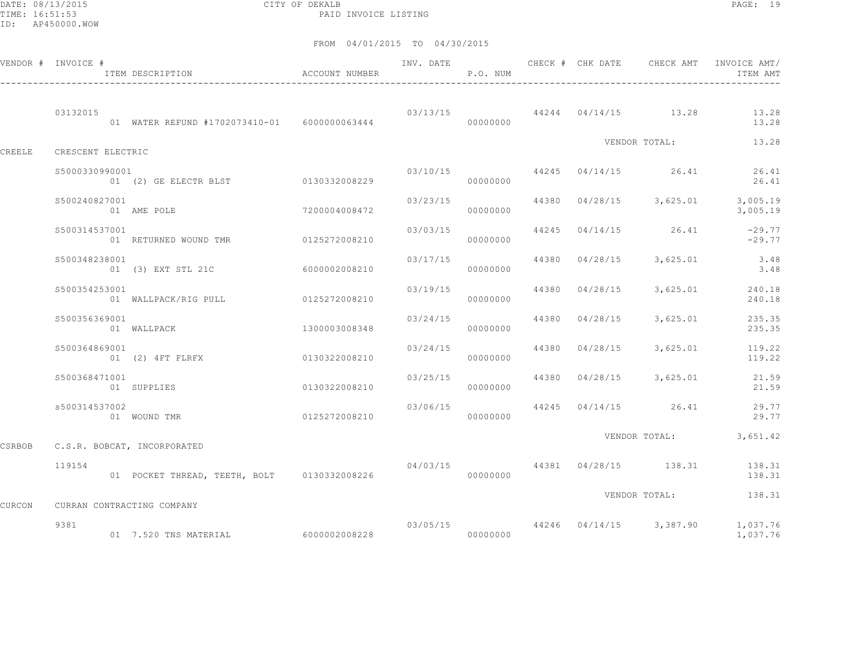DATE: 08/13/2015 CITY OF DEKALB PAGE: 19 PAID INVOICE LISTING

| VENDOR # INVOICE # |                   | ITEM DESCRIPTION<br>$\hfill$<br>ACCOUNT NUMBER  |               | INV. DATE      | P.O. NUM |       |                | CHECK # CHK DATE CHECK AMT | INVOICE AMT/<br>ITEM AMT                                        |
|--------------------|-------------------|-------------------------------------------------|---------------|----------------|----------|-------|----------------|----------------------------|-----------------------------------------------------------------|
|                    | 03132015          | 01 WATER REFUND #1702073410-01    6000000063444 |               |                | 00000000 |       |                |                            | $03/13/15$ $44244$ $04/14/15$ $13.28$ $13.28$<br>13.28          |
| CREELE             | CRESCENT ELECTRIC |                                                 |               |                |          |       |                |                            | VENDOR TOTAL: 13.28                                             |
|                    | S5000330990001    | 01 (2) GE ELECTR BLST 0130332008229             |               |                | 00000000 |       |                |                            | $03/10/15$ $44245$ $04/14/15$ $26.41$ $26.41$<br>26.41          |
|                    | \$500240827001    | 01 AME POLE                                     | 7200004008472 |                | 00000000 |       |                |                            | $03/23/15$ 44380 $04/28/15$ 3,625.01 3,005.19<br>3,005.19       |
|                    | \$500314537001    | 01 RETURNED WOUND TMR 0125272008210             |               | 03/03/15       | 00000000 |       |                | 44245 04/14/15 26.41       | $-29.77$<br>$-29.77$                                            |
|                    | \$500348238001    | 01 (3) EXT STL 21C 6000002008210                |               | 03/17/15       | 00000000 |       | 44380 04/28/15 |                            | 3,625.01 3.48<br>3.48                                           |
|                    | S500354253001     | 01 WALLPACK/RIG PULL                            | 0125272008210 | 03/19/15       | 00000000 | 44380 | 04/28/15       |                            | 3,625.01 240.18<br>240.18                                       |
|                    | \$500356369001    | 01 WALLPACK                                     | 1300003008348 | 03/24/15       | 00000000 | 44380 | 04/28/15       | 3,625.01                   | 235.35<br>235.35                                                |
|                    | \$500364869001    | 01 (2) 4FT FLRFX                                | 0130322008210 | 03/24/15       | 00000000 |       | 44380 04/28/15 | 3,625.01                   | 119.22<br>119.22                                                |
|                    | S500368471001     | 01 SUPPLIES                                     | 0130322008210 | 03/25/15       | 00000000 |       |                |                            | 44380 04/28/15 3,625.01 21.59<br>21.59                          |
|                    | s500314537002     | 01 WOUND TMR                                    | 0125272008210 | 03/06/15 44245 | 00000000 |       |                |                            | 04/14/15 26.41 29.77<br>29.77                                   |
| CSRBOB             |                   | C.S.R. BOBCAT, INCORPORATED                     |               |                |          |       |                |                            | VENDOR TOTAL: 3,651.42                                          |
|                    | 119154            | 01 POCKET THREAD, TEETH, BOLT 0130332008226     |               | 04/03/15       | 00000000 |       |                |                            | 44381 04/28/15 138.31 138.31<br>138.31                          |
| CURCON             |                   | CURRAN CONTRACTING COMPANY                      |               |                |          |       |                |                            | VENDOR TOTAL: 138.31                                            |
|                    | 9381              |                                                 |               |                |          |       |                |                            | $03/05/15$ $44246$ $04/14/15$ $3,387.90$ $1,037.76$<br>1,037.76 |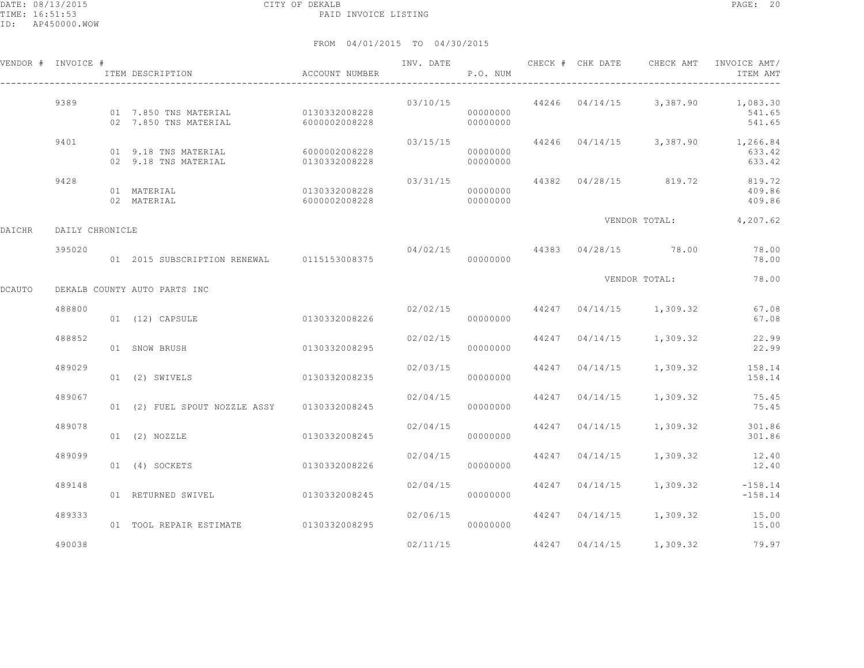|        | VENDOR # INVOICE # | ITEM DESCRIPTION                               | ACCOUNT NUMBER                 | INV. DATE | P.O. NUM             |       |                | CHECK # CHK DATE CHECK AMT | INVOICE AMT/<br>ITEM AMT                                 |
|--------|--------------------|------------------------------------------------|--------------------------------|-----------|----------------------|-------|----------------|----------------------------|----------------------------------------------------------|
|        | 9389               | 01 7.850 TNS MATERIAL<br>02 7.850 TNS MATERIAL | 0130332008228<br>6000002008228 | 03/10/15  | 00000000<br>00000000 |       |                |                            | $44246$ $04/14/15$ 3,387.90 1,083.30<br>541.65<br>541.65 |
|        | 9401               | 01 9.18 TNS MATERIAL<br>02 9.18 TNS MATERIAL   | 6000002008228<br>0130332008228 | 03/15/15  | 00000000<br>00000000 |       |                |                            | 44246 04/14/15 3,387.90 1,266.84<br>633.42<br>633.42     |
|        | 9428               | 01 MATERIAL<br>02 MATERIAL                     | 0130332008228<br>6000002008228 | 03/31/15  | 00000000<br>00000000 | 44382 |                | 04/28/15 819.72            | 819.72<br>409.86<br>409.86                               |
| DAICHR | DAILY CHRONICLE    |                                                |                                |           |                      |       |                |                            | VENDOR TOTAL: 4,207.62                                   |
|        | 395020             | 01 2015 SUBSCRIPTION RENEWAL 0115153008375     |                                | 04/02/15  | 00000000             |       |                | 44383 04/28/15 78.00       | 78.00<br>78.00                                           |
| DCAUTO |                    | DEKALB COUNTY AUTO PARTS INC                   |                                |           |                      |       |                | VENDOR TOTAL:              | 78.00                                                    |
|        | 488800             | 01 (12) CAPSULE                                | 0130332008226                  |           | 02/02/15<br>00000000 |       |                | 44247 04/14/15 1,309.32    | 67.08<br>67.08                                           |
|        | 488852             | 01 SNOW BRUSH                                  | 0130332008295                  |           | 02/02/15<br>00000000 | 44247 | 04/14/15       | 1,309.32                   | 22.99<br>22.99                                           |
|        | 489029             | 01 (2) SWIVELS                                 | 0130332008235                  | 02/03/15  | 00000000             |       | 44247 04/14/15 | 1,309.32                   | 158.14<br>158.14                                         |
|        | 489067             | 01 (2) FUEL SPOUT NOZZLE ASSY 0130332008245    |                                | 02/04/15  | 00000000             |       | 44247 04/14/15 | 1,309.32                   | 75.45<br>75.45                                           |
|        | 489078             | $01$ $(2)$ NOZZLE                              | 0130332008245                  | 02/04/15  | 00000000             |       | 44247 04/14/15 | 1,309.32                   | 301.86<br>301.86                                         |
|        | 489099             | 01 (4) SOCKETS                                 | 0130332008226                  | 02/04/15  | 00000000             | 44247 | 04/14/15       | 1,309.32                   | 12.40<br>12.40                                           |
|        | 489148             | 01 RETURNED SWIVEL                             | 0130332008245                  | 02/04/15  | 00000000             | 44247 | 04/14/15       | 1,309.32                   | $-158.14$<br>$-158.14$                                   |
|        | 489333             | 01 TOOL REPAIR ESTIMATE                        | 0130332008295                  | 02/06/15  | 00000000             |       | 44247 04/14/15 | 1,309.32                   | 15.00<br>15.00                                           |
|        | 490038             |                                                |                                | 02/11/15  |                      |       |                | 44247 04/14/15 1,309.32    | 79.97                                                    |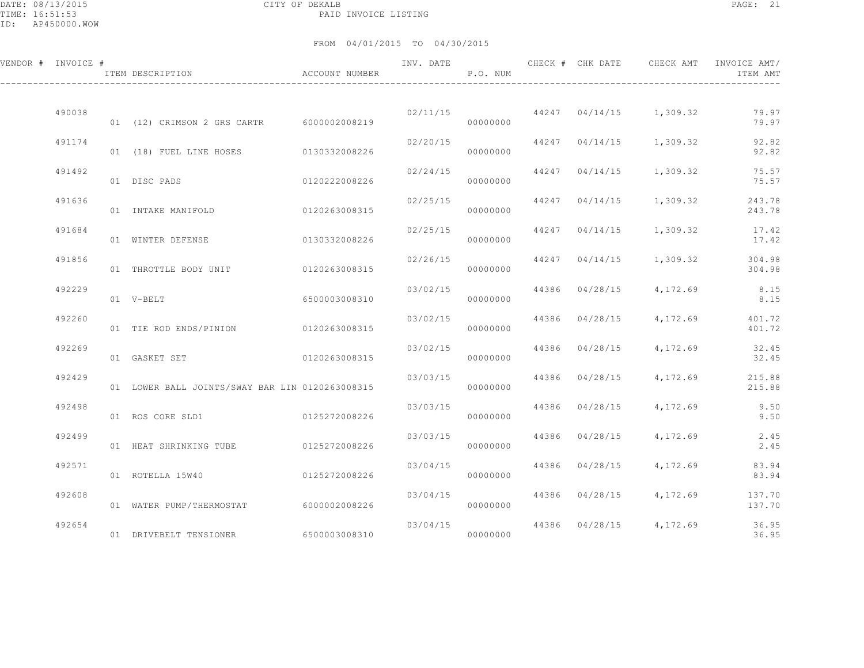DATE: 08/13/2015 CITY OF DEKALB PAGE: 21 PAID INVOICE LISTING

| VENDOR # INVOICE # | ITEM DESCRIPTION                                | ACCOUNT NUMBER | INV. DATE | P.O. NUM | CHECK # CHK DATE | CHECK AMT                                | INVOICE AMT/<br>ITEM AMT |
|--------------------|-------------------------------------------------|----------------|-----------|----------|------------------|------------------------------------------|--------------------------|
| 490038             | 01 (12) CRIMSON 2 GRS CARTR 6000002008219       |                |           | 00000000 |                  | $02/11/15$ 44247 04/14/15 1,309.32       | 79.97<br>79.97           |
| 491174             | 01 (18) FUEL LINE HOSES 0130332008226           |                | 02/20/15  | 00000000 |                  | 44247 04/14/15 1,309.32                  | 92.82<br>92.82           |
| 491492             | 01 DISC PADS                                    | 0120222008226  | 02/24/15  | 00000000 |                  | 44247 04/14/15 1,309.32                  | 75.57<br>75.57           |
| 491636             | 01 INTAKE MANIFOLD                              | 0120263008315  |           | 00000000 |                  | $02/25/15$ $44247$ $04/14/15$ $1,309.32$ | 243.78<br>243.78         |
| 491684             | 01 WINTER DEFENSE 6130332008226                 |                | 02/25/15  | 00000000 |                  | 44247 04/14/15 1,309.32                  | 17.42<br>17.42           |
| 491856             | 01 THROTTLE BODY UNIT 0120263008315             |                | 02/26/15  | 00000000 |                  | 44247 04/14/15 1,309.32                  | 304.98<br>304.98         |
| 492229             | 01 V-BELT                                       | 6500003008310  | 03/02/15  | 00000000 |                  | 44386 04/28/15 4,172.69                  | 8.15<br>8.15             |
| 492260             | 01 TIE ROD ENDS/PINION 0120263008315            |                | 03/02/15  | 00000000 | 44386 04/28/15   | 4,172.69                                 | 401.72<br>401.72         |
| 492269             | 01 GASKET SET                                   | 0120263008315  | 03/02/15  | 00000000 |                  | 44386 04/28/15 4,172.69                  | 32.45<br>32.45           |
| 492429             | 01 LOWER BALL JOINTS/SWAY BAR LIN 0120263008315 |                | 03/03/15  | 00000000 |                  | 44386 04/28/15 4,172.69                  | 215.88<br>215.88         |
| 492498             | 01 ROS CORE SLD1                                | 0125272008226  | 03/03/15  | 00000000 |                  | 44386 04/28/15 4,172.69                  | 9.50<br>9.50             |
| 492499             | 01 HEAT SHRINKING TUBE                          | 0125272008226  | 03/03/15  | 00000000 |                  | 44386 04/28/15 4,172.69                  | 2.45<br>2.45             |
| 492571             | 01 ROTELLA 15W40                                | 0125272008226  | 03/04/15  | 00000000 |                  | 44386 04/28/15 4,172.69                  | 83.94<br>83.94           |
| 492608             |                                                 |                | 03/04/15  |          |                  | 44386 04/28/15 4,172.69                  | 137.70                   |
| 492654             | 01 WATER PUMP/THERMOSTAT 6000002008226          |                |           | 00000000 |                  | $03/04/15$ 44386 $04/28/15$ 4,172.69     | 137.70<br>36.95<br>36.95 |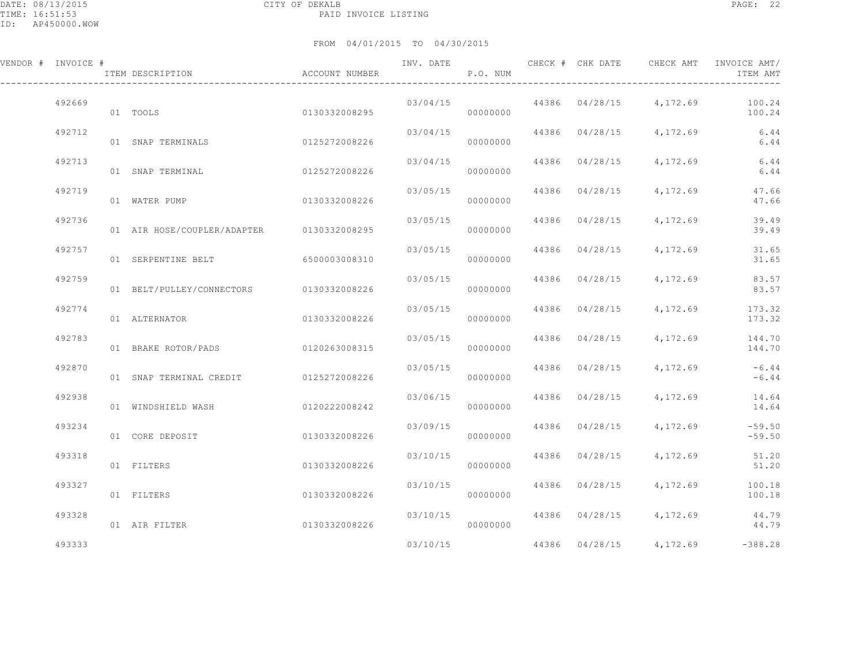| VENDOR # INVOICE # | ITEM DESCRIPTION                          | <b>ACCOUNT NUMBER</b> | INV. DATE | P.O. NUM | CHECK # CHK DATE | CHECK AMT                      | INVOICE AMT/<br>ITEM AMT                |
|--------------------|-------------------------------------------|-----------------------|-----------|----------|------------------|--------------------------------|-----------------------------------------|
| 492669             | 01 TOOLS                                  | 0130332008295         | 03/04/15  | 00000000 |                  | 44386 04/28/15 4,172.69 100.24 | 100.24                                  |
| 492712             | 01 SNAP TERMINALS                         | 0125272008226         | 03/04/15  | 00000000 | 44386 04/28/15   |                                | 4, 172, 69 6, 44<br>6.44                |
| 492713             | 01 SNAP TERMINAL                          | 0125272008226         | 03/04/15  | 00000000 | 44386 04/28/15   | 4,172.69                       | 6.44<br>6.44                            |
| 492719             | 01 WATER PUMP                             | 0130332008226         | 03/05/15  | 00000000 | 44386 04/28/15   | 4,172.69                       | 47.66<br>47.66                          |
| 492736             | 01 AIR HOSE/COUPLER/ADAPTER 0130332008295 |                       | 03/05/15  | 00000000 | 44386 04/28/15   | 4,172.69                       | 39.49<br>39.49                          |
| 492757             | 01 SERPENTINE BELT 6500003008310          |                       | 03/05/15  | 00000000 | 44386 04/28/15   | 4, 172.69                      | 31.65<br>31.65                          |
| 492759             | 01 BELT/PULLEY/CONNECTORS 0130332008226   |                       | 03/05/15  | 00000000 | 44386 04/28/15   | 4,172.69                       | 83.57<br>83.57                          |
| 492774             | 01 ALTERNATOR                             | 0130332008226         | 03/05/15  | 00000000 | 44386 04/28/15   | 4,172.69                       | 173.32<br>173.32                        |
| 492783             | 01 BRAKE ROTOR/PADS 0120263008315         |                       | 03/05/15  | 00000000 | 44386 04/28/15   |                                | 4, 172, 69 144, 70<br>144.70            |
| 492870             | 01 SNAP TERMINAL CREDIT 0125272008226     |                       | 03/05/15  | 00000000 | 44386 04/28/15   | 4,172.69                       | $-6.44$<br>$-6.44$                      |
| 492938             | 01 WINDSHIELD WASH                        | 0120222008242         | 03/06/15  | 00000000 | 44386 04/28/15   | 4, 172.69                      | 14.64<br>14.64                          |
| 493234             | 01 CORE DEPOSIT                           | 0130332008226         | 03/09/15  | 00000000 | 44386 04/28/15   | 4,172.69                       | $-59.50$<br>$-59.50$                    |
| 493318             | 01 FILTERS                                | 0130332008226         | 03/10/15  | 00000000 | 44386 04/28/15   | 4,172.69                       | 51.20<br>51.20                          |
| 493327             | 01 FILTERS                                | 0130332008226         | 03/10/15  | 00000000 | 44386 04/28/15   | 4,172.69                       | 100.18<br>100.18                        |
| 493328             | 01 AIR FILTER                             | 0130332008226         | 03/10/15  | 00000000 |                  | 44386 04/28/15 4,172.69        | 44.79<br>44.79                          |
| 493333             |                                           |                       | 03/10/15  |          |                  |                                | $44386$ $04/28/15$ $4,172.69$ $-388.28$ |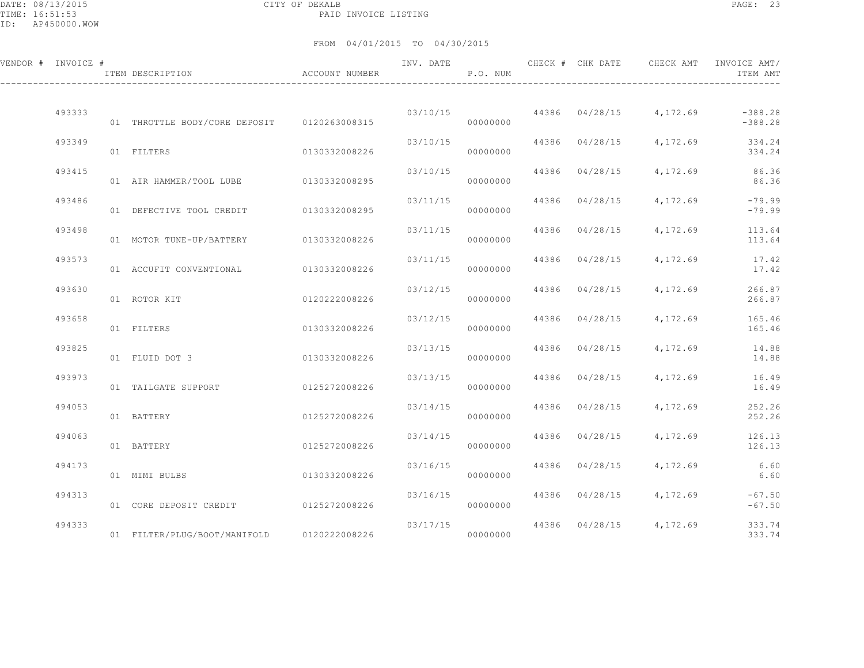DATE: 08/13/2015 CITY OF DEKALB PAGE: 23 PAID INVOICE LISTING

| VENDOR # INVOICE # | ACCOUNT NUMBER<br>ITEM DESCRIPTION          |               | INV. DATE            | P.O. NUM             |                                  | CHECK # CHK DATE CHECK AMT                   | INVOICE AMT/<br>ITEM AMT   |
|--------------------|---------------------------------------------|---------------|----------------------|----------------------|----------------------------------|----------------------------------------------|----------------------------|
| 493333             | 01 THROTTLE BODY/CORE DEPOSIT 0120263008315 |               |                      | 00000000             |                                  | $03/10/15$ 44386 $04/28/15$ 4,172.69 -388.28 | $-388.28$                  |
| 493349             | 01 FILTERS                                  | 0130332008226 | 03/10/15             | 00000000             | 44386 04/28/15                   | 4,172.69                                     | 334.24<br>334.24           |
| 493415             | 01 AIR HAMMER/TOOL LUBE 0130332008295       |               | 03/10/15             | 00000000             | 44386 04/28/15                   | 4,172.69                                     | 86.36<br>86.36             |
| 493486             | 01 DEFECTIVE TOOL CREDIT 0130332008295      |               | 03/11/15             | 00000000             | 44386 04/28/15                   | 4,172.69                                     | $-79.99$<br>$-79.99$       |
| 493498             | 01 MOTOR TUNE-UP/BATTERY 0130332008226      |               | 03/11/15             | 00000000             | 44386 04/28/15                   | 4,172.69                                     | 113.64<br>113.64           |
| 493573             | 01 ACCUFIT CONVENTIONAL 0130332008226       |               | 03/11/15             | 00000000             | 44386 04/28/15                   | 4,172.69                                     | 17.42<br>17.42             |
| 493630             | 01 ROTOR KIT                                | 0120222008226 | 03/12/15             | 00000000             | 44386 04/28/15                   | 4,172.69                                     | 266.87<br>266.87           |
| 493658             | 01 FILTERS                                  | 0130332008226 | 03/12/15             | 00000000             | 44386 04/28/15                   | 4,172.69                                     | 165.46<br>165.46           |
| 493825             | 01 FLUID DOT 3                              | 0130332008226 | 03/13/15             | 00000000             | 44386 04/28/15                   | 4,172.69                                     | 14.88<br>14.88             |
| 493973             | 01 TAILGATE SUPPORT                         | 0125272008226 | 03/13/15             | 00000000             | 44386 04/28/15                   | 4,172.69                                     | 16.49<br>16.49             |
| 494053<br>494063   | 01 BATTERY                                  | 0125272008226 | 03/14/15             | 00000000             | 44386 04/28/15<br>44386 04/28/15 | 4,172.69<br>4,172.69                         | 252.26<br>252.26<br>126.13 |
| 494173             | 01 BATTERY                                  | 0125272008226 | 03/14/15<br>03/16/15 | 00000000             | 44386 04/28/15                   | 4,172.69                                     | 126.13<br>6.60             |
| 494313             | 01 MIMI BULBS                               | 0130332008226 | 03/16/15             | 00000000             |                                  | 44386 04/28/15 4,172.69                      | 6.60<br>$-67.50$           |
| 494333             | 01 CORE DEPOSIT CREDIT                      | 0125272008226 |                      | 00000000<br>03/17/15 |                                  | 44386 04/28/15 4,172.69                      | $-67.50$<br>333.74         |
|                    | 01 FILTER/PLUG/BOOT/MANIFOLD 0120222008226  |               |                      | 00000000             |                                  |                                              | 333.74                     |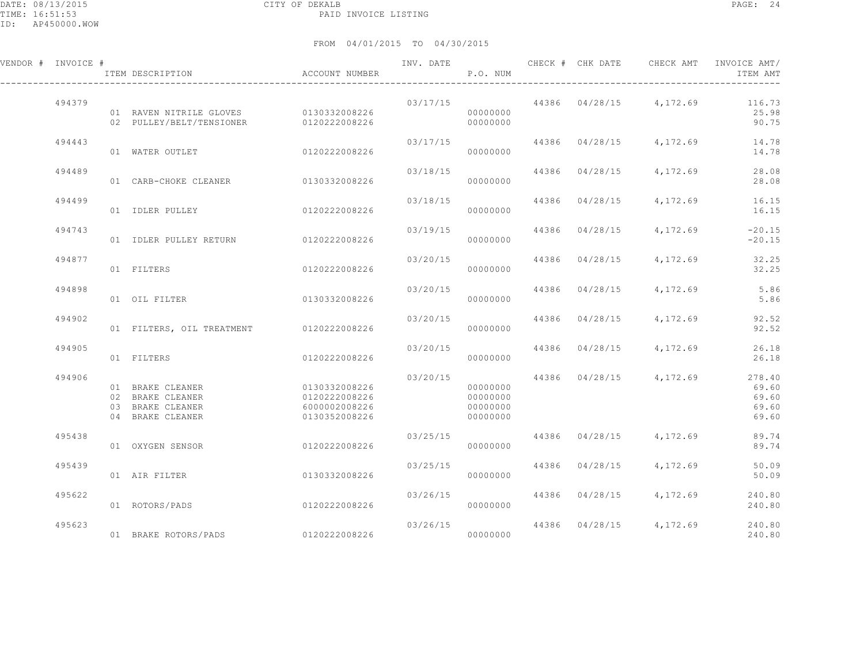| VENDOR # INVOICE # |        | ITEM DESCRIPTION                                                             | ACCOUNT NUMBER                                                   | INV. DATE | P.O. NUM                                     |       | CHECK # CHK DATE | CHECK AMT               | INVOICE AMT/<br>ITEM AMT                   |
|--------------------|--------|------------------------------------------------------------------------------|------------------------------------------------------------------|-----------|----------------------------------------------|-------|------------------|-------------------------|--------------------------------------------|
|                    | 494379 | 01 RAVEN NITRILE GLOVES 0130332008226<br>02 PULLEY/BELT/TENSIONER            | 0120222008226                                                    | 03/17/15  | 00000000<br>00000000                         |       |                  | 44386 04/28/15 4,172.69 | 116.73<br>25.98<br>90.75                   |
|                    | 494443 | 01 WATER OUTLET                                                              | 0120222008226                                                    | 03/17/15  | 00000000                                     |       |                  | 44386 04/28/15 4,172.69 | 14.78<br>14.78                             |
|                    | 494489 | 01 CARB-CHOKE CLEANER 0130332008226                                          |                                                                  | 03/18/15  | 00000000                                     |       | 44386 04/28/15   | 4,172.69                | 28.08<br>28.08                             |
|                    | 494499 | 01 IDLER PULLEY                                                              | 0120222008226                                                    | 03/18/15  | 00000000                                     | 44386 | 04/28/15         | 4,172.69                | 16.15<br>16.15                             |
|                    | 494743 | 01 IDLER PULLEY RETURN                                                       | 0120222008226                                                    | 03/19/15  | 00000000                                     | 44386 | 04/28/15         | 4,172.69                | $-20.15$<br>$-20.15$                       |
|                    | 494877 | 01 FILTERS                                                                   | 0120222008226                                                    | 03/20/15  | 00000000                                     | 44386 | 04/28/15         | 4,172.69                | 32.25<br>32.25                             |
|                    | 494898 | 01 OIL FILTER                                                                | 0130332008226                                                    | 03/20/15  | 00000000                                     | 44386 | 04/28/15         | 4,172.69                | 5.86<br>5.86                               |
|                    | 494902 | 01 FILTERS, OIL TREATMENT 0120222008226                                      |                                                                  | 03/20/15  | 00000000                                     | 44386 | 04/28/15         | 4,172.69                | 92.52<br>92.52                             |
|                    | 494905 | 01 FILTERS                                                                   | 0120222008226                                                    | 03/20/15  | 00000000                                     | 44386 | 04/28/15         | 4,172.69                | 26.18<br>26.18                             |
|                    | 494906 | 01 BRAKE CLEANER<br>02 BRAKE CLEANER<br>03 BRAKE CLEANER<br>04 BRAKE CLEANER | 0130332008226<br>0120222008226<br>6000002008226<br>0130352008226 | 03/20/15  | 00000000<br>00000000<br>00000000<br>00000000 |       |                  | 44386 04/28/15 4,172.69 | 278.40<br>69.60<br>69.60<br>69.60<br>69.60 |
|                    | 495438 | 01 OXYGEN SENSOR                                                             | 0120222008226                                                    | 03/25/15  | 00000000                                     | 44386 | 04/28/15         | 4,172.69                | 89.74<br>89.74                             |
|                    | 495439 | 01 AIR FILTER                                                                | 0130332008226                                                    | 03/25/15  | 00000000                                     | 44386 | 04/28/15         | 4,172.69                | 50.09<br>50.09                             |
|                    | 495622 | 01 ROTORS/PADS                                                               | 0120222008226                                                    | 03/26/15  | 00000000                                     |       | 44386 04/28/15   | 4,172.69                | 240.80<br>240.80                           |
|                    | 495623 | 01 BRAKE ROTORS/PADS                                                         | 0120222008226                                                    |           | 03/26/15<br>00000000                         |       |                  | 44386 04/28/15 4,172.69 | 240.80<br>240.80                           |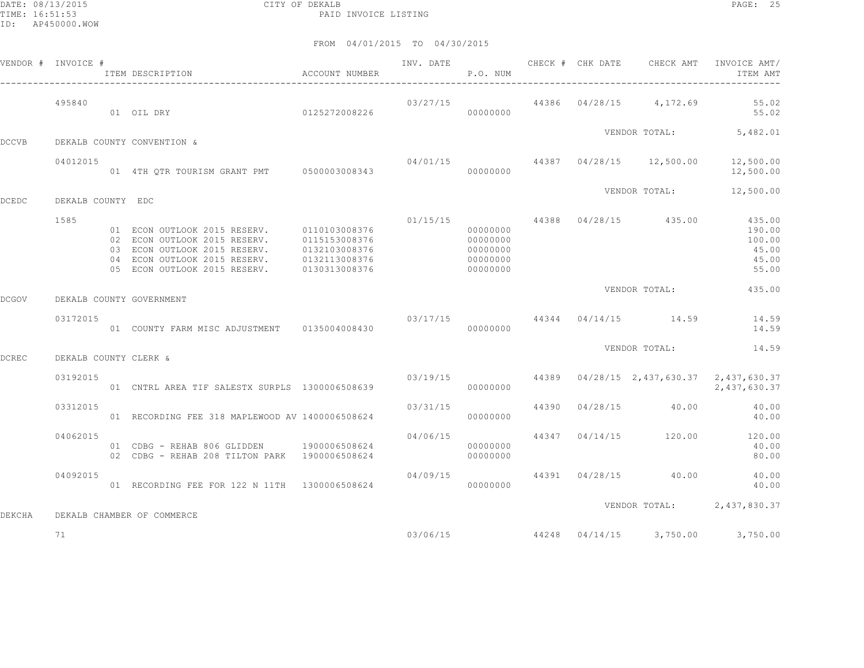DATE: 08/13/2015 CITY OF DEKALB PAGE: 25 PAID INVOICE LISTING

|              | VENDOR # INVOICE #    | ACCOUNT NUMBER<br>ITEM DESCRIPTION                                                                                                                                                                     |                                |          | P.O. NUM                                                 |  | INV. DATE 6 CHECK # CHK DATE CHECK AMT INVOICE AMT/   | ITEM AMT                                    |
|--------------|-----------------------|--------------------------------------------------------------------------------------------------------------------------------------------------------------------------------------------------------|--------------------------------|----------|----------------------------------------------------------|--|-------------------------------------------------------|---------------------------------------------|
|              | 495840                | 01 OIL DRY 0125272008226                                                                                                                                                                               |                                |          | 00000000                                                 |  | $03/27/15$ $44386$ $04/28/15$ $4,172.69$ 55.02        | 55.02                                       |
| <b>DCCVB</b> |                       | DEKALB COUNTY CONVENTION &                                                                                                                                                                             |                                |          |                                                          |  | VENDOR TOTAL: 5,482.01                                |                                             |
|              | 04012015              | 01 4TH QTR TOURISM GRANT PMT 0500003008343                                                                                                                                                             |                                |          | 00000000                                                 |  | $04/01/15$ $44387$ $04/28/15$ $12,500.00$ $12,500.00$ | 12,500.00                                   |
| <b>DCEDC</b> | DEKALB COUNTY EDC     |                                                                                                                                                                                                        |                                |          |                                                          |  | VENDOR TOTAL: 12,500.00                               |                                             |
|              | 1585                  | 01 ECON OUTLOOK 2015 RESERV. 0110103008376<br>02 ECON OUTLOOK 2015 RESERV.<br>03 ECON OUTLOOK 2015 RESERV. 0132103008376<br>04 ECON OUTLOOK 2015 RESERV.<br>05 ECON OUTLOOK 2015 RESERV. 0130313008376 | 0115153008376<br>0132113008376 |          | 00000000<br>00000000<br>00000000<br>00000000<br>00000000 |  | $01/15/15$ 44388 $04/28/15$ 435.00 435.00             | 190.00<br>100.00<br>45.00<br>45.00<br>55.00 |
| <b>DCGOV</b> |                       | DEKALB COUNTY GOVERNMENT                                                                                                                                                                               |                                |          |                                                          |  | VENDOR TOTAL:                                         | 435.00                                      |
|              | 03172015              | 01 COUNTY FARM MISC ADJUSTMENT 0135004008430                                                                                                                                                           |                                |          | 00000000                                                 |  | $03/17/15$ $44344$ $04/14/15$ $14.59$ $14.59$         | 14.59                                       |
| <b>DCREC</b> | DEKALB COUNTY CLERK & |                                                                                                                                                                                                        |                                |          |                                                          |  | VENDOR TOTAL:                                         | 14.59                                       |
|              | 03192015              | 01 CNTRL AREA TIF SALESTX SURPLS 1300006508639                                                                                                                                                         |                                |          | 00000000                                                 |  | 03/19/15 44389 04/28/15 2,437,630.37 2,437,630.37     | 2,437,630.37                                |
|              | 03312015              | 01 RECORDING FEE 318 MAPLEWOOD AV 1400006508624                                                                                                                                                        |                                | 03/31/15 | 00000000                                                 |  | 44390 04/28/15 40.00                                  | 40.00<br>40.00                              |
|              | 04062015              | 01 CDBG - REHAB 806 GLIDDEN 1900006508624<br>02 CDBG - REHAB 208 TILTON PARK 1900006508624                                                                                                             |                                | 04/06/15 | 00000000<br>00000000                                     |  | 44347 04/14/15 120.00 120.00                          | 40.00<br>80.00                              |
|              | 04092015              | 01 RECORDING FEE FOR 122 N 11TH 1300006508624                                                                                                                                                          |                                |          | 00000000                                                 |  | $04/09/15$ $44391$ $04/28/15$ $40.00$ $40.00$         | 40.00                                       |
| DEKCHA       |                       | DEKALB CHAMBER OF COMMERCE                                                                                                                                                                             |                                |          |                                                          |  | VENDOR TOTAL: 2,437,830.37                            |                                             |
|              | 71                    |                                                                                                                                                                                                        |                                |          |                                                          |  | $03/06/15$ 44248 04/14/15 3,750.00 3,750.00           |                                             |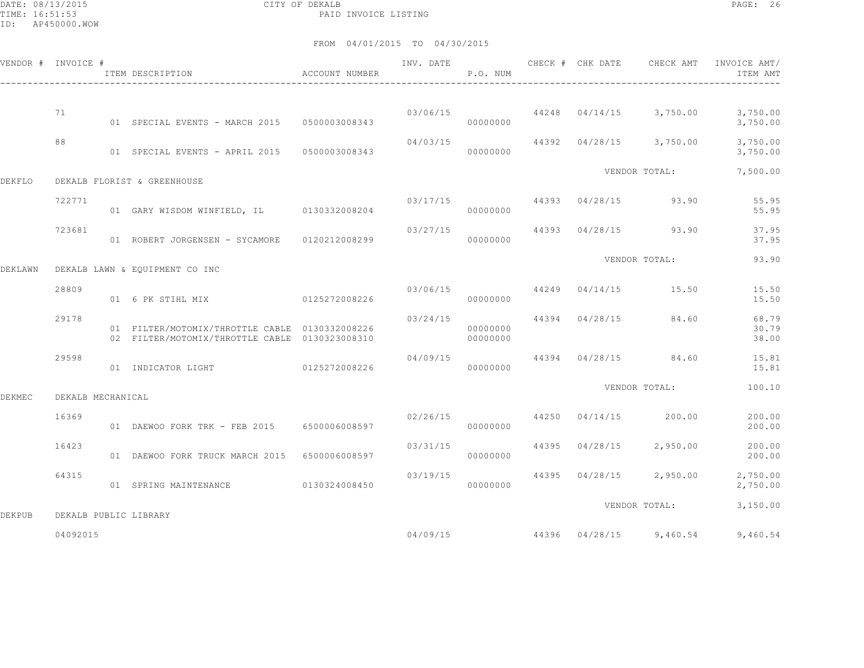DATE: 08/13/2015 CITY OF DEKALB PAGE: 26 PAID INVOICE LISTING

|               | VENDOR # INVOICE #    | ITEM DESCRIPTION                                                                                 | ACCOUNT NUMBER | INV. DATE | P.O. NUM                   |       | CHECK # CHK DATE | CHECK AMT                                | INVOICE AMT/<br>ITEM AMT |
|---------------|-----------------------|--------------------------------------------------------------------------------------------------|----------------|-----------|----------------------------|-------|------------------|------------------------------------------|--------------------------|
|               |                       |                                                                                                  |                |           |                            |       |                  |                                          |                          |
|               | 71                    | 01 SPECIAL EVENTS - MARCH 2015                                                                   | 0500003008343  |           | 00000000                   |       |                  | $03/06/15$ $44248$ $04/14/15$ $3,750.00$ | 3,750.00<br>3,750.00     |
|               | 88                    | 01 SPECIAL EVENTS - APRIL 2015 0500003008343                                                     |                | 04/03/15  | 00000000                   |       |                  | 44392 04/28/15 3,750.00                  | 3,750.00<br>3,750.00     |
| <b>DEKFLO</b> |                       | DEKALB FLORIST & GREENHOUSE                                                                      |                |           |                            |       |                  | VENDOR TOTAL:                            | 7,500.00                 |
|               | 722771                | 01 GARY WISDOM WINFIELD, IL 0130332008204                                                        |                |           | 03/17/15 44393<br>00000000 |       | 04/28/15         | 93.90                                    | 55.95<br>55.95           |
|               | 723681                | 01 ROBERT JORGENSEN - SYCAMORE                                                                   | 0120212008299  | 03/27/15  | 00000000                   |       | 44393 04/28/15   | 93.90                                    | 37.95<br>37.95           |
| DEKLAWN       |                       | DEKALB LAWN & EQUIPMENT CO INC                                                                   |                |           |                            |       |                  | VENDOR TOTAL:                            | 93.90                    |
|               | 28809                 | 01 6 PK STIHL MIX                                                                                | 0125272008226  | 03/06/15  | 00000000                   |       |                  | 44249 04/14/15 15.50                     | 15.50<br>15.50           |
|               | 29178                 | 01 FILTER/MOTOMIX/THROTTLE CABLE 0130332008226<br>02 FILTER/MOTOMIX/THROTTLE CABLE 0130323008310 |                | 03/24/15  | 00000000<br>00000000       |       | 44394 04/28/15   | 84.60                                    | 68.79<br>30.79<br>38.00  |
|               | 29598                 | 01 INDICATOR LIGHT                                                                               | 0125272008226  | 04/09/15  | 00000000                   |       | 44394 04/28/15   | 84.60                                    | 15.81<br>15.81           |
| <b>DEKMEC</b> | DEKALB MECHANICAL     |                                                                                                  |                |           |                            |       |                  | VENDOR TOTAL:                            | 100.10                   |
|               | 16369                 | 01 DAEWOO FORK TRK - FEB 2015 6500006008597                                                      |                | 02/26/15  | 00000000                   | 44250 |                  | $04/14/15$ 200.00                        | 200.00<br>200.00         |
|               | 16423                 | 01 DAEWOO FORK TRUCK MARCH 2015 6500006008597                                                    |                | 03/31/15  | 00000000                   | 44395 | 04/28/15         | 2,950.00                                 | 200.00<br>200.00         |
|               | 64315                 | 01 SPRING MAINTENANCE                                                                            | 0130324008450  | 03/19/15  | 00000000                   |       |                  | 44395 04/28/15 2,950.00                  | 2,750.00<br>2,750.00     |
| <b>DEKPUB</b> | DEKALB PUBLIC LIBRARY |                                                                                                  |                |           |                            |       |                  | VENDOR TOTAL:                            | 3,150.00                 |
|               | 04092015              |                                                                                                  |                | 04/09/15  |                            |       |                  | 44396 04/28/15 9,460.54                  | 9,460.54                 |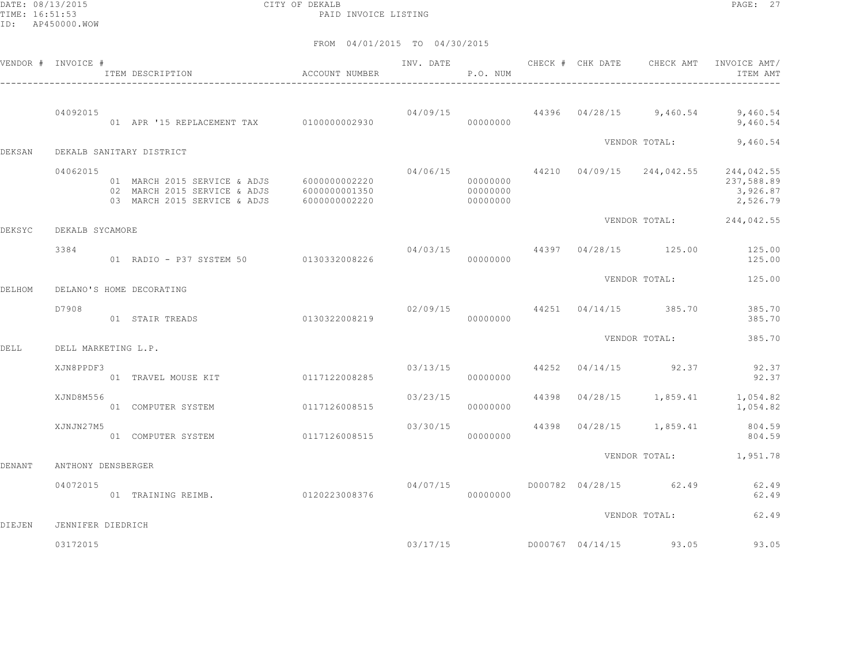DATE: 08/13/2015 CITY OF DEKALB PAGE: 27 PAID INVOICE LISTING

|               | VENDOR # INVOICE #  | ITEM DESCRIPTION                                                                                                         | ACCOUNT NUMBER |          | P.O. NUM                         |  | INV. DATE 6 CHECK # CHK DATE CHECK AMT | INVOICE AMT/<br>ITEM AMT                                                                      |
|---------------|---------------------|--------------------------------------------------------------------------------------------------------------------------|----------------|----------|----------------------------------|--|----------------------------------------|-----------------------------------------------------------------------------------------------|
|               | 04092015            | 01 APR '15 REPLACEMENT TAX 0100000002930                                                                                 |                |          | 00000000                         |  |                                        | $04/09/15$ 44396 $04/28/15$ 9,460.54 9,460.54<br>9,460.54                                     |
| <b>DEKSAN</b> |                     | DEKALB SANITARY DISTRICT                                                                                                 |                |          |                                  |  | VENDOR TOTAL:                          | 9,460.54                                                                                      |
|               | 04062015            | 01 MARCH 2015 SERVICE & ADJS 6000000002220<br>02 MARCH 2015 SERVICE & ADJS 6000000001350<br>03 MARCH 2015 SERVICE & ADJS | 6000000002220  |          | 00000000<br>00000000<br>00000000 |  |                                        | $04/06/15$ $44210$ $04/09/15$ $244,042.55$ $244,042.55$<br>237,588.89<br>3,926.87<br>2,526.79 |
| DEKSYC        | DEKALB SYCAMORE     |                                                                                                                          |                |          |                                  |  |                                        | VENDOR TOTAL: 244,042.55                                                                      |
|               | 3384                | 01 RADIO - P37 SYSTEM 50 0130332008226                                                                                   |                |          | 00000000                         |  |                                        | $04/03/15$ $44397$ $04/28/15$ $125.00$ $125.00$<br>125.00                                     |
| DELHOM        |                     | DELANO'S HOME DECORATING                                                                                                 |                |          |                                  |  | VENDOR TOTAL:                          | 125.00                                                                                        |
|               | D7908               | 01 STAIR TREADS                                                                                                          | 0130322008219  |          | 00000000                         |  | $02/09/15$ 44251 04/14/15 385.70       | 385.70<br>385.70                                                                              |
| DELL          | DELL MARKETING L.P. |                                                                                                                          |                |          |                                  |  | VENDOR TOTAL:                          | 385.70                                                                                        |
|               | XJN8PPDF3           | 01 TRAVEL MOUSE KIT 0117122008285                                                                                        |                |          | 03/13/15<br>00000000             |  | 44252 04/14/15 92.37                   | 92.37<br>92.37                                                                                |
|               | XJND8M556           | 01 COMPUTER SYSTEM                                                                                                       | 0117126008515  | 03/23/15 | 00000000                         |  |                                        | 44398  04/28/15  1,859.41  1,054.82<br>1,054.82                                               |
|               | XJNJN27M5           | 01 COMPUTER SYSTEM                                                                                                       | 0117126008515  | 03/30/15 | 00000000                         |  | 44398 04/28/15 1,859.41                | 804.59<br>804.59                                                                              |
| DENANT        | ANTHONY DENSBERGER  |                                                                                                                          |                |          |                                  |  |                                        | VENDOR TOTAL: 1,951.78                                                                        |
|               | 04072015            | 01 TRAINING REIMB.                                                                                                       | 0120223008376  | 04/07/15 | 00000000                         |  | D000782 04/28/15 62.49                 | 62.49<br>62.49                                                                                |
| DIEJEN        | JENNIFER DIEDRICH   |                                                                                                                          |                |          |                                  |  | VENDOR TOTAL:                          | 62.49                                                                                         |
|               | 03172015            |                                                                                                                          |                |          |                                  |  | $03/17/15$ D000767 04/14/15 93.05      | 93.05                                                                                         |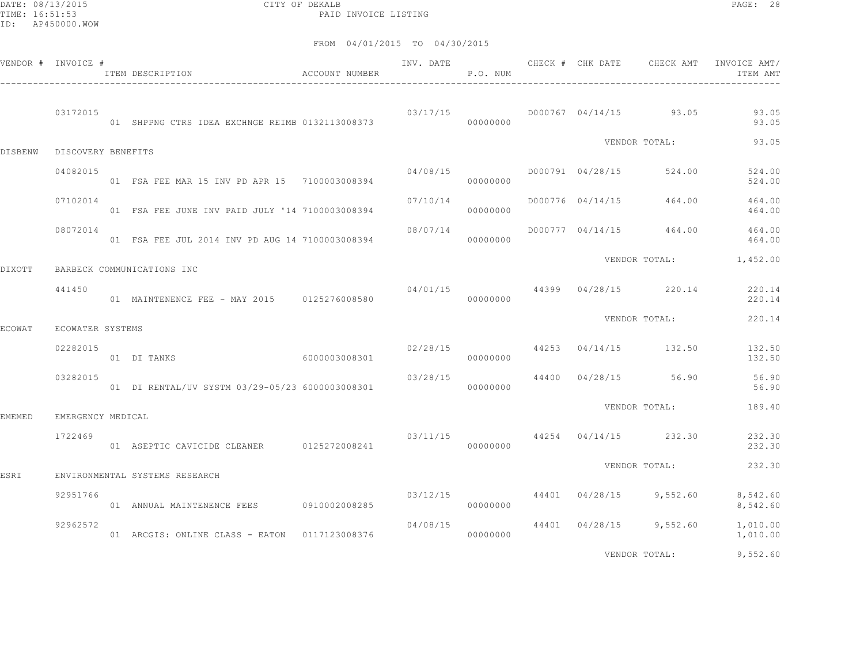DATE: 08/13/2015 CITY OF DEKALB PAGE: 28 PAID INVOICE LISTING

|                | VENDOR # INVOICE # | ITEM DESCRIPTION                                | ACCOUNT NUMBER | INV. DATE | P.O. NUM | CHECK # CHK DATE | CHECK AMT                        | INVOICE AMT/<br>ITEM AMT |
|----------------|--------------------|-------------------------------------------------|----------------|-----------|----------|------------------|----------------------------------|--------------------------|
|                | 03172015           | 01 SHPPNG CTRS IDEA EXCHNGE REIMB 0132113008373 |                | 03/17/15  | 00000000 |                  | D000767 04/14/15 93.05           | 93.05<br>93.05           |
| <b>DISBENW</b> | DISCOVERY BENEFITS |                                                 |                |           |          |                  | VENDOR TOTAL:                    | 93.05                    |
|                | 04082015           | 01 FSA FEE MAR 15 INV PD APR 15 7100003008394   |                | 04/08/15  | 00000000 | D000791 04/28/15 | 524.00                           | 524.00<br>524.00         |
|                | 07102014           | 01 FSA FEE JUNE INV PAID JULY '14 7100003008394 |                | 07/10/14  | 00000000 |                  | D000776 04/14/15 464.00          | 464.00<br>464.00         |
|                | 08072014           | 01 FSA FEE JUL 2014 INV PD AUG 14 7100003008394 |                | 08/07/14  | 00000000 |                  | D000777 04/14/15 464.00          | 464.00<br>464.00         |
| DIXOTT         |                    | BARBECK COMMUNICATIONS INC                      |                |           |          |                  | VENDOR TOTAL:                    | 1,452.00                 |
|                | 441450             | 01 MAINTENENCE FEE - MAY 2015 0125276008580     |                |           | 00000000 |                  | $04/01/15$ 44399 04/28/15 220.14 | 220.14<br>220.14         |
| <b>ECOWAT</b>  | ECOWATER SYSTEMS   |                                                 |                |           |          |                  | VENDOR TOTAL:                    | 220.14                   |
|                | 02282015           | 01 DI TANKS                                     | 6000003008301  | 02/28/15  | 00000000 |                  | 44253 04/14/15 132.50            | 132.50<br>132.50         |
|                | 03282015           | 01 DI RENTAL/UV SYSTM 03/29-05/23 6000003008301 |                | 03/28/15  | 00000000 |                  | 44400 04/28/15 56.90             | 56.90<br>56.90           |
| <b>EMEMED</b>  | EMERGENCY MEDICAL  |                                                 |                |           |          |                  | VENDOR TOTAL:                    | 189.40                   |
|                | 1722469            | 01 ASEPTIC CAVICIDE CLEANER 0125272008241       |                | 03/11/15  | 00000000 |                  | 44254 04/14/15 232.30            | 232.30<br>232.30         |
| ESRI           |                    | ENVIRONMENTAL SYSTEMS RESEARCH                  |                |           |          |                  | VENDOR TOTAL:                    | 232.30                   |
|                | 92951766           | 01 ANNUAL MAINTENENCE FEES 0910002008285        |                | 03/12/15  | 00000000 |                  | 44401 04/28/15 9,552.60          | 8,542.60<br>8,542.60     |
|                | 92962572           | 01 ARCGIS: ONLINE CLASS - EATON 0117123008376   |                | 04/08/15  | 00000000 |                  | 44401 04/28/15 9,552.60          | 1,010.00<br>1,010.00     |
|                |                    |                                                 |                |           |          |                  | VENDOR TOTAL:                    | 9,552.60                 |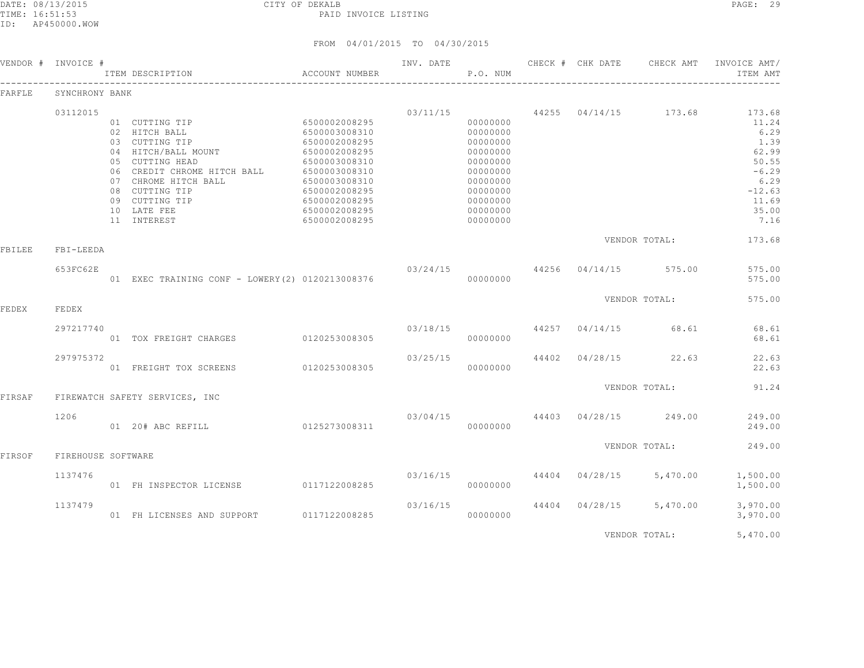| VENDOR # | INVOICE #          | ITEM DESCRIPTION                                                                                                                                                                                                     | ACCOUNT NUMBER                                                                                                                                                                          | INV. DATE                 | P.O. NUM                                                                                                                         |       | CHECK # CHK DATE | CHECK AMT                        | INVOICE AMT/<br>ITEM AMT                                                                                   |
|----------|--------------------|----------------------------------------------------------------------------------------------------------------------------------------------------------------------------------------------------------------------|-----------------------------------------------------------------------------------------------------------------------------------------------------------------------------------------|---------------------------|----------------------------------------------------------------------------------------------------------------------------------|-------|------------------|----------------------------------|------------------------------------------------------------------------------------------------------------|
| FARFLE   | SYNCHRONY BANK     |                                                                                                                                                                                                                      |                                                                                                                                                                                         |                           |                                                                                                                                  |       |                  |                                  |                                                                                                            |
|          | 03112015           | 01 CUTTING TIP<br>02 HITCH BALL<br>03 CUTTING TIP<br>04 HITCH/BALL MOUNT<br>05 CUTTING HEAD<br>06 CREDIT CHROME HITCH BALL<br>07 CHROME HITCH BALL<br>08 CUTTING TIP<br>09 CUTTING TIP<br>10 LATE FEE<br>11 INTEREST | 6500002008295<br>6500003008310<br>6500002008295<br>6500002008295<br>6500003008310<br>6500003008310<br>6500003008310<br>6500002008295<br>6500002008295<br>6500002008295<br>6500002008295 | 03/11/15                  | 00000000<br>00000000<br>00000000<br>00000000<br>00000000<br>00000000<br>00000000<br>00000000<br>00000000<br>00000000<br>00000000 |       |                  | 44255 04/14/15 173.68            | 173.68<br>11.24<br>6.29<br>1.39<br>62.99<br>50.55<br>$-6.29$<br>6.29<br>$-12.63$<br>11.69<br>35.00<br>7.16 |
| FBILEE   | FBI-LEEDA          |                                                                                                                                                                                                                      |                                                                                                                                                                                         |                           |                                                                                                                                  |       |                  | VENDOR TOTAL:                    | 173.68                                                                                                     |
|          | 653FC62E           | 01 EXEC TRAINING CONF - LOWERY (2) 0120213008376                                                                                                                                                                     |                                                                                                                                                                                         | $03/24/15$ 44256 04/14/15 | 00000000                                                                                                                         |       |                  | 575.00                           | 575.00<br>575.00                                                                                           |
| FEDEX    | FEDEX              |                                                                                                                                                                                                                      |                                                                                                                                                                                         |                           |                                                                                                                                  |       |                  | VENDOR TOTAL:                    | 575.00                                                                                                     |
|          | 297217740          | 01 TOX FREIGHT CHARGES                                                                                                                                                                                               | 0120253008305                                                                                                                                                                           | 03/18/15                  | 00000000                                                                                                                         | 44257 | 04/14/15         | 68.61                            | 68.61<br>68.61                                                                                             |
|          | 297975372          | 01 FREIGHT TOX SCREENS                                                                                                                                                                                               | 0120253008305                                                                                                                                                                           | 03/25/15                  | 00000000                                                                                                                         |       | 44402 04/28/15   | 22.63                            | 22.63<br>22.63                                                                                             |
| FIRSAF   |                    | FIREWATCH SAFETY SERVICES, INC                                                                                                                                                                                       |                                                                                                                                                                                         |                           |                                                                                                                                  |       |                  | VENDOR TOTAL:                    | 91.24                                                                                                      |
|          | 1206               | 01 20# ABC REFILL                                                                                                                                                                                                    | 0125273008311                                                                                                                                                                           |                           | 00000000                                                                                                                         |       |                  | $03/04/15$ 44403 04/28/15 249.00 | 249.00<br>249.00                                                                                           |
| FIRSOF   | FIREHOUSE SOFTWARE |                                                                                                                                                                                                                      |                                                                                                                                                                                         |                           |                                                                                                                                  |       |                  | VENDOR TOTAL:                    | 249.00                                                                                                     |
|          | 1137476            | 01 FH INSPECTOR LICENSE 0117122008285                                                                                                                                                                                |                                                                                                                                                                                         | 03/16/15                  | 00000000                                                                                                                         |       | 44404 04/28/15   | 5,470.00                         | 1,500.00<br>1,500.00                                                                                       |
|          | 1137479            | 01 FH LICENSES AND SUPPORT                                                                                                                                                                                           | 0117122008285                                                                                                                                                                           | 03/16/15                  | 00000000                                                                                                                         |       | 44404 04/28/15   | 5,470.00                         | 3,970.00<br>3,970.00                                                                                       |
|          |                    |                                                                                                                                                                                                                      |                                                                                                                                                                                         |                           |                                                                                                                                  |       |                  | VENDOR TOTAL:                    | 5,470.00                                                                                                   |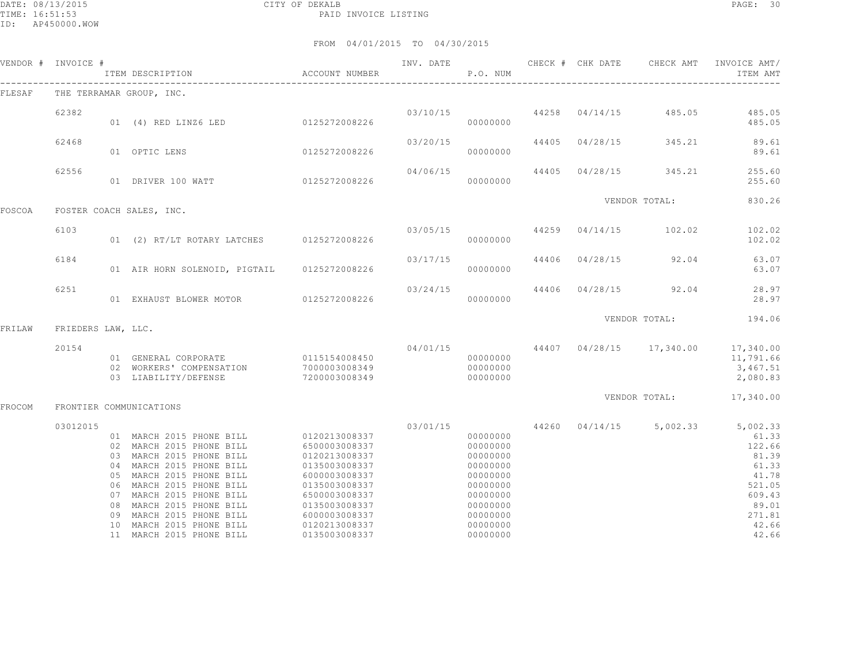|        | VENDOR # INVOICE # |    |                                                                                                                                                                                                                                                                                                 | ACCOUNT NUMBER                                                                                                                                        | INV. DATE | P.O. NUM                                                                                                             |  |                               | CHECK # CHK DATE CHECK AMT INVOICE AMT/<br>ITEM AMT                                                                                               |
|--------|--------------------|----|-------------------------------------------------------------------------------------------------------------------------------------------------------------------------------------------------------------------------------------------------------------------------------------------------|-------------------------------------------------------------------------------------------------------------------------------------------------------|-----------|----------------------------------------------------------------------------------------------------------------------|--|-------------------------------|---------------------------------------------------------------------------------------------------------------------------------------------------|
| FLESAF |                    |    | THE TERRAMAR GROUP, INC.                                                                                                                                                                                                                                                                        |                                                                                                                                                       |           |                                                                                                                      |  |                               |                                                                                                                                                   |
|        | 62382              |    | 01 (4) RED LINZ6 LED 0125272008226                                                                                                                                                                                                                                                              |                                                                                                                                                       |           | 00000000                                                                                                             |  |                               | $03/10/15$ $44258$ $04/14/15$ $485.05$ $485.05$<br>485.05                                                                                         |
|        | 62468              |    | 01 OPTIC LENS 0125272008226                                                                                                                                                                                                                                                                     |                                                                                                                                                       | 03/20/15  | 00000000                                                                                                             |  |                               | 44405 04/28/15 345.21 89.61<br>89.61                                                                                                              |
|        | 62556              |    | 01 DRIVER 100 WATT 0125272008226 000000000                                                                                                                                                                                                                                                      |                                                                                                                                                       | 04/06/15  |                                                                                                                      |  | 44405 04/28/15 345.21         | 255.60<br>255.60                                                                                                                                  |
| FOSCOA |                    |    | FOSTER COACH SALES, INC.                                                                                                                                                                                                                                                                        |                                                                                                                                                       |           |                                                                                                                      |  | VENDOR TOTAL:                 | 830.26                                                                                                                                            |
|        | 6103               |    | 01 (2) RT/LT ROTARY LATCHES 0125272008226                                                                                                                                                                                                                                                       |                                                                                                                                                       | 03/05/15  | 00000000                                                                                                             |  |                               | 44259 04/14/15 102.02 102.02<br>102.02                                                                                                            |
|        | 6184               |    | 01 AIR HORN SOLENOID, PIGTAIL 0125272008226                                                                                                                                                                                                                                                     |                                                                                                                                                       | 03/17/15  | 00000000                                                                                                             |  |                               | 44406 04/28/15 92.04 63.07<br>63.07                                                                                                               |
|        | 6251               |    | 01 EXHAUST BLOWER MOTOR 0125272008226                                                                                                                                                                                                                                                           |                                                                                                                                                       |           | 00000000                                                                                                             |  | 03/24/15 44406 04/28/15 92.04 | 28.97<br>28.97                                                                                                                                    |
| FRILAW | FRIEDERS LAW, LLC. |    |                                                                                                                                                                                                                                                                                                 |                                                                                                                                                       |           |                                                                                                                      |  |                               | VENDOR TOTAL: 194.06                                                                                                                              |
|        | 20154              |    | 01 GENERAL CORPORATE 0115154008450<br>02 WORKERS' COMPENSATION 7000003008349<br>03 LIABILITY/DEFENSE                                                                                                                                                                                            | 7200003008349                                                                                                                                         |           | 00000000<br>00000000<br>00000000                                                                                     |  |                               | $04/01/15$ $44407$ $04/28/15$ $17,340.00$ $17,340.00$<br>11,791.66<br>3,467.51<br>2,080.83                                                        |
| FROCOM |                    |    | FRONTIER COMMUNICATIONS                                                                                                                                                                                                                                                                         |                                                                                                                                                       |           |                                                                                                                      |  |                               | VENDOR TOTAL: 17,340.00                                                                                                                           |
|        | 03012015           | 09 | 01 MARCH 2015 PHONE BILL 0120213008337<br>02 MARCH 2015 PHONE BILL<br>03 MARCH 2015 PHONE BILL<br>04 MARCH 2015 PHONE BILL<br>05 MARCH 2015 PHONE BILL<br>06 MARCH 2015 PHONE BILL<br>07 MARCH 2015 PHONE BILL<br>08 MARCH 2015 PHONE BILL<br>MARCH 2015 PHONE BILL<br>10 MARCH 2015 PHONE BILL | 6500003008337<br>0120213008337<br>0135003008337<br>6000003008337<br>0135003008337<br>6500003008337<br>0135003008337<br>6000003008337<br>0120213008337 |           | 00000000<br>00000000<br>00000000<br>00000000<br>00000000<br>00000000<br>00000000<br>00000000<br>00000000<br>00000000 |  |                               | $03/01/15$ $44260$ $04/14/15$ $5,002.33$ $5,002.33$<br>61.33<br>122.66<br>81.39<br>61.33<br>41.78<br>521.05<br>609.43<br>89.01<br>271.81<br>42.66 |
|        |                    |    | 11 MARCH 2015 PHONE BILL                                                                                                                                                                                                                                                                        | 0135003008337                                                                                                                                         |           | 00000000                                                                                                             |  |                               | 42.66                                                                                                                                             |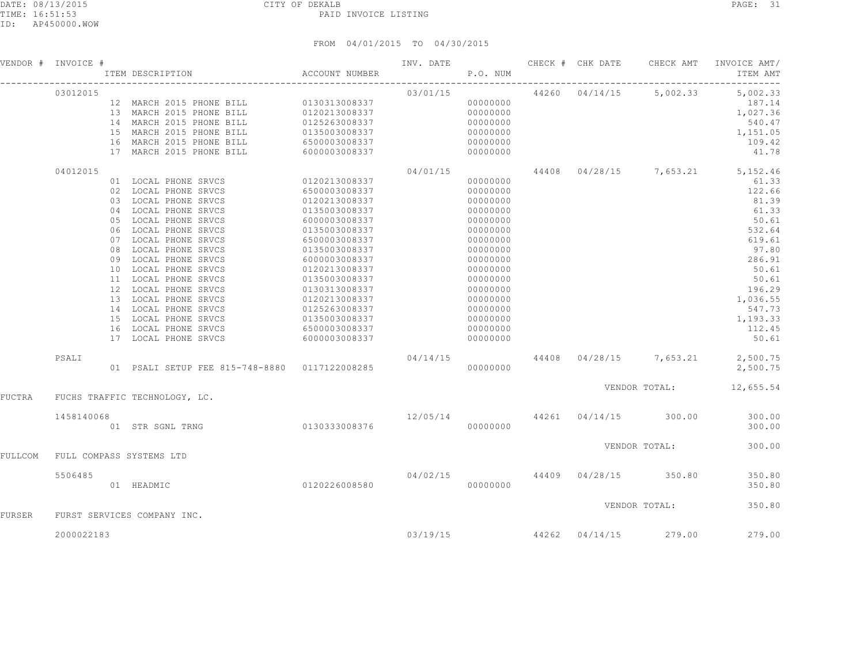|               | VENDOR # INVOICE #                           | ITEM DESCRIPTION                                                                                                                                                                                                                                                                                                                                                                                   | ACCOUNT NUMBER                                                                                                                                                                                                                                                                                | INV. DATE 6 CHECK # CHK DATE 6 CHECK AMT<br>P.O. NUM |                                                                                                                                                                                                          |                |                                      | INVOICE AMT/<br>ITEM AMT                                                                                                                                                                               |
|---------------|----------------------------------------------|----------------------------------------------------------------------------------------------------------------------------------------------------------------------------------------------------------------------------------------------------------------------------------------------------------------------------------------------------------------------------------------------------|-----------------------------------------------------------------------------------------------------------------------------------------------------------------------------------------------------------------------------------------------------------------------------------------------|------------------------------------------------------|----------------------------------------------------------------------------------------------------------------------------------------------------------------------------------------------------------|----------------|--------------------------------------|--------------------------------------------------------------------------------------------------------------------------------------------------------------------------------------------------------|
|               | 03012015                                     | 12 MARCH 2015 PHONE BILL 0130313008337<br>13 MARCH 2015 PHONE BILL<br>14 MARCH 2015 PHONE BILL<br>15 MARCH 2015 PHONE BILL<br>16 MARCH 2015 PHONE BILL<br>17 MARCH 2015 PHONE BILL                                                                                                                                                                                                                 | 0120213008337<br>0125263008337<br>0135003008337<br>6500003008337<br>6000003008337                                                                                                                                                                                                             | 03/01/15                                             | 00000000<br>00000000<br>00000000<br>00000000<br>00000000<br>00000000                                                                                                                                     |                | 44260 04/14/15 5,002.33              | 5,002.33<br>187.14<br>1,027.36<br>540.47<br>1,151.05<br>109.42<br>41.78                                                                                                                                |
|               | 04012015<br>02<br>03<br>04<br>08<br>09<br>11 | 01 LOCAL PHONE SRVCS<br>LOCAL PHONE SRVCS<br>LOCAL PHONE SRVCS<br>LOCAL PHONE SRVCS<br>05 LOCAL PHONE SRVCS<br>06 LOCAL PHONE SRVCS<br>07 LOCAL PHONE SRVCS<br>LOCAL PHONE SRVCS<br>LOCAL PHONE SRVCS<br>10 LOCAL PHONE SRVCS<br>LOCAL PHONE SRVCS<br>12 LOCAL PHONE SRVCS<br>13 LOCAL PHONE SRVCS<br>14 LOCAL PHONE SRVCS<br>15 LOCAL PHONE SRVCS<br>16 LOCAL PHONE SRVCS<br>17 LOCAL PHONE SRVCS | 0120213008337<br>6500003008337<br>0120213008337<br>0135003008337<br>6000003008337<br>0135003008337<br>6500003008337<br>0135003008337<br>6000003008337<br>0120213008337<br>0135003008337<br>0130313008337<br>0120213008337<br>0125263008337<br>0135003008337<br>6500003008337<br>6000003008337 | 04/01/15                                             | 00000000<br>00000000<br>00000000<br>00000000<br>00000000<br>00000000<br>00000000<br>00000000<br>00000000<br>00000000<br>00000000<br>00000000<br>00000000<br>00000000<br>00000000<br>00000000<br>00000000 |                |                                      | 44408 04/28/15 7,653.21 5,152.46<br>61.33<br>122.66<br>81.39<br>61.33<br>50.61<br>532.64<br>619.61<br>97.80<br>286.91<br>50.61<br>50.61<br>196.29<br>1,036.55<br>547.73<br>1,193.33<br>112.45<br>50.61 |
|               | PSALI                                        | 01 PSALI SETUP FEE 815-748-8880 0117122008285                                                                                                                                                                                                                                                                                                                                                      |                                                                                                                                                                                                                                                                                               | 04/14/15                                             | 00000000                                                                                                                                                                                                 |                |                                      | 44408 04/28/15 7,653.21 2,500.75<br>2,500.75                                                                                                                                                           |
| FUCTRA        |                                              | FUCHS TRAFFIC TECHNOLOGY, LC.                                                                                                                                                                                                                                                                                                                                                                      |                                                                                                                                                                                                                                                                                               |                                                      |                                                                                                                                                                                                          |                |                                      | VENDOR TOTAL: 12,655.54                                                                                                                                                                                |
|               | 1458140068                                   | 01 STR SGNL TRNG                                                                                                                                                                                                                                                                                                                                                                                   | 0130333008376                                                                                                                                                                                                                                                                                 |                                                      | 00000000                                                                                                                                                                                                 |                | 12/05/14 44261 04/14/15 300.00       | 300.00<br>300.00                                                                                                                                                                                       |
| FULLCOM       | FULL COMPASS SYSTEMS LTD                     |                                                                                                                                                                                                                                                                                                                                                                                                    |                                                                                                                                                                                                                                                                                               |                                                      |                                                                                                                                                                                                          |                | VENDOR TOTAL:                        | 300.00                                                                                                                                                                                                 |
|               | 5506485                                      | 0120226008580<br>01 HEADMIC                                                                                                                                                                                                                                                                                                                                                                        |                                                                                                                                                                                                                                                                                               |                                                      | 00000000                                                                                                                                                                                                 |                | $04/02/15$ $44409$ $04/28/15$ 350.80 | 350.80<br>350.80                                                                                                                                                                                       |
| <b>FURSER</b> |                                              | FURST SERVICES COMPANY INC.                                                                                                                                                                                                                                                                                                                                                                        |                                                                                                                                                                                                                                                                                               |                                                      |                                                                                                                                                                                                          |                | VENDOR TOTAL:                        | 350.80                                                                                                                                                                                                 |
|               | 2000022183                                   |                                                                                                                                                                                                                                                                                                                                                                                                    |                                                                                                                                                                                                                                                                                               | 03/19/15                                             |                                                                                                                                                                                                          | 44262 04/14/15 | 279.00                               | 279.00                                                                                                                                                                                                 |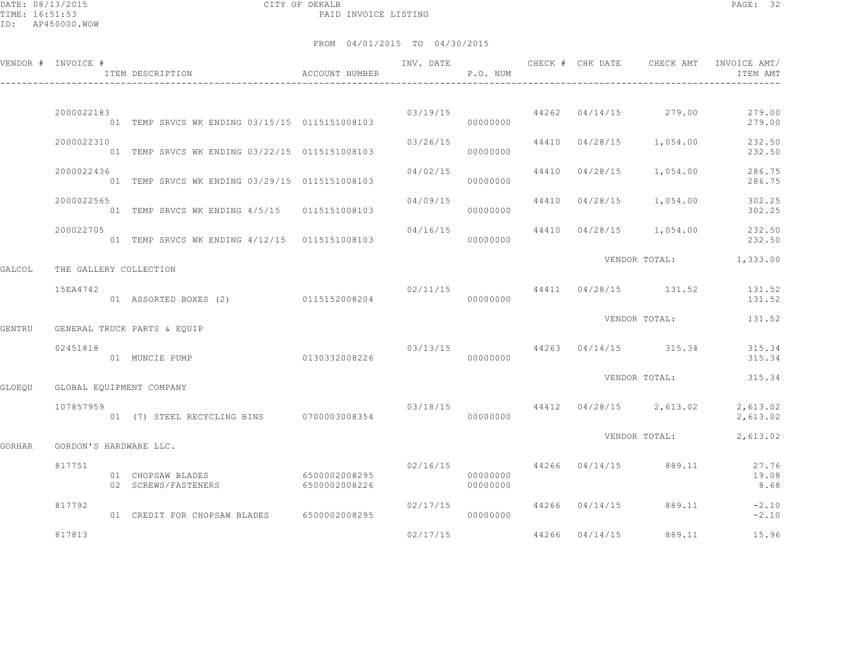DATE: 08/13/2015 CITY OF DEKALB PAGE: 32 PAID INVOICE LISTING

|        | VENDOR # INVOICE #     | ACCOUNT NUMBER<br>ITEM DESCRIPTION             |                                |                       | P.O. NUM             |                | INV. DATE 6 1999 CHECK # CHK DATE 6 CHECK AMT | INVOICE AMT/<br>ITEM AMT |
|--------|------------------------|------------------------------------------------|--------------------------------|-----------------------|----------------------|----------------|-----------------------------------------------|--------------------------|
|        |                        |                                                |                                |                       |                      |                |                                               |                          |
|        | 2000022183             | 01 TEMP SRVCS WK ENDING 03/15/15 0115151008103 |                                | 03/19/15              | 00000000             |                | 44262 04/14/15 279.00                         | 279.00<br>279.00         |
|        | 2000022310             | 01 TEMP SRVCS WK ENDING 03/22/15 0115151008103 |                                | 03/26/15              | 00000000             |                | 44410 04/28/15 1,054.00                       | 232.50<br>232.50         |
|        | 2000022436             | 01 TEMP SRVCS WK ENDING 03/29/15 0115151008103 |                                | 04/02/15              | 00000000             |                | 44410 04/28/15 1,054.00                       | 286.75<br>286.75         |
|        | 2000022565             | 01 TEMP SRVCS WK ENDING 4/5/15 0115151008103   |                                | 04/09/15              | 00000000             |                | 44410 04/28/15 1,054.00                       | 302.25<br>302.25         |
|        | 200022705              | 01 TEMP SRVCS WK ENDING 4/12/15 0115151008103  |                                | 04/16/15              | 00000000             |                | 44410 04/28/15 1,054.00                       | 232.50<br>232.50         |
| GALCOL | THE GALLERY COLLECTION |                                                |                                |                       |                      |                | VENDOR TOTAL: 1,333.00                        |                          |
|        | 15EA4742               | 01 ASSORTED BOXES (2) 0115152008204            |                                |                       | 00000000             |                | $02/11/15$ 44411 $04/28/15$ 131.52 131.52     | 131.52                   |
| GENTRU |                        | GENERAL TRUCK PARTS & EOUIP                    |                                |                       |                      |                | VENDOR TOTAL:                                 | 131.52                   |
|        | 02451818               | 01 MUNCIE PUMP                                 | 0130332008226                  | 03/13/15              | 00000000             |                | 44263 04/14/15 315.34                         | 315.34<br>315.34         |
| GLOEOU |                        | GLOBAL EQUIPMENT COMPANY                       |                                |                       |                      |                | VENDOR TOTAL:                                 | 315.34                   |
|        | 107857959              | 01 (7) STEEL RECYCLING BINS 0700003008354      |                                |                       | 00000000             |                | $03/18/15$ $44412$ $04/28/15$ $2,613.02$      | 2,613.02<br>2,613.02     |
| GORHAR | GORDON'S HARDWARE LLC. |                                                |                                |                       |                      |                | VENDOR TOTAL:                                 | 2,613.02                 |
|        | 817751                 | 01 CHOPSAW BLADES<br>02 SCREWS/FASTENERS       | 6500002008295<br>6500002008226 | 02/16/15              | 00000000<br>00000000 |                | 44266 04/14/15 889.11                         | 27.76<br>19.08<br>8.68   |
|        | 817792                 | 01 CREDIT FOR CHOPSAW BLADES 6500002008295     |                                | 02/17/15<br>000000000 |                      |                | 44266 04/14/15 889.11                         | $-2.10$<br>$-2.10$       |
|        | 817813                 |                                                |                                | 02/17/15              |                      | 44266 04/14/15 | 889.11                                        | 15.96                    |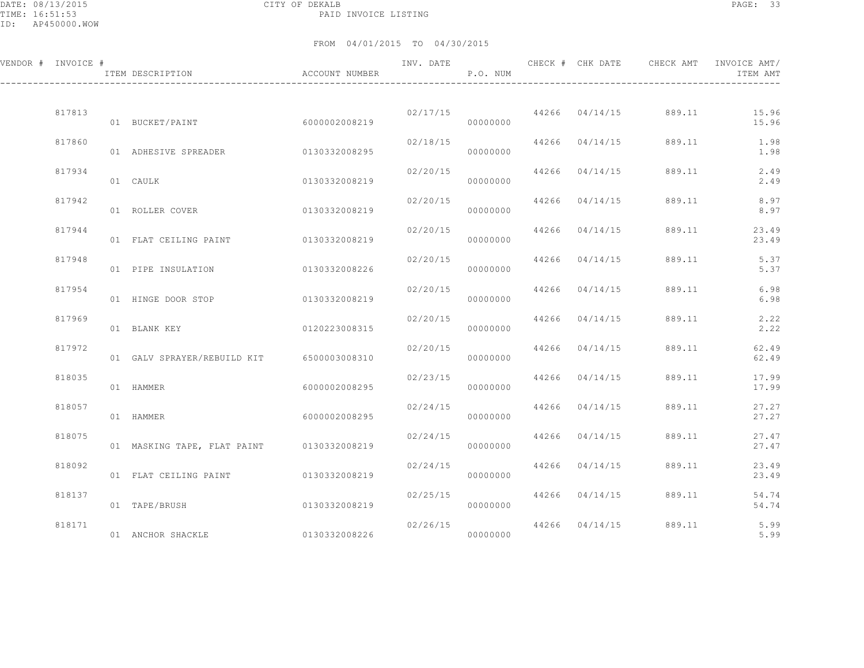DATE: 08/13/2015 CITY OF DEKALB PAGE: 33 PAID INVOICE LISTING

| VENDOR # INVOICE # | ITEM DESCRIPTION <a>&gt; </a> <a> </a> ACCOUNT NUMBER |               | INV. DATE                           | P.O. NUM |                  |                                | ITEM AMT       |
|--------------------|-------------------------------------------------------|---------------|-------------------------------------|----------|------------------|--------------------------------|----------------|
| 817813             | 01 BUCKET/PAINT                                       | 6000002008219 |                                     | 00000000 |                  | 02/17/15 44266 04/14/15 889.11 | 15.96<br>15.96 |
| 817860             |                                                       |               | 02/18/15                            | 00000000 | 44266 04/14/15   | 889.11                         | 1.98<br>1.98   |
| 817934             | 01 CAULK                                              | 0130332008219 | 02/20/15                            | 00000000 | 44266 04/14/15   | 889.11                         | 2.49<br>2.49   |
| 817942             | 01 ROLLER COVER                                       | 0130332008219 | 02/20/15                            | 00000000 | 44266 04/14/15   | 889.11                         | 8.97<br>8.97   |
| 817944             | 01 FLAT CEILING PAINT 0130332008219                   |               | 02/20/15                            | 00000000 | 44266 04/14/15   | 889.11                         | 23.49<br>23.49 |
| 817948             | 01 PIPE INSULATION                                    | 0130332008226 | 02/20/15                            | 00000000 | 44266 04/14/15   | 889.11                         | 5.37<br>5.37   |
| 817954             | 01 HINGE DOOR STOP                                    | 0130332008219 | 02/20/15                            | 00000000 | $44266$ 04/14/15 | 889.11                         | 6.98<br>6.98   |
| 817969             | 0120223008315<br>01 BLANK KEY                         |               | 02/20/15                            | 00000000 | 44266 04/14/15   | 889.11                         | 2.22<br>2.22   |
| 817972             | 01 GALV SPRAYER/REBUILD KIT 6500003008310             |               | 02/20/15                            | 00000000 | 44266 04/14/15   | 889.11                         | 62.49<br>62.49 |
| 818035             | 01 HAMMER                                             | 6000002008295 | 02/23/15                            | 00000000 | 44266 04/14/15   | 889.11                         | 17.99<br>17.99 |
| 818057             | 01 HAMMER                                             | 6000002008295 | 02/24/15                            | 00000000 | 44266 04/14/15   | 889.11                         | 27.27<br>27.27 |
| 818075             | 01 MASKING TAPE, FLAT PAINT 0130332008219             |               | 02/24/15                            | 00000000 | 44266 04/14/15   | 889.11                         | 27.47<br>27.47 |
| 818092             | 01 FLAT CEILING PAINT 0130332008219                   |               | 02/24/15                            | 00000000 | 44266 04/14/15   | 889.11                         | 23.49<br>23.49 |
| 818137             | 01 TAPE/BRUSH                                         | 0130332008219 | 02/25/15                            | 00000000 | 44266 04/14/15   | 889.11                         | 54.74<br>54.74 |
| 818171             | 01 ANCHOR SHACKLE                                     | 0130332008226 | 02/26/15 44266 04/14/15<br>00000000 |          |                  | 889.11                         | 5.99<br>5.99   |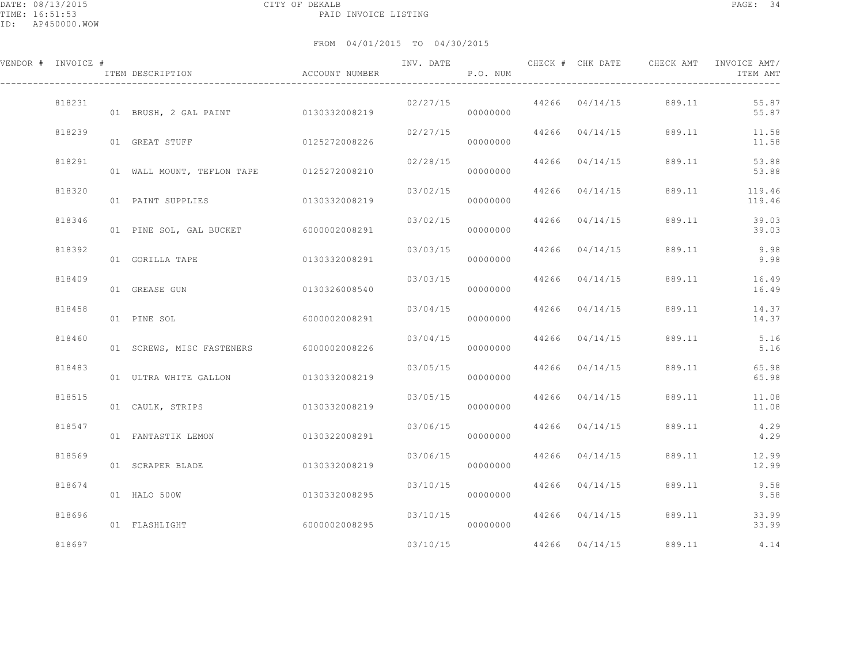| VENDOR # INVOICE # | ITEM DESCRIPTION                         | ACCOUNT NUMBER |                           | P.O. NUM             |                | INV. DATE 6 1997 CHECK # CHK DATE 6 CHECK AMT INVOICE AMT | ITEM AMT            |
|--------------------|------------------------------------------|----------------|---------------------------|----------------------|----------------|-----------------------------------------------------------|---------------------|
| 818231             | 01 BRUSH, 2 GAL PAINT 0130332008219      |                |                           | 00000000             |                | $02/27/15$ 44266 04/14/15 889.11                          | 55.87<br>55.87      |
| 818239             | 01 GREAT STUFF                           | 0125272008226  | $02/27/15$ 44266 04/14/15 | 00000000             |                | 889.11                                                    | 11.58<br>11.58      |
| 818291             | 01 WALL MOUNT, TEFLON TAPE 0125272008210 |                | 02/28/15                  | 00000000             | 44266 04/14/15 | 889.11                                                    | 53.88<br>53.88      |
| 818320             | 01 PAINT SUPPLIES                        | 0130332008219  | 03/02/15                  | 00000000             | 44266 04/14/15 | 889.11                                                    | 119.46<br>119.46    |
| 818346             | 01 PINE SOL, GAL BUCKET 6000002008291    |                | 03/02/15                  | 00000000             | 44266 04/14/15 | 889.11                                                    | 39.03<br>39.03      |
| 818392             | 01 GORILLA TAPE                          | 0130332008291  | $03/03/15$ 44266 04/14/15 | 00000000             |                |                                                           | 889.11 9.98<br>9.98 |
| 818409             | 01 GREASE GUN                            | 0130326008540  | 03/03/15                  | 00000000             | 44266 04/14/15 | 889.11                                                    | 16.49<br>16.49      |
| 818458             | 01 PINE SOL                              | 6000002008291  | 03/04/15                  | 00000000             | 44266 04/14/15 | 889.11                                                    | 14.37<br>14.37      |
| 818460             | 01 SCREWS, MISC FASTENERS 6000002008226  |                | 03/04/15                  | 00000000             | 44266 04/14/15 | 889.11                                                    | 5.16<br>5.16        |
| 818483             | 01 ULTRA WHITE GALLON 0130332008219      |                | 03/05/15                  | 00000000             | 44266 04/14/15 | 889.11                                                    | 65.98<br>65.98      |
| 818515             | 01 CAULK, STRIPS 0130332008219           |                | 03/05/15                  | 00000000             | 44266 04/14/15 | 889.11                                                    | 11.08<br>11.08      |
| 818547             | 01 FANTASTIK LEMON                       | 0130322008291  | 03/06/15                  | 00000000             | 44266 04/14/15 | 889.11                                                    | 4.29<br>4.29        |
| 818569             | 01 SCRAPER BLADE                         | 0130332008219  | 03/06/15                  | 00000000             | 44266 04/14/15 | 889.11                                                    | 12.99<br>12.99      |
| 818674             | 01 HALO 500W                             | 0130332008295  |                           | 03/10/15<br>00000000 | 44266 04/14/15 | 889.11                                                    | 9.58<br>9.58        |
| 818696             | 01 FLASHLIGHT                            | 60000002008295 | 03/10/15                  |                      | 44266 04/14/15 | 889.11                                                    | 33.99<br>33.99      |
| 818697             |                                          |                | 03/10/15                  |                      | 44266 04/14/15 | 889.11                                                    | 4.14                |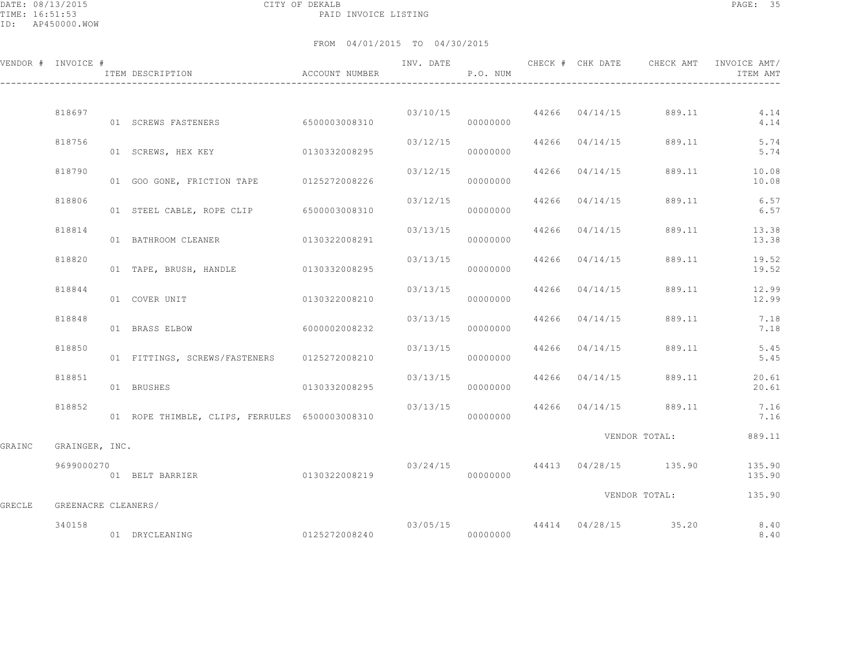DATE: 08/13/2015 CITY OF DEKALB PAGE: 35 PAID INVOICE LISTING

|        | VENDOR # INVOICE #  | ACCOUNT NUMBER<br>ITEM DESCRIPTION             |                        |          | P.O. NUM             |                | INV. DATE 6 CHECK # CHK DATE CHECK AMT | INVOICE AMT/<br>ITEM AMT |
|--------|---------------------|------------------------------------------------|------------------------|----------|----------------------|----------------|----------------------------------------|--------------------------|
|        |                     |                                                |                        |          |                      |                |                                        |                          |
|        | 818697              | 01 SCREWS FASTENERS 6500003008310              |                        |          | 03/10/15<br>00000000 | 44266 04/14/15 |                                        | 889.11 4.14<br>4.14      |
|        | 818756              | 01 SCREWS, HEX KEY                             | 0130332008295          | 03/12/15 | 00000000             | 44266 04/14/15 | 889.11                                 | 5.74<br>5.74             |
|        | 818790              | 01 GOO GONE, FRICTION TAPE 0125272008226       |                        | 03/12/15 | 00000000             | 44266 04/14/15 | 889.11                                 | 10.08<br>10.08           |
|        | 818806              | 01 STEEL CABLE, ROPE CLIP 6500003008310        |                        | 03/12/15 | 00000000             | 44266 04/14/15 | 889.11                                 | 6.57<br>6.57             |
|        | 818814              | 01 BATHROOM CLEANER 0130322008291              |                        | 03/13/15 | 00000000             | 44266 04/14/15 | 889.11                                 | 13.38<br>13.38           |
|        | 818820              | 01 TAPE, BRUSH, HANDLE                         | 0130332008295          | 03/13/15 | 00000000             | 44266 04/14/15 | 889.11                                 | 19.52<br>19.52           |
|        | 818844              | 01 COVER UNIT                                  | 0130322008210          | 03/13/15 | 00000000             | 44266 04/14/15 | 889.11                                 | 12.99<br>12.99           |
|        | 818848              | 01 BRASS ELBOW                                 | 6000002008232          | 03/13/15 | 00000000             | 44266 04/14/15 | 889.11                                 | 7.18<br>7.18             |
|        | 818850              | 01 FITTINGS, SCREWS/FASTENERS 0125272008210    |                        | 03/13/15 | 00000000             | 44266 04/14/15 | 889.11                                 | 5.45<br>5.45             |
|        | 818851              | 01 BRUSHES                                     | 0130332008295          | 03/13/15 | 00000000             |                | 44266 04/14/15 889.11                  | 20.61<br>20.61           |
|        | 818852              | 01 ROPE THIMBLE, CLIPS, FERRULES 6500003008310 |                        | 03/13/15 | 00000000             | 44266 04/14/15 | 889.11                                 | 7.16<br>7.16             |
|        |                     |                                                |                        |          |                      |                | VENDOR TOTAL:                          | 889.11                   |
| GRAINC | GRAINGER, INC.      |                                                |                        |          |                      |                |                                        |                          |
|        | 9699000270          | 01 BELT BARRIER                                | 0130322008219          |          | 00000000             |                | 03/24/15 44413 04/28/15 135.90         | 135.90<br>135.90         |
| GRECLE | GREENACRE CLEANERS/ |                                                |                        |          |                      |                | VENDOR TOTAL:                          | 135.90                   |
|        | 340158              | 01 DRYCLEANING                                 | 0125272008240 00000000 |          |                      |                | $03/05/15$ $44414$ $04/28/15$ $35.20$  | 8.40<br>8.40             |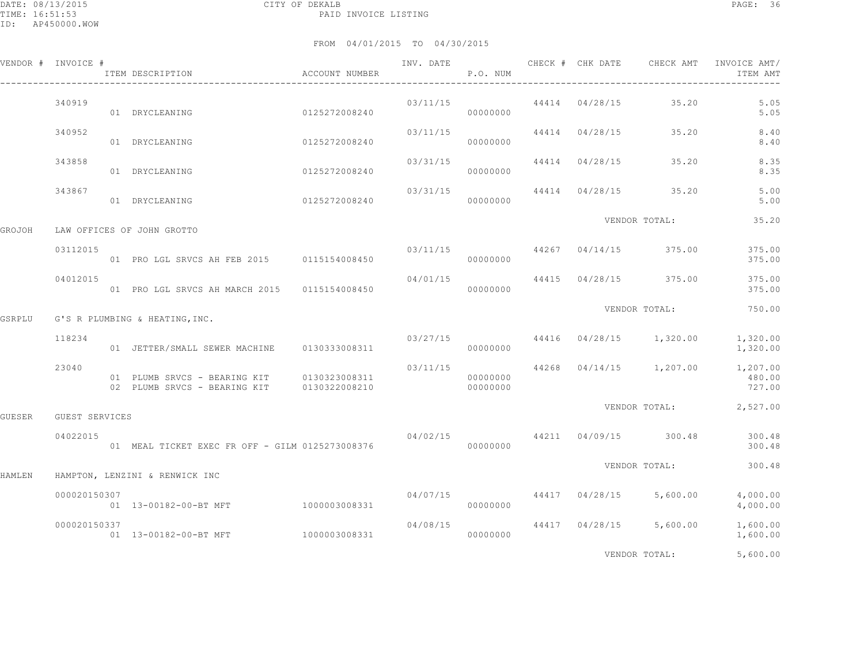|        | VENDOR # INVOICE # | ITEM DESCRIPTION                                                                         | ACCOUNT NUMBER | INV. DATE | P.O. NUM | CHECK # CHK DATE | CHECK AMT                              | INVOICE AMT/<br>ITEM AMT                                  |
|--------|--------------------|------------------------------------------------------------------------------------------|----------------|-----------|----------|------------------|----------------------------------------|-----------------------------------------------------------|
|        | 340919             | 01 DRYCLEANING                                                                           | 0125272008240  | 03/11/15  | 00000000 |                  | 44414 04/28/15 35.20                   | 5.05<br>5.05                                              |
|        | 340952             | 01 DRYCLEANING                                                                           | 0125272008240  | 03/11/15  | 00000000 | 44414 04/28/15   | 35.20                                  | 8.40<br>8.40                                              |
|        | 343858             | 01 DRYCLEANING                                                                           | 0125272008240  | 03/31/15  | 00000000 | 44414 04/28/15   | 35.20                                  | 8.35<br>8.35                                              |
|        | 343867             | 01 DRYCLEANING                                                                           | 0125272008240  | 03/31/15  | 00000000 |                  | 44414 04/28/15 35.20                   | 5.00<br>5.00                                              |
| GROJOH |                    | LAW OFFICES OF JOHN GROTTO                                                               |                |           |          |                  | VENDOR TOTAL:                          | 35.20                                                     |
|        | 03112015           | 01 PRO LGL SRVCS AH FEB 2015 0115154008450                                               |                |           | 00000000 |                  | $03/11/15$ $44267$ $04/14/15$ $375.00$ | 375.00<br>375.00                                          |
|        | 04012015           | 01 PRO LGL SRVCS AH MARCH 2015 0115154008450                                             |                | 04/01/15  | 00000000 |                  | 44415 04/28/15 375.00                  | 375.00<br>375.00                                          |
| GSRPLU |                    | G'S R PLUMBING & HEATING, INC.                                                           |                |           |          |                  | VENDOR TOTAL:                          | 750.00                                                    |
|        | 118234             | 01 JETTER/SMALL SEWER MACHINE 0130333008311                                              |                |           | 00000000 |                  | $03/27/15$ 44416 04/28/15 1,320.00     | 1,320.00<br>1,320.00                                      |
|        | 23040              | 01 PLUMB SRVCS - BEARING KIT 0130323008311<br>02 PLUMB SRVCS - BEARING KIT 0130322008210 |                | 00000000  | 00000000 |                  | $03/11/15$ 44268 04/14/15 1,207.00     | 1,207.00<br>480.00<br>727.00                              |
| GUESER | GUEST SERVICES     |                                                                                          |                |           |          |                  |                                        | VENDOR TOTAL: 2,527.00                                    |
|        | 04022015           | 01 MEAL TICKET EXEC FR OFF - GILM 0125273008376                                          |                |           | 00000000 |                  |                                        | $04/02/15$ $44211$ $04/09/15$ $300.48$ $300.48$<br>300.48 |
| HAMLEN |                    | HAMPTON, LENZINI & RENWICK INC                                                           |                |           |          |                  | VENDOR TOTAL:                          | 300.48                                                    |
|        | 000020150307       | 01  13-00182-00-BT MFT  1000003008331                                                    |                | 04/07/15  | 00000000 |                  | 44417 04/28/15 5,600.00                | 4,000.00<br>4,000.00                                      |
|        | 000020150337       | 01  13-00182-00-BT MFT  1000003008331                                                    |                | 04/08/15  | 00000000 |                  | 44417 04/28/15 5,600.00                | 1,600.00<br>1,600.00                                      |
|        |                    |                                                                                          |                |           |          |                  | VENDOR TOTAL:                          | 5,600.00                                                  |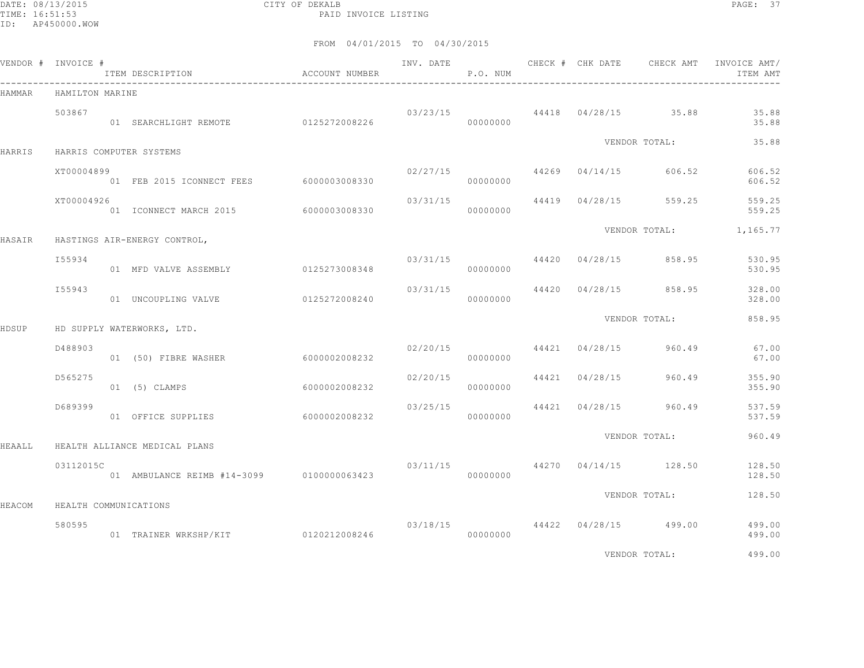DATE: 08/13/2015 CITY OF DEKALB PAGE: 37 PAID INVOICE LISTING

|        | VENDOR # INVOICE #    | ITEM DESCRIPTION                          | ACCOUNT NUMBER |          | P.O. NUM |                |                                        | INVOICE AMT/<br>ITEM AMT |
|--------|-----------------------|-------------------------------------------|----------------|----------|----------|----------------|----------------------------------------|--------------------------|
| HAMMAR | HAMILTON MARINE       | -------------------------------------     |                |          |          |                |                                        |                          |
|        | 503867                | 01 SEARCHLIGHT REMOTE 0125272008226       |                |          | 00000000 |                | $03/23/15$ 44418 $04/28/15$ 35.88      | 35.88<br>35.88           |
| HARRIS |                       | HARRIS COMPUTER SYSTEMS                   |                |          |          |                | VENDOR TOTAL:                          | 35.88                    |
|        | XT00004899            | 01 FEB 2015 ICONNECT FEES 6000003008330   |                |          | 00000000 |                | $02/27/15$ 44269 04/14/15 606.52       | 606.52<br>606.52         |
|        | XT00004926            | 01 ICONNECT MARCH 2015 6000003008330      |                | 03/31/15 | 00000000 |                | 44419 04/28/15 559.25                  | 559.25<br>559.25         |
| HASAIR |                       | HASTINGS AIR-ENERGY CONTROL,              |                |          |          |                |                                        | VENDOR TOTAL: 1,165.77   |
|        | I55934                | 01 MFD VALVE ASSEMBLY 0125273008348       |                |          | 00000000 |                | $03/31/15$ $44420$ $04/28/15$ $858.95$ | 530.95<br>530.95         |
|        | I55943                | 01 UNCOUPLING VALVE                       | 0125272008240  | 03/31/15 | 00000000 |                | 44420 04/28/15 858.95                  | 328.00<br>328.00         |
| HDSUP  |                       | HD SUPPLY WATERWORKS, LTD.                |                |          |          |                | VENDOR TOTAL:                          | 858.95                   |
|        | D488903               | 01 (50) FIBRE WASHER                      | 60000002008232 | 02/20/15 | 00000000 | 44421 04/28/15 | 960.49                                 | 67.00<br>67.00           |
|        | D565275               | 01 (5) CLAMPS                             | 6000002008232  | 02/20/15 | 00000000 | 44421 04/28/15 | 960.49                                 | 355.90<br>355.90         |
|        | D689399               | 01 OFFICE SUPPLIES                        | 6000002008232  |          | 00000000 |                | $03/25/15$ $44421$ $04/28/15$ 960.49   | 537.59<br>537.59         |
| HEAALL |                       | HEALTH ALLIANCE MEDICAL PLANS             |                |          |          |                | VENDOR TOTAL:                          | 960.49                   |
|        | 03112015C             | 01 AMBULANCE REIMB #14-3099 0100000063423 |                |          | 00000000 |                | $03/11/15$ $44270$ $04/14/15$ $128.50$ | 128.50<br>128.50         |
| HEACOM | HEALTH COMMUNICATIONS |                                           |                |          |          |                | VENDOR TOTAL:                          | 128.50                   |
|        | 580595                |                                           |                |          |          |                | 03/18/15 44422 04/28/15 499.00         | 499.00<br>499.00         |
|        |                       |                                           |                |          |          |                | VENDOR TOTAL:                          | 499.00                   |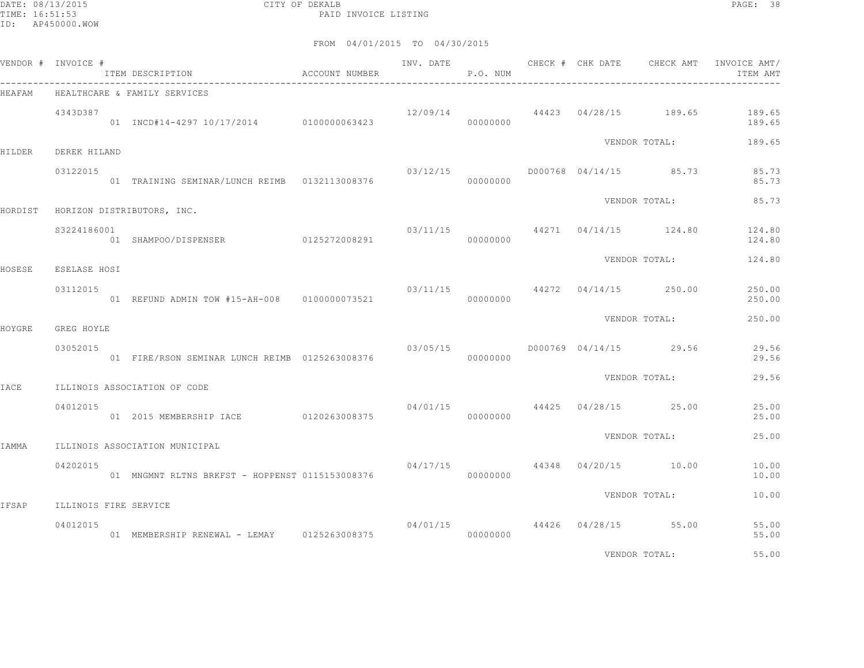DATE: 08/13/2015 CITY OF DEKALB PAGE: 38 PAID INVOICE LISTING

|               | VENDOR # INVOICE #                | ITEM DESCRIPTION                                | ACCOUNT NUMBER | INV. DATE | P.O. NUM |  | CHECK # CHK DATE CHECK AMT             | INVOICE AMT/<br>ITEM AMT |
|---------------|-----------------------------------|-------------------------------------------------|----------------|-----------|----------|--|----------------------------------------|--------------------------|
| HEAFAM        |                                   | HEALTHCARE & FAMILY SERVICES                    |                |           |          |  |                                        |                          |
|               | 4343D387                          | 01 INCD#14-4297 10/17/2014 0100000063423        |                | 12/09/14  | 00000000 |  | 44423 04/28/15 189.65                  | 189.65<br>189.65         |
| <b>HILDER</b> | DEREK HILAND                      |                                                 |                |           |          |  | VENDOR TOTAL:                          | 189.65                   |
|               | 03122015                          | 01 TRAINING SEMINAR/LUNCH REIMB  0132113008376  |                | 03/12/15  | 00000000 |  | D000768 04/14/15 85.73                 | 85.73<br>85.73           |
| HORDIST       |                                   | HORIZON DISTRIBUTORS, INC.                      |                |           |          |  | VENDOR TOTAL:                          | 85.73                    |
|               | S3224186001                       | 01 SHAMPOO/DISPENSER 0125272008291              |                |           | 00000000 |  | $03/11/15$ 44271 04/14/15 124.80       | 124.80<br>124.80         |
| HOSESE        | ESELASE HOSI                      |                                                 |                |           |          |  | VENDOR TOTAL:                          | 124.80                   |
|               | 03112015                          | 01 REFUND ADMIN TOW #15-AH-008 0100000073521    |                |           | 00000000 |  | $03/11/15$ $44272$ $04/14/15$ $250.00$ | 250.00<br>250.00         |
| HOYGRE        | GREG HOYLE                        |                                                 |                |           |          |  | VENDOR TOTAL:                          | 250.00                   |
|               | 03052015                          | 01 FIRE/RSON SEMINAR LUNCH REIMB 0125263008376  |                | 03/05/15  | 00000000 |  | D000769 04/14/15 29.56                 | 29.56<br>29.56           |
| <b>IACE</b>   |                                   | ILLINOIS ASSOCIATION OF CODE                    |                |           |          |  | VENDOR TOTAL:                          | 29.56                    |
|               | 04012015                          | 01  2015 MEMBERSHIP IACE   0120263008375        |                |           | 00000000 |  | $04/01/15$ $44425$ $04/28/15$ $25.00$  | 25.00<br>25.00           |
| IAMMA         |                                   | ILLINOIS ASSOCIATION MUNICIPAL                  |                |           |          |  | VENDOR TOTAL:                          | 25.00                    |
|               | 04202015                          | 01 MNGMNT RLTNS BRKFST - HOPPENST 0115153008376 |                | 04/17/15  | 00000000 |  | 44348 04/20/15 10.00                   | 10.00<br>10.00           |
|               |                                   |                                                 |                |           |          |  | VENDOR TOTAL:                          | 10.00                    |
| IFSAP         | ILLINOIS FIRE SERVICE<br>04012015 |                                                 |                |           |          |  | $04/01/15$ $44426$ $04/28/15$ 55.00    | 55.00                    |
|               |                                   | 01 MEMBERSHIP RENEWAL - LEMAY 0125263008375     |                |           | 00000000 |  |                                        | 55.00                    |
|               |                                   |                                                 |                |           |          |  | VENDOR TOTAL:                          | 55.00                    |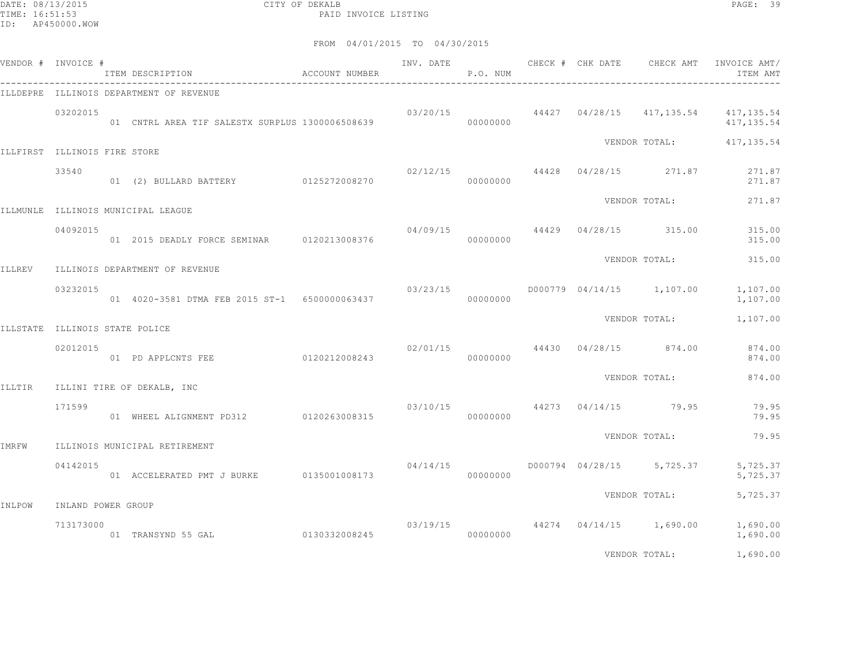DATE: 08/13/2015 CITY OF DEKALB PAGE: 39 PAID INVOICE LISTING

|        | VENDOR # INVOICE #             | ITEM DESCRIPTION                                  | ACCOUNT NUMBER          |                                     | P.O. NUM |  | INV. DATE 6 CHECK # CHK DATE CHECK AMT | INVOICE AMT/<br>ITEM AMT                                      |
|--------|--------------------------------|---------------------------------------------------|-------------------------|-------------------------------------|----------|--|----------------------------------------|---------------------------------------------------------------|
|        |                                | ILLDEPRE ILLINOIS DEPARTMENT OF REVENUE           |                         |                                     |          |  |                                        |                                                               |
|        | 03202015                       | 01 CNTRL AREA TIF SALESTX SURPLUS 1300006508639   |                         |                                     | 00000000 |  |                                        | $03/20/15$ 44427 04/28/15 417,135.54 417,135.54<br>417,135.54 |
|        | ILLFIRST ILLINOIS FIRE STORE   |                                                   |                         |                                     |          |  |                                        | VENDOR TOTAL: 417, 135.54                                     |
|        | 33540                          | 01 (2) BULLARD BATTERY 0125272008270              |                         |                                     | 00000000 |  | $02/12/15$ 44428 04/28/15 271.87       | 271.87<br>271.87                                              |
|        |                                | ILLMUNLE ILLINOIS MUNICIPAL LEAGUE                |                         |                                     |          |  | VENDOR TOTAL:                          | 271.87                                                        |
|        | 04092015                       | 01  2015 DEADLY FORCE SEMINAR   0120213008376     |                         |                                     | 00000000 |  | $04/09/15$ $44429$ $04/28/15$ $315.00$ | 315.00<br>315.00                                              |
| ILLREV |                                | ILLINOIS DEPARTMENT OF REVENUE                    |                         |                                     |          |  | VENDOR TOTAL:                          | 315.00                                                        |
|        | 03232015                       | 01  4020-3581 DTMA FEB  2015  ST-1  6500000063437 |                         | 03/23/15                            | 00000000 |  | D000779 04/14/15 1,107.00              | 1,107.00<br>1,107.00                                          |
|        | ILLSTATE ILLINOIS STATE POLICE |                                                   |                         |                                     |          |  | VENDOR TOTAL:                          | 1,107.00                                                      |
|        | 02012015                       | 01 PD APPLCNTS FEE 0120212008243                  |                         | 02/01/15                            | 00000000 |  |                                        | 44430 04/28/15 874.00 874.00<br>874.00                        |
| ILLTIR |                                | ILLINI TIRE OF DEKALB, INC                        |                         |                                     |          |  | VENDOR TOTAL:                          | 874.00                                                        |
|        | 171599                         | 01 WHEEL ALIGNMENT PD312 0120263008315            |                         | $03/10/15$ $44273$ $04/14/15$ 79.95 | 00000000 |  |                                        | 79.95<br>79.95                                                |
| IMRFW  |                                | ILLINOIS MUNICIPAL RETIREMENT                     |                         |                                     |          |  | VENDOR TOTAL:                          | 79.95                                                         |
|        | 04142015                       | 01 ACCELERATED PMT J BURKE                        | 0135001008173           | 04/14/15                            | 00000000 |  | D000794 04/28/15 5,725.37              | 5,725.37<br>5,725.37                                          |
| INLPOW | INLAND POWER GROUP             |                                                   |                         |                                     |          |  | VENDOR TOTAL:                          | 5,725.37                                                      |
|        | 713173000                      | 01 TRANSYND 55 GAL                                | 0130332008245 000000000 |                                     |          |  | $03/19/15$ 44274 04/14/15 1,690.00     | 1,690.00<br>1,690.00                                          |
|        |                                |                                                   |                         |                                     |          |  | VENDOR TOTAL:                          | 1,690.00                                                      |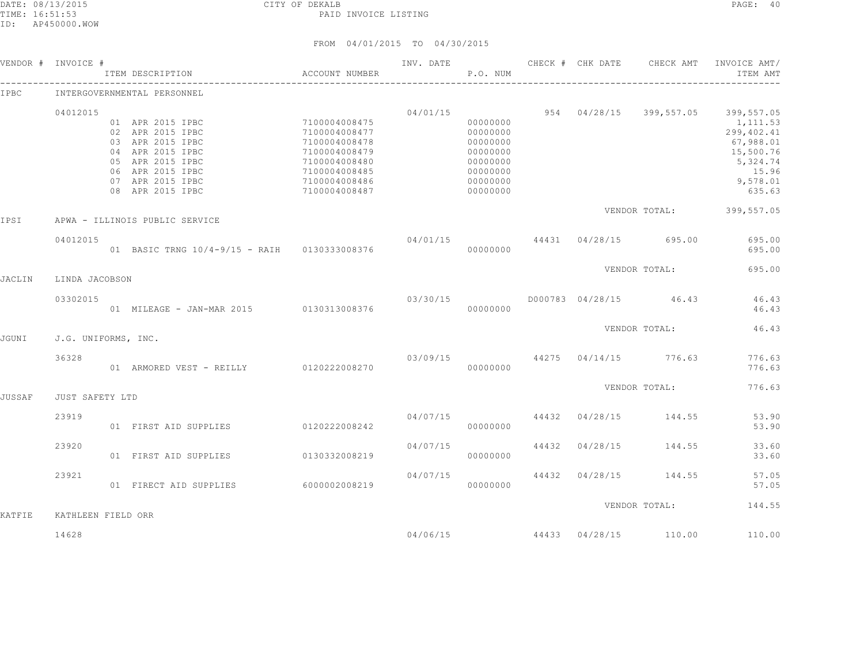|               | VENDOR # INVOICE #  | ITEM DESCRIPTION                                                                                                     | ACCOUNT NUMBER                                                                                     | INV. DATE | CHECK # CHK DATE<br>P.O. NUM                                         |       |          | CHECK AMT                        | INVOICE AMT/<br>ITEM AMT                                          |
|---------------|---------------------|----------------------------------------------------------------------------------------------------------------------|----------------------------------------------------------------------------------------------------|-----------|----------------------------------------------------------------------|-------|----------|----------------------------------|-------------------------------------------------------------------|
| IPBC          |                     | INTERGOVERNMENTAL PERSONNEL                                                                                          |                                                                                                    |           |                                                                      |       |          |                                  |                                                                   |
|               | 04012015            | 01 APR 2015 IPBC<br>02 APR 2015 IPBC                                                                                 | 7100004008475<br>7100004008477                                                                     | 04/01/15  | 00000000<br>00000000                                                 |       |          | 954 04/28/15 399,557.05          | 399,557.05<br>1,111.53<br>299,402.41                              |
|               |                     | 03 APR 2015 IPBC<br>04 APR 2015 IPBC<br>05 APR 2015 IPBC<br>06 APR 2015 IPBC<br>07 APR 2015 IPBC<br>08 APR 2015 IPBC | 7100004008478<br>7100004008479<br>7100004008480<br>7100004008485<br>7100004008486<br>7100004008487 |           | 00000000<br>00000000<br>00000000<br>00000000<br>00000000<br>00000000 |       |          |                                  | 67,988.01<br>15,500.76<br>5,324.74<br>15.96<br>9,578.01<br>635.63 |
| IPSI          |                     | APWA - ILLINOIS PUBLIC SERVICE                                                                                       |                                                                                                    |           |                                                                      |       |          |                                  | VENDOR TOTAL: 399,557.05                                          |
|               | 04012015            | 01 BASIC TRNG 10/4-9/15 - RAIH 0130333008376                                                                         |                                                                                                    | 04/01/15  | 00000000                                                             |       |          | 44431 04/28/15 695.00            | 695.00<br>695.00                                                  |
| JACLIN        | LINDA JACOBSON      |                                                                                                                      |                                                                                                    |           |                                                                      |       |          | VENDOR TOTAL:                    | 695.00                                                            |
|               | 03302015            | 01 MILEAGE - JAN-MAR 2015 0130313008376                                                                              |                                                                                                    | 03/30/15  | 00000000                                                             |       |          | D000783 04/28/15 46.43           | 46.43<br>46.43                                                    |
| <b>JGUNI</b>  | J.G. UNIFORMS, INC. |                                                                                                                      |                                                                                                    |           |                                                                      |       |          | VENDOR TOTAL:                    | 46.43                                                             |
|               | 36328               | 01 ARMORED VEST - REILLY 0120222008270                                                                               |                                                                                                    |           | 00000000                                                             |       |          | $03/09/15$ 44275 04/14/15 776.63 | 776.63<br>776.63                                                  |
| <b>JUSSAF</b> | JUST SAFETY LTD     |                                                                                                                      |                                                                                                    |           |                                                                      |       |          | VENDOR TOTAL:                    | 776.63                                                            |
|               | 23919               | 01 FIRST AID SUPPLIES                                                                                                | 0120222008242                                                                                      | 04/07/15  | 00000000                                                             |       |          | 44432 04/28/15 144.55            | 53.90<br>53.90                                                    |
|               | 23920               | 01 FIRST AID SUPPLIES                                                                                                | 0130332008219                                                                                      | 04/07/15  | 00000000                                                             | 44432 | 04/28/15 | 144.55                           | 33.60<br>33.60                                                    |
|               | 23921               | 01 FIRECT AID SUPPLIES                                                                                               | 60000002008219                                                                                     | 04/07/15  | 00000000                                                             |       |          | 44432 04/28/15 144.55            | 57.05<br>57.05                                                    |
| <b>KATFIE</b> | KATHLEEN FIELD ORR  |                                                                                                                      |                                                                                                    |           |                                                                      |       |          | VENDOR TOTAL:                    | 144.55                                                            |
|               | 14628               |                                                                                                                      |                                                                                                    | 04/06/15  |                                                                      | 44433 | 04/28/15 | 110.00                           | 110.00                                                            |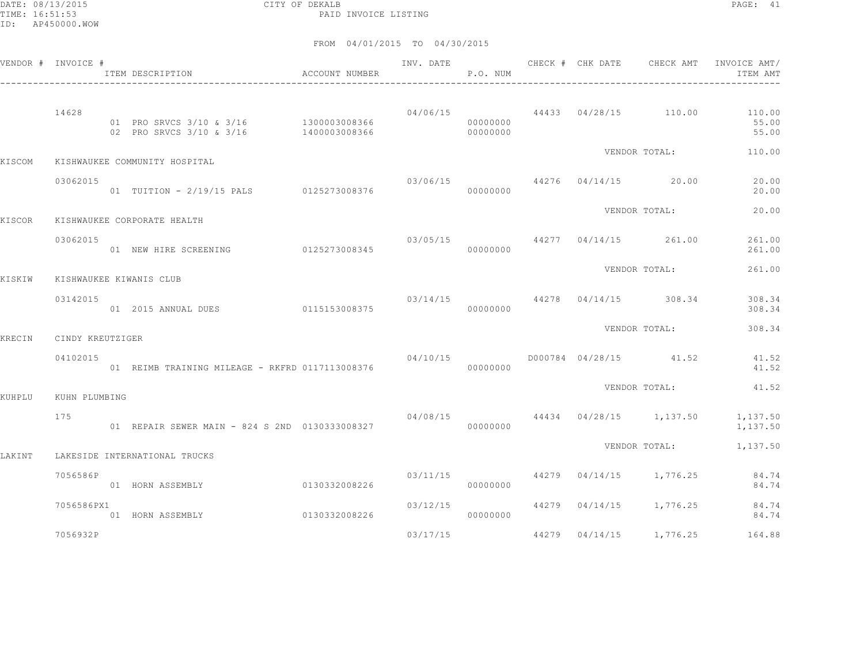DATE: 08/13/2015 CITY OF DEKALB PAGE: 41 PAID INVOICE LISTING

|        | VENDOR # INVOICE # | ITEM DESCRIPTION                                                   | ACCOUNT NUMBER | INV. DATE                         | P.O. NUM             |                | CHECK # CHK DATE CHECK AMT               | INVOICE AMT/<br>ITEM AMT                                          |
|--------|--------------------|--------------------------------------------------------------------|----------------|-----------------------------------|----------------------|----------------|------------------------------------------|-------------------------------------------------------------------|
|        | 14628              | 01 PRO SRVCS 3/10 & 3/16 1300003008366<br>02 PRO SRVCS 3/10 & 3/16 | 1400003008366  |                                   | 00000000<br>00000000 |                |                                          | $04/06/15$ $44433$ $04/28/15$ $110.00$ $110.00$<br>55.00<br>55.00 |
| KISCOM |                    | KISHWAUKEE COMMUNITY HOSPITAL                                      |                |                                   |                      |                | VENDOR TOTAL:                            | 110.00                                                            |
|        | 03062015           | 01 TUITION - 2/19/15 PALS 0125273008376                            |                | $03/06/15$ 44276 $04/14/15$ 20.00 | 00000000             |                |                                          | 20.00<br>20.00                                                    |
| KISCOR |                    | KISHWAUKEE CORPORATE HEALTH                                        |                |                                   |                      |                | VENDOR TOTAL:                            | 20.00                                                             |
|        | 03062015           | 01 NEW HIRE SCREENING 0125273008345                                |                |                                   | 00000000             |                | $03/05/15$ 44277 04/14/15 261.00         | 261.00<br>261.00                                                  |
| KISKIW |                    | KISHWAUKEE KIWANIS CLUB                                            |                |                                   |                      |                | VENDOR TOTAL:                            | 261.00                                                            |
|        | 03142015           | 01 2015 ANNUAL DUES                                                | 0115153008375  |                                   | 00000000             |                | $03/14/15$ $44278$ $04/14/15$ $308.34$   | 308.34<br>308.34                                                  |
| KRECIN | CINDY KREUTZIGER   |                                                                    |                |                                   |                      |                | VENDOR TOTAL:                            | 308.34                                                            |
|        | 04102015           | 01 REIMB TRAINING MILEAGE - RKFRD 0117113008376                    |                |                                   | 00000000             |                | $04/10/15$ $0000784$ $04/28/15$ $41.52$  | 41.52<br>41.52                                                    |
| KUHPLU | KUHN PLUMBING      |                                                                    |                |                                   |                      |                | VENDOR TOTAL:                            | 41.52                                                             |
|        | 175                | 01 REPAIR SEWER MAIN - 824 S 2ND 0130333008327                     |                |                                   | 00000000             |                | $04/08/15$ $44434$ $04/28/15$ $1,137.50$ | 1,137.50<br>1,137.50                                              |
| LAKINT |                    | LAKESIDE INTERNATIONAL TRUCKS                                      |                |                                   |                      |                | VENDOR TOTAL:                            | 1,137.50                                                          |
|        | 7056586P           | 01 HORN ASSEMBLY                                                   | 0130332008226  | 03/11/15                          | 00000000             |                | 44279 04/14/15 1,776.25                  | 84.74<br>84.74                                                    |
|        | 7056586PX1         | 01 HORN ASSEMBLY                                                   | 0130332008226  | 03/12/15                          | 00000000             |                | 44279 04/14/15 1,776.25                  | 84.74<br>84.74                                                    |
|        | 7056932P           |                                                                    |                | 03/17/15                          |                      | 44279 04/14/15 | 1,776.25                                 | 164.88                                                            |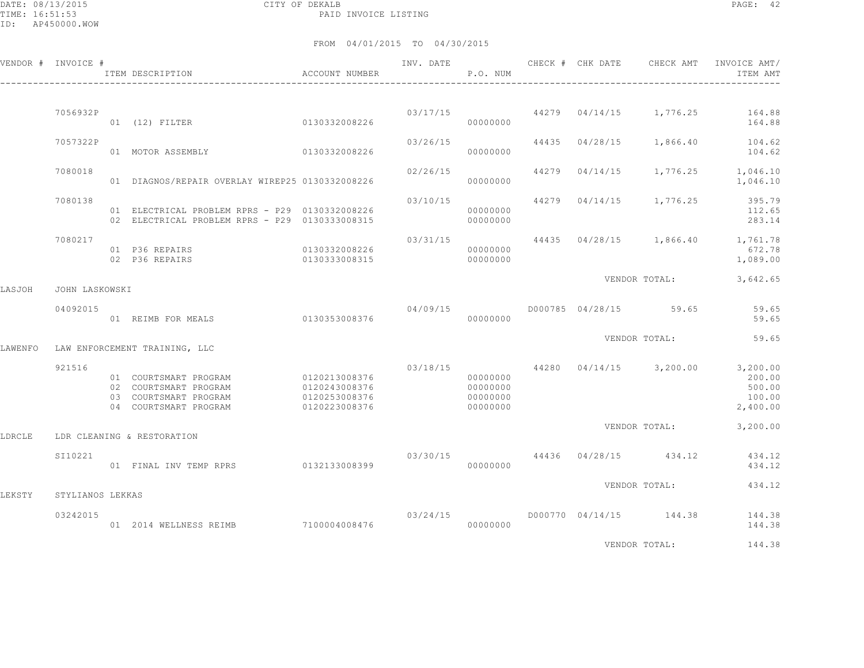DATE: 08/13/2015 CITY OF DEKALB PAGE: 42 PAID INVOICE LISTING

FROM 04/01/2015 TO 04/30/2015

|         | VENDOR # INVOICE #           | ACCOUNT NUMBER<br>ITEM DESCRIPTION                                                                       |                                                 |          | P.O. NUM                                     |  |                         | ITEM AMT                                                                                      |
|---------|------------------------------|----------------------------------------------------------------------------------------------------------|-------------------------------------------------|----------|----------------------------------------------|--|-------------------------|-----------------------------------------------------------------------------------------------|
|         |                              |                                                                                                          |                                                 |          |                                              |  |                         |                                                                                               |
|         | 7056932P                     | 01 (12) FILTER 0130332008226                                                                             |                                                 | 03/17/15 | 00000000                                     |  |                         | 44279  04/14/15  1,776.25  164.88<br>164.88                                                   |
|         | 7057322P                     | 0130332008226<br>01 MOTOR ASSEMBLY                                                                       |                                                 | 03/26/15 | 00000000                                     |  | 44435 04/28/15 1,866.40 | 104.62<br>104.62                                                                              |
|         | 7080018                      | 01 DIAGNOS/REPAIR OVERLAY WIREP25 0130332008226                                                          |                                                 | 02/26/15 | 00000000                                     |  |                         | 44279 04/14/15 1,776.25 1,046.10<br>1,046.10                                                  |
|         | 7080138                      | 01 ELECTRICAL PROBLEM RPRS - P29 0130332008226<br>02 ELECTRICAL PROBLEM RPRS - P29 0130333008315         |                                                 | 03/10/15 | 00000000<br>00000000                         |  | 44279 04/14/15 1,776.25 | 395.79<br>112.65<br>283.14                                                                    |
|         | 7080217                      | 01 P36 REPAIRS<br>02 P36 REPAIRS                                                                         | 0130332008226<br>0130333008315                  |          | 00000000<br>00000000                         |  |                         | 03/31/15 44435 04/28/15 1,866.40 1,761.78<br>672.78<br>1,089.00                               |
| LASJOH  | JOHN LASKOWSKI               |                                                                                                          |                                                 |          |                                              |  |                         | VENDOR TOTAL: 3,642.65                                                                        |
|         | 04092015                     | 01 REIMB FOR MEALS 6130353008376                                                                         |                                                 | 04/09/15 | 00000000                                     |  | D000785 04/28/15 59.65  | 59.65<br>59.65                                                                                |
|         |                              |                                                                                                          |                                                 |          |                                              |  | VENDOR TOTAL:           | 59.65                                                                                         |
| LAWENFO | 921516                       | LAW ENFORCEMENT TRAINING, LLC<br>02 COURTSMART PROGRAM<br>03 COURTSMART PROGRAM<br>04 COURTSMART PROGRAM | 0120243008376<br>0120253008376<br>0120223008376 |          | 00000000<br>00000000<br>00000000<br>00000000 |  |                         | $03/18/15$ $44280$ $04/14/15$ $3,200.00$ $3,200.00$<br>200.00<br>500.00<br>100.00<br>2,400.00 |
| LDRCLE  |                              | LDR CLEANING & RESTORATION                                                                               |                                                 |          |                                              |  |                         | VENDOR TOTAL: 3,200.00                                                                        |
|         | SI10221                      | 01 FINAL INV TEMP RPRS 0132133008399                                                                     |                                                 |          | 00000000                                     |  |                         | $03/30/15$ 44436 $04/28/15$ 434.12 434.12<br>434.12                                           |
| LEKSTY  |                              |                                                                                                          |                                                 |          |                                              |  | VENDOR TOTAL:           | 434.12                                                                                        |
|         | STYLIANOS LEKKAS<br>03242015 | 01  2014  WELLNESS REIMB  7100004008476                                                                  |                                                 | 03/24/15 | 00000000                                     |  | D000770 04/14/15 144.38 | 144.38<br>144.38                                                                              |
|         |                              |                                                                                                          |                                                 |          |                                              |  | <i>ITRITOR MORT</i>     | 11120                                                                                         |

VENDOR TOTAL: 144.38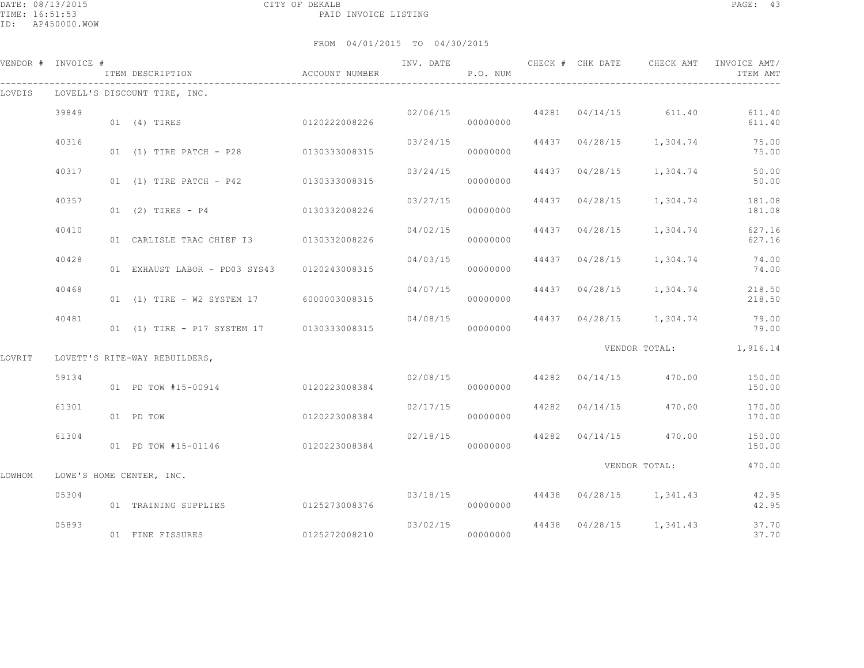|        | VENDOR # INVOICE # | ITEM DESCRIPTION                            | ACCOUNT NUMBER | INV. DATE | P.O. NUM             |       | CHECK # CHK DATE | CHECK AMT                                | INVOICE AMT/<br>ITEM AMT |
|--------|--------------------|---------------------------------------------|----------------|-----------|----------------------|-------|------------------|------------------------------------------|--------------------------|
| LOVDIS |                    | LOVELL'S DISCOUNT TIRE, INC.                |                |           |                      |       |                  |                                          |                          |
|        | 39849              | 01 (4) TIRES                                | 0120222008226  | 02/06/15  | 00000000             |       |                  | $44281$ 04/14/15 611.40                  | 611.40<br>611.40         |
|        | 40316              | 01 (1) TIRE PATCH - P28 0130333008315       |                |           | 03/24/15<br>00000000 |       |                  | 44437 04/28/15 1,304.74                  | 75.00<br>75.00           |
|        | 40317              | 01 (1) TIRE PATCH - P42 0130333008315       |                | 03/24/15  | 00000000             |       | 44437 04/28/15   | 1,304.74                                 | 50.00<br>50.00           |
|        | 40357              | 01 (2) TIRES - P4                           | 0130332008226  |           | 03/27/15<br>00000000 |       | 44437 04/28/15   | 1,304.74                                 | 181.08<br>181.08         |
|        | 40410              | 01 CARLISLE TRAC CHIEF I3 0130332008226     |                | 04/02/15  | 00000000             |       | 44437 04/28/15   | 1,304.74                                 | 627.16<br>627.16         |
|        | 40428              | 01 EXHAUST LABOR - PD03 SYS43 0120243008315 |                | 04/03/15  | 00000000             |       | 44437 04/28/15   |                                          | 1,304.74 74.00<br>74.00  |
|        | 40468              | 01 (1) TIRE - W2 SYSTEM 17                  | 6000003008315  | 04/07/15  | 00000000             |       |                  | 44437 04/28/15 1,304.74                  | 218.50<br>218.50         |
|        | 40481              | 01 (1) TIRE - P17 SYSTEM 17 0130333008315   |                | 04/08/15  | 00000000             |       | 44437 04/28/15   | 1,304.74                                 | 79.00<br>79.00           |
| LOVRIT |                    | LOVETT'S RITE-WAY REBUILDERS,               |                |           |                      |       |                  |                                          | VENDOR TOTAL: 1,916.14   |
|        | 59134              | 01 PD TOW #15-00914                         | 0120223008384  |           | 02/08/15<br>00000000 |       |                  | 44282 04/14/15 470.00                    | 150.00<br>150.00         |
|        | 61301              | 01 PD TOW                                   | 0120223008384  |           | 02/17/15<br>00000000 | 44282 |                  | 04/14/15 470.00                          | 170.00<br>170.00         |
|        | 61304              | 01 PD TOW #15-01146                         | 0120223008384  | 02/18/15  | 00000000             |       |                  | 44282 04/14/15 470.00                    | 150.00<br>150.00         |
| LOWHOM |                    | LOWE'S HOME CENTER, INC.                    |                |           |                      |       |                  | VENDOR TOTAL:                            | 470.00                   |
|        | 05304              | 01 TRAINING SUPPLIES                        | 0125273008376  |           | 00000000             |       |                  | $03/18/15$ $44438$ $04/28/15$ $1,341.43$ | 42.95<br>42.95           |
|        | 05893              | 01 FINE FISSURES                            | 0125272008210  | 03/02/15  | 00000000             |       |                  | 44438 04/28/15 1,341.43                  | 37.70<br>37.70           |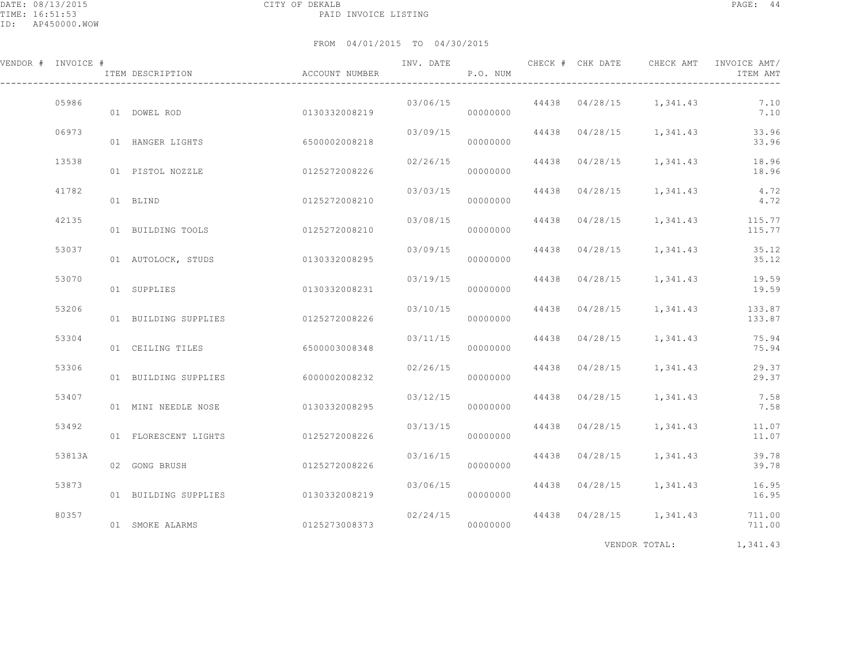| VENDOR # INVOICE # | ITEM DESCRIPTION                   | ACCOUNT NUMBER |                       | P.O. NUM |                | INV. DATE 6 1999 CHECK # CHK DATE 6 CHECK AMT INVOICE AMT | ITEM AMT         |
|--------------------|------------------------------------|----------------|-----------------------|----------|----------------|-----------------------------------------------------------|------------------|
| 05986              | 01 DOWEL ROD                       | 0130332008219  |                       | 00000000 |                | $03/06/15$ 44438 $04/28/15$ 1,341.43                      | 7.10<br>7.10     |
| 06973              | 01 HANGER LIGHTS                   | 6500002008218  | 03/09/15              | 00000000 |                | 44438 04/28/15 1,341.43                                   | 33.96<br>33.96   |
| 13538              | 01 PISTOL NOZZLE                   | 0125272008226  | 02/26/15              | 00000000 |                | 44438 04/28/15 1,341.43                                   | 18.96<br>18.96   |
| 41782              | 01 BLIND                           | 0125272008210  | 03/03/15              | 00000000 | 44438 04/28/15 | 1,341.43                                                  | 4.72<br>4.72     |
| 42135              | 01 BUILDING TOOLS                  | 0125272008210  | 03/08/15              | 00000000 |                | 44438 04/28/15 1,341.43                                   | 115.77<br>115.77 |
| 53037              | 01 AUTOLOCK, STUDS                 | 0130332008295  | 03/09/15              | 00000000 |                | 44438 04/28/15 1,341.43                                   | 35.12<br>35.12   |
| 53070              | 01 SUPPLIES                        | 0130332008231  | 03/19/15              | 00000000 | 44438 04/28/15 | 1,341.43                                                  | 19.59<br>19.59   |
| 53206              | 01 BUILDING SUPPLIES 0125272008226 |                | 03/10/15              | 00000000 |                | 44438 04/28/15 1,341.43                                   | 133.87<br>133.87 |
| 53304              | 01 CEILING TILES                   | 6500003008348  | 03/11/15              | 00000000 |                | 44438 04/28/15 1,341.43                                   | 75.94<br>75.94   |
| 53306              | 01 BUILDING SUPPLIES               | 6000002008232  | 02/26/15              | 00000000 |                | 44438 04/28/15 1,341.43                                   | 29.37<br>29.37   |
| 53407              | 01 MINI NEEDLE NOSE                | 0130332008295  | 03/12/15              | 00000000 |                | 44438 04/28/15 1,341.43                                   | 7.58<br>7.58     |
| 53492              | 01 FLORESCENT LIGHTS               | 0125272008226  | 03/13/15              | 00000000 |                | 44438 04/28/15 1,341.43                                   | 11.07<br>11.07   |
| 53813A             | 02 GONG BRUSH                      | 0125272008226  | 03/16/15              | 00000000 |                | 44438 04/28/15 1,341.43                                   | 39.78<br>39.78   |
| 53873              | 01 BUILDING SUPPLIES               | 0130332008219  | 03/06/15              | 00000000 |                | 44438 04/28/15 1,341.43                                   | 16.95<br>16.95   |
| 80357              | 01 SMOKE ALARMS                    | 0125273008373  | 02/24/15<br>000000000 |          |                | 44438 04/28/15 1,341.43                                   | 711.00<br>711.00 |
|                    |                                    |                |                       |          |                |                                                           |                  |

VENDOR TOTAL: 1,341.43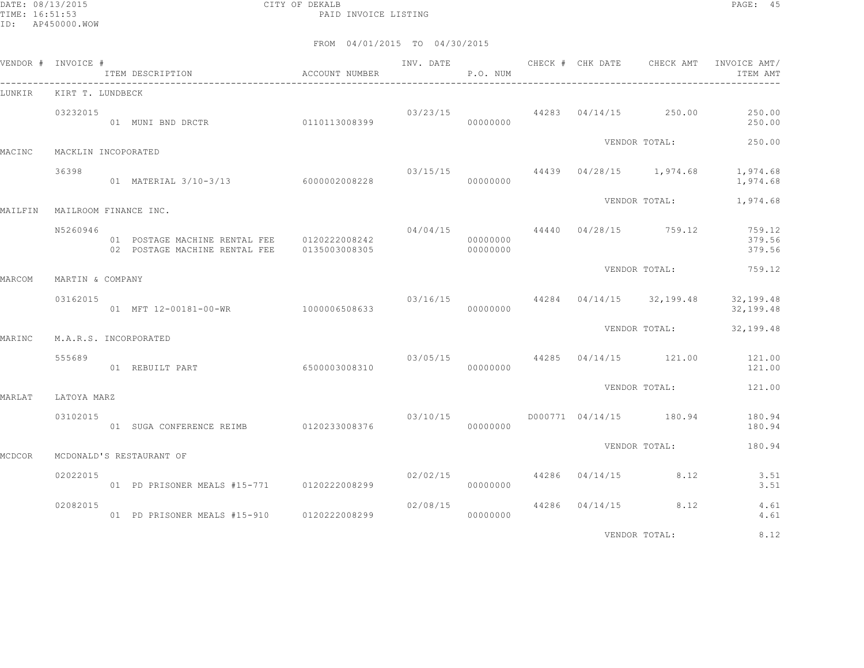DATE: 08/13/2015 CITY OF DEKALB PAGE: 45 PAID INVOICE LISTING

|         | VENDOR # INVOICE #           |                                                                                            |               |          | P.O. NUM             |  |                                          | ITEM AMT                                                           |
|---------|------------------------------|--------------------------------------------------------------------------------------------|---------------|----------|----------------------|--|------------------------------------------|--------------------------------------------------------------------|
| LUNKIR  | KIRT T. LUNDBECK             |                                                                                            |               |          |                      |  |                                          |                                                                    |
|         | 03232015                     | 01 MUNI BND DRCTR 0110113008399                                                            |               |          | 00000000             |  | $03/23/15$ 44283 04/14/15 250.00         | 250.00<br>250.00                                                   |
| MACINC  | MACKLIN INCOPORATED          |                                                                                            |               |          |                      |  | VENDOR TOTAL:                            | 250.00                                                             |
|         | 36398                        | 01 MATERIAL 3/10-3/13 6000002008228                                                        |               | 00000000 |                      |  | $03/15/15$ $44439$ $04/28/15$ $1,974.68$ | 1,974.68<br>1,974.68                                               |
| MAILFIN | MAILROOM FINANCE INC.        |                                                                                            |               |          |                      |  |                                          | VENDOR TOTAL: 1,974.68                                             |
|         | N5260946                     | 01 POSTAGE MACHINE RENTAL FEE 0120222008242<br>02 POSTAGE MACHINE RENTAL FEE 0135003008305 |               |          | 00000000<br>00000000 |  | $04/04/15$ $44440$ $04/28/15$ $759.12$   | 759.12<br>379.56<br>379.56                                         |
|         |                              |                                                                                            |               |          |                      |  | VENDOR TOTAL:                            | 759.12                                                             |
| MARCOM  | MARTIN & COMPANY<br>03162015 | 01 MFT 12-00181-00-WR 1000006508633                                                        |               |          | 00000000             |  |                                          | $03/16/15$ $44284$ $04/14/15$ $32,199.48$ $32,199.48$<br>32,199.48 |
| MARINC  | M.A.R.S. INCORPORATED        |                                                                                            |               |          |                      |  | VENDOR TOTAL:                            | 32,199.48                                                          |
|         | 555689                       | 01 REBUILT PART                                                                            | 6500003008310 |          | 00000000             |  |                                          | $03/05/15$ $44285$ $04/14/15$ $121.00$ $121.00$<br>121.00          |
| MARLAT  | LATOYA MARZ                  |                                                                                            |               |          |                      |  | VENDOR TOTAL:                            | 121.00                                                             |
|         | 03102015                     | 01 SUGA CONFERENCE REIMB 0120233008376 0000000000                                          |               |          |                      |  |                                          | 180.94<br>180.94                                                   |
| MCDCOR  |                              | MCDONALD'S RESTAURANT OF                                                                   |               |          |                      |  | VENDOR TOTAL:                            | 180.94                                                             |
|         | 02022015                     | 01 PD PRISONER MEALS #15-771 0120222008299                                                 |               |          | 00000000             |  | $02/02/15$ $44286$ $04/14/15$ $8.12$     | 3.51<br>3.51                                                       |
|         | 02082015                     | 01 PD PRISONER MEALS #15-910 0120222008299                                                 |               | 02/08/15 | 00000000             |  | 44286 04/14/15 8.12                      | 4.61<br>4.61                                                       |
|         |                              |                                                                                            |               |          |                      |  | VENDOR TOTAL:                            | 8.12                                                               |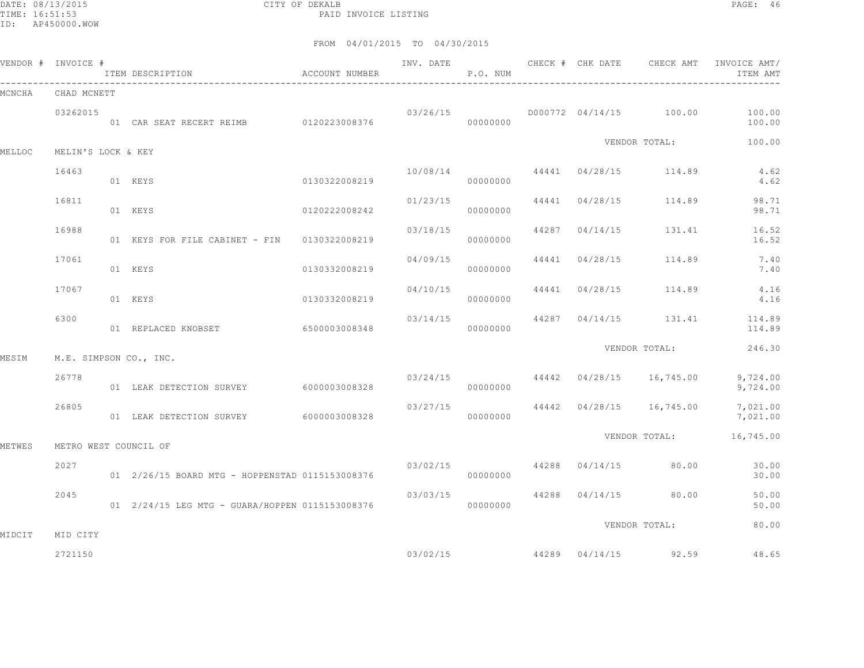DATE: 08/13/2015 CITY OF DEKALB PAGE: 46 PAID INVOICE LISTING

|        | VENDOR # INVOICE #    | ITEM DESCRIPTION                                  | ACCOUNT NUMBER |          | P.O. NUM |                |                                           | INV. DATE 6 CHECK # CHK DATE CHECK AMT INVOICE AMT/<br>ITEM AMT |
|--------|-----------------------|---------------------------------------------------|----------------|----------|----------|----------------|-------------------------------------------|-----------------------------------------------------------------|
| MCNCHA | CHAD MCNETT           |                                                   |                |          |          |                |                                           |                                                                 |
|        | 03262015              | 01 CAR SEAT RECERT REIMB 0120223008376            |                |          | 00000000 |                | $03/26/15$ $D000772$ $04/14/15$ $100.00$  | 100.00<br>100.00                                                |
| MELLOC | MELIN'S LOCK & KEY    |                                                   |                |          |          |                | VENDOR TOTAL:                             | 100.00                                                          |
|        | 16463                 | 01 KEYS                                           | 0130322008219  |          | 00000000 |                | $10/08/14$ $44441$ $04/28/15$ $114.89$    | 4.62<br>4.62                                                    |
|        | 16811                 | 01 KEYS                                           | 0120222008242  | 01/23/15 | 00000000 |                | 44441 04/28/15 114.89                     | 98.71<br>98.71                                                  |
|        | 16988                 | 01 KEYS FOR FILE CABINET - FIN 0130322008219      |                | 03/18/15 | 00000000 | 44287 04/14/15 | 131.41                                    | 16.52<br>16.52                                                  |
|        | 17061                 | 01 KEYS                                           | 0130332008219  | 04/09/15 | 00000000 | 44441 04/28/15 | 114.89                                    | 7.40<br>7.40                                                    |
|        | 17067                 | 01 KEYS                                           | 0130332008219  | 04/10/15 | 00000000 |                | 44441 04/28/15 114.89                     | 4.16<br>4.16                                                    |
|        | 6300                  | 01 REPLACED KNOBSET 6500003008348                 |                | 03/14/15 | 00000000 |                |                                           | 44287 04/14/15 131.41 114.89<br>114.89                          |
| MESIM  |                       | M.E. SIMPSON CO., INC.                            |                |          |          |                | VENDOR TOTAL:                             | 246.30                                                          |
|        | 26778                 | 01 LEAK DETECTION SURVEY 6000003008328            |                |          | 00000000 |                | $03/24/15$ $44442$ $04/28/15$ $16,745.00$ | 9,724.00<br>9,724.00                                            |
|        | 26805                 | 01 LEAK DETECTION SURVEY 6000003008328            |                |          | 00000000 |                | $03/27/15$ $44442$ $04/28/15$ $16,745.00$ | 7,021.00<br>7,021.00                                            |
| METWES | METRO WEST COUNCIL OF |                                                   |                |          |          |                | VENDOR TOTAL:                             | 16,745.00                                                       |
|        | 2027                  | 01  2/26/15  BOARD MTG - HOPPENSTAD 0115153008376 |                | 03/02/15 | 00000000 |                | 44288 04/14/15 80.00                      | 30.00<br>30.00                                                  |
|        | 2045                  | 01  2/24/15 LEG MTG - GUARA/HOPPEN 0115153008376  |                | 03/03/15 | 00000000 |                | 44288 04/14/15 80.00                      | 50.00<br>50.00                                                  |
| MIDCIT | MID CITY              |                                                   |                |          |          |                | VENDOR TOTAL:                             | 80.00                                                           |
|        | 2721150               |                                                   |                | 03/02/15 |          |                | 44289 04/14/15 92.59                      | 48.65                                                           |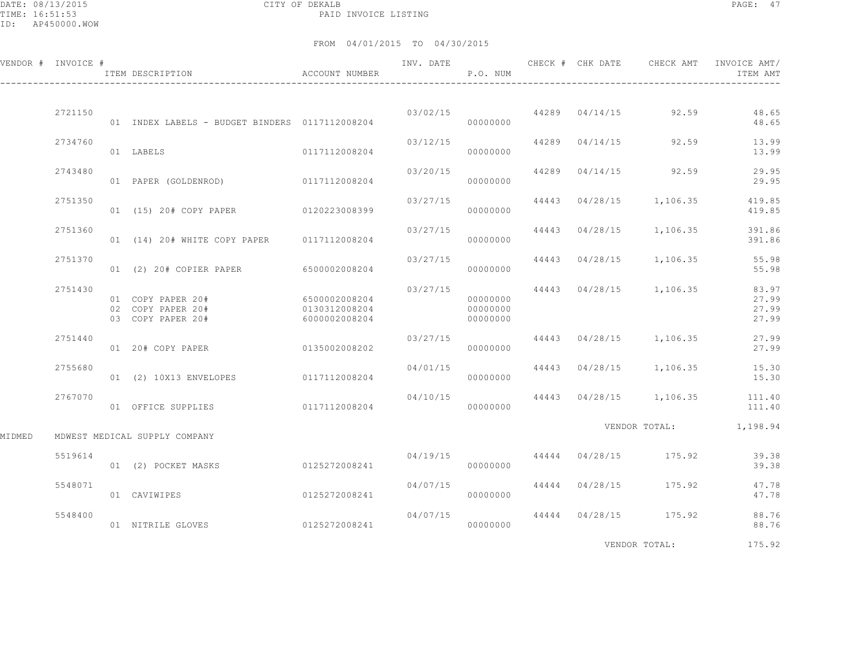DATE: 08/13/2015 CITY OF DEKALB PAGE: 47 PAID INVOICE LISTING

|        | VENDOR # INVOICE # | ACCOUNT NUMBER<br>ITEM DESCRIPTION                          |                                                 |          | P.O. NUM                         |                |                                   | INVOICE AMT/<br>ITEM AMT                 |
|--------|--------------------|-------------------------------------------------------------|-------------------------------------------------|----------|----------------------------------|----------------|-----------------------------------|------------------------------------------|
|        |                    |                                                             |                                                 |          |                                  |                |                                   |                                          |
|        | 2721150            | 01 INDEX LABELS - BUDGET BINDERS 0117112008204              |                                                 |          | 00000000                         |                | $03/02/15$ 44289 $04/14/15$ 92.59 | 48.65<br>48.65                           |
|        | 2734760            | 01 LABELS                                                   | 0117112008204                                   | 03/12/15 | 00000000                         |                | 44289 04/14/15 92.59              | 13.99<br>13.99                           |
|        | 2743480            | 01 PAPER (GOLDENROD) 0117112008204                          |                                                 | 03/20/15 | 00000000                         |                | 44289 04/14/15 92.59              | 29.95<br>29.95                           |
|        | 2751350            | 01 (15) 20# COPY PAPER 0120223008399                        |                                                 | 03/27/15 | 00000000                         |                | 44443 04/28/15 1,106.35           | 419.85<br>419.85                         |
|        | 2751360            | 01 (14) 20# WHITE COPY PAPER 0117112008204                  |                                                 | 03/27/15 | 00000000                         | 44443 04/28/15 | 1,106.35                          | 391.86<br>391.86                         |
|        | 2751370            | 01 (2) 20# COPIER PAPER 6500002008204                       |                                                 | 03/27/15 | 00000000                         |                | 44443 04/28/15 1,106.35           | 55.98<br>55.98                           |
|        | 2751430            | 01 COPY PAPER 20#<br>02 COPY PAPER 20#<br>03 COPY PAPER 20# | 6500002008204<br>0130312008204<br>6000002008204 | 03/27/15 | 00000000<br>00000000<br>00000000 |                | 44443 04/28/15 1,106.35           | 83.97<br>27.99<br>27.99<br>27.99         |
|        | 2751440            | 01 20# COPY PAPER 0135002008202                             |                                                 | 03/27/15 | 00000000                         |                | 44443 04/28/15 1,106.35           | 27.99<br>27.99                           |
|        | 2755680            | 01 (2) 10X13 ENVELOPES 0117112008204                        |                                                 | 04/01/15 | 00000000                         |                | 44443 04/28/15 1,106.35           | 15.30<br>15.30                           |
|        | 2767070            | 01 OFFICE SUPPLIES                                          | 0117112008204                                   | 04/10/15 | 00000000                         |                |                                   | 44443 04/28/15 1,106.35 111.40<br>111.40 |
|        |                    |                                                             |                                                 |          |                                  |                |                                   | VENDOR TOTAL: 1,198.94                   |
| MIDMED |                    | MDWEST MEDICAL SUPPLY COMPANY                               |                                                 |          |                                  |                |                                   |                                          |
|        | 5519614            | 01 (2) POCKET MASKS 0125272008241                           |                                                 | 04/19/15 | 00000000                         |                | 44444 04/28/15 175.92             | 39.38<br>39.38                           |
|        | 5548071            | 01 CAVIWIPES                                                | 0125272008241                                   | 04/07/15 | 00000000                         |                | 44444 04/28/15 175.92             | 47.78<br>47.78                           |
|        | 5548400            | 01 NITRILE GLOVES                                           | 0125272008241                                   | 04/07/15 | 00000000                         |                | 44444 04/28/15 175.92             | 88.76<br>88.76                           |
|        |                    |                                                             |                                                 |          |                                  |                | VENDOR TOTAL:                     | 175.92                                   |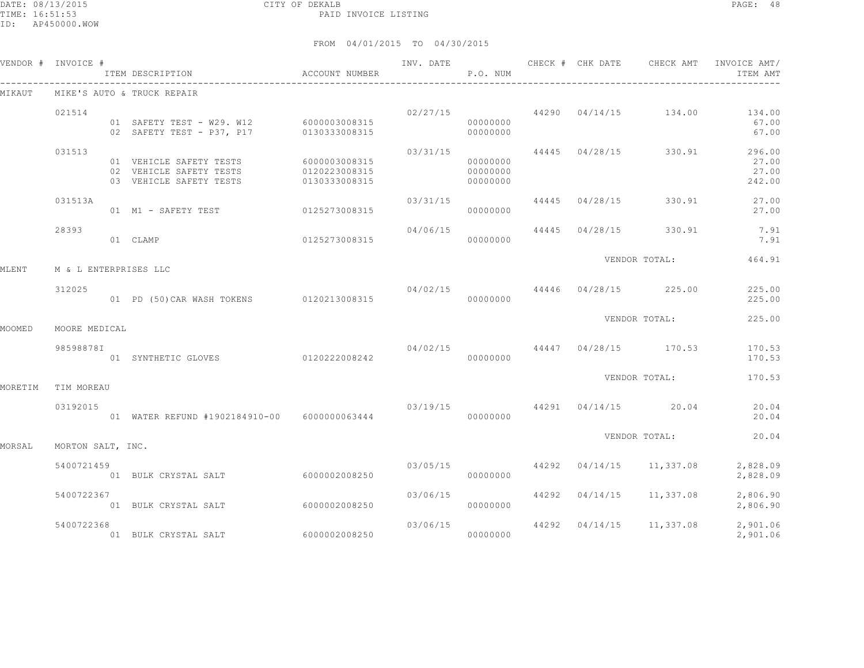DATE: 08/13/2015 CITY OF DEKALB PAGE: 48 PAID INVOICE LISTING

|         | VENDOR # INVOICE #    |                                                                                                           |               | INV. DATE | <b>P.O. NUM</b>                  |                           |                                        | CHECK # CHK DATE CHECK AMT INVOICE AMT/<br>ITEM AMT         |
|---------|-----------------------|-----------------------------------------------------------------------------------------------------------|---------------|-----------|----------------------------------|---------------------------|----------------------------------------|-------------------------------------------------------------|
| MIKAUT  |                       | MIKE'S AUTO & TRUCK REPAIR                                                                                |               |           |                                  |                           |                                        |                                                             |
|         | 021514                | 01 SAFETY TEST - W29. W12 6000003008315<br>02 SAFETY TEST - P37, P17                                      | 0130333008315 |           | 00000000<br>00000000             |                           |                                        | $02/27/15$ 44290 $04/14/15$ 134.00 134.00<br>67.00<br>67.00 |
|         | 031513                | 01 VEHICLE SAFETY TESTS 6000003008315<br>02 VEHICLE SAFETY TESTS<br>03 VEHICLE SAFETY TESTS 0130333008315 | 0120223008315 |           | 00000000<br>00000000<br>00000000 |                           | $03/31/15$ 44445 $04/28/15$ 330.91     | 296.00<br>27.00<br>27.00<br>242.00                          |
|         | 031513A               | 01 M1 - SAFETY TEST 0125273008315                                                                         |               |           | 00000000                         | $03/31/15$ 44445 04/28/15 | 330.91                                 | 27.00<br>27.00                                              |
|         | 28393                 | 01 CLAMP                                                                                                  | 0125273008315 | 04/06/15  | 00000000                         |                           | 44445 04/28/15 330.91                  | 7.91<br>7.91                                                |
| MLENT   | M & L ENTERPRISES LLC |                                                                                                           |               |           |                                  |                           | VENDOR TOTAL:                          | 464.91                                                      |
|         | 312025                | 01 PD (50) CAR WASH TOKENS 0120213008315                                                                  |               |           | 00000000                         |                           | $04/02/15$ $44446$ $04/28/15$ $225.00$ | 225.00<br>225.00                                            |
| MOOMED  | MOORE MEDICAL         |                                                                                                           |               |           |                                  |                           | VENDOR TOTAL:                          | 225.00                                                      |
|         | 98598878I             | 01 SYNTHETIC GLOVES 0120222008242                                                                         |               |           | 00000000                         |                           | $04/02/15$ $44447$ $04/28/15$ $170.53$ | 170.53<br>170.53                                            |
| MORETIM | TIM MOREAU            |                                                                                                           |               |           |                                  |                           | VENDOR TOTAL:                          | 170.53                                                      |
|         | 03192015              | 01 WATER REFUND #1902184910-00 6000000063444                                                              |               |           | 00000000                         |                           | $03/19/15$ $44291$ $04/14/15$ $20.04$  | 20.04<br>20.04                                              |
| MORSAL  | MORTON SALT, INC.     |                                                                                                           |               |           |                                  |                           | VENDOR TOTAL:                          | 20.04                                                       |
|         | 5400721459            | 01 BULK CRYSTAL SALT 6000002008250                                                                        |               |           | 03/05/15<br>00000000             |                           | 44292 04/14/15 11,337.08               | 2,828.09<br>2,828.09                                        |
|         | 5400722367            | 01 BULK CRYSTAL SALT                                                                                      | 6000002008250 | 03/06/15  | 00000000                         |                           | 44292 04/14/15 11,337.08               | 2,806.90<br>2,806.90                                        |
|         | 5400722368            | 01 BULK CRYSTAL SALT                                                                                      | 6000002008250 |           | 00000000                         |                           | $03/06/15$ 44292 $04/14/15$ 11,337.08  | 2,901.06<br>2,901.06                                        |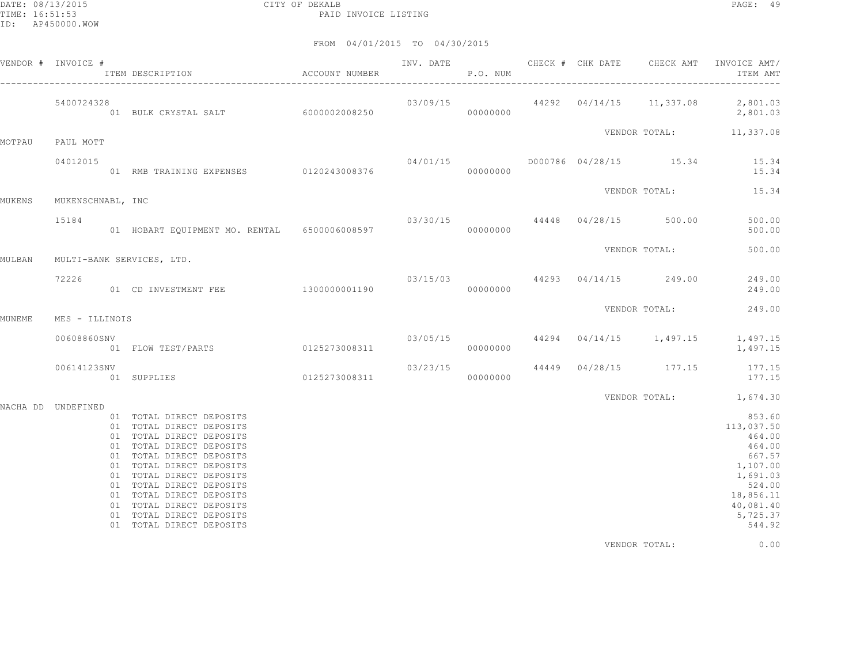DATE: 08/13/2015 CITY OF DEKALB PAGE: 49 PAID INVOICE LISTING

|                    | VENDOR # INVOICE # | TTEM DESCRIPTION COOUNT NUMBER P.O. NUM                                                                                                                                                                                                                                                                                                      |  |  |               | INV. DATE 6 1999 CHECK # CHK DATE 6 CHECK AMT INVOICE AMT<br>ITEM AMT                                                                |
|--------------------|--------------------|----------------------------------------------------------------------------------------------------------------------------------------------------------------------------------------------------------------------------------------------------------------------------------------------------------------------------------------------|--|--|---------------|--------------------------------------------------------------------------------------------------------------------------------------|
|                    | 5400724328         |                                                                                                                                                                                                                                                                                                                                              |  |  |               | $03/09/15$ $44292$ $04/14/15$ $11,337.08$ $2,801.03$<br>2,801.03                                                                     |
| MOTPAU             | PAUL MOTT          |                                                                                                                                                                                                                                                                                                                                              |  |  |               | VENDOR TOTAL: 11,337.08                                                                                                              |
|                    | 04012015           |                                                                                                                                                                                                                                                                                                                                              |  |  |               | $04/01/15$ D000786 04/28/15 15.34 15.34<br>15.34                                                                                     |
| MUKENS             | MUKENSCHNABL, INC  |                                                                                                                                                                                                                                                                                                                                              |  |  |               | VENDOR TOTAL: 15.34                                                                                                                  |
|                    | 15184              | 03/30/15 44448 04/28/15 500.00 6500.00 1 HOBART EQUIPMENT MO. RENTAL 6500006008597                                                                                                                                                                                                                                                           |  |  |               |                                                                                                                                      |
| MULBAN             |                    | MULTI-BANK SERVICES, LTD.                                                                                                                                                                                                                                                                                                                    |  |  |               | VENDOR TOTAL: 500.00                                                                                                                 |
|                    | 72226              | 03/15/03 44293 04/14/15 249.00 249.00 03/15/03 44293 04/14/15 249.00 01 CD INVESTMENT FEE                                                                                                                                                                                                                                                    |  |  |               |                                                                                                                                      |
| MUNEME             | MES - ILLINOIS     |                                                                                                                                                                                                                                                                                                                                              |  |  |               | VENDOR TOTAL: 249.00                                                                                                                 |
|                    | 00608860SNV        | 03/05/15 44294 04/14/15 1,497.15 1,497.15 0125273008311 03/05/15 000000000 0 FLOW TEST/PARTS 0125273008311                                                                                                                                                                                                                                   |  |  |               |                                                                                                                                      |
|                    | 00614123SNV        | $03/23/15$<br>$03/23/15$<br>$000000000$<br>$04/4449$<br>$04/28/15$<br>$04/28/15$<br>$177.15$<br>$177.15$<br>$177.15$                                                                                                                                                                                                                         |  |  |               |                                                                                                                                      |
| NACHA DD UNDEFINED |                    |                                                                                                                                                                                                                                                                                                                                              |  |  |               | VENDOR TOTAL: 1,674.30                                                                                                               |
|                    |                    | 01 TOTAL DIRECT DEPOSITS<br>01 TOTAL DIRECT DEPOSITS<br>01 TOTAL DIRECT DEPOSITS<br>01 TOTAL DIRECT DEPOSITS<br>01 TOTAL DIRECT DEPOSITS<br>01 TOTAL DIRECT DEPOSITS<br>01 TOTAL DIRECT DEPOSITS<br>01 TOTAL DIRECT DEPOSITS<br>01 TOTAL DIRECT DEPOSITS<br>01 TOTAL DIRECT DEPOSITS<br>01 TOTAL DIRECT DEPOSITS<br>01 TOTAL DIRECT DEPOSITS |  |  |               | 853.60<br>113,037.50<br>464.00<br>464.00<br>667.57<br>1,107.00<br>1,691.03<br>524.00<br>18,856.11<br>40,081.40<br>5,725.37<br>544.92 |
|                    |                    |                                                                                                                                                                                                                                                                                                                                              |  |  | VENDOR TOTAL: | 0.00                                                                                                                                 |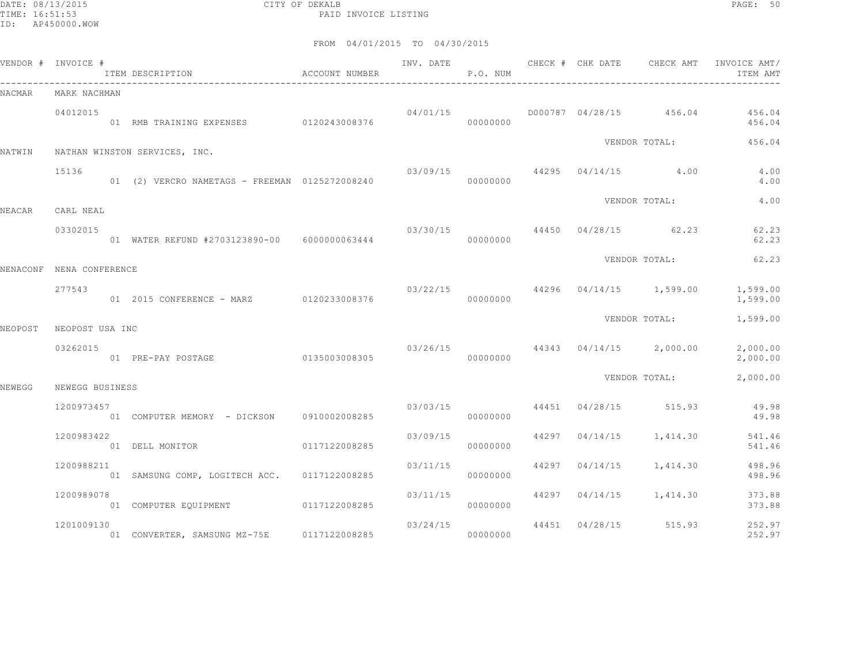DATE: 08/13/2015 CITY OF DEKALB PAGE: 50 PAID INVOICE LISTING

|         | VENDOR # INVOICE #       | ITEM DESCRIPTION <a> account number</a>           |               |          | P.O. NUM |  | INV. DATE 6 CHECK # CHK DATE CHECK AMT | INVOICE AMT/<br>ITEM AMT |
|---------|--------------------------|---------------------------------------------------|---------------|----------|----------|--|----------------------------------------|--------------------------|
| NACMAR  | MARK NACHMAN             |                                                   |               |          |          |  |                                        |                          |
|         | 04012015                 | 01 RMB TRAINING EXPENSES 0120243008376 0000000000 |               | 04/01/15 |          |  | D000787 04/28/15 456.04                | 456.04<br>456.04         |
| NATWIN  |                          | NATHAN WINSTON SERVICES, INC.                     |               |          |          |  | VENDOR TOTAL:                          | 456.04                   |
|         | 15136                    |                                                   |               |          |          |  | $03/09/15$ $44295$ $04/14/15$ $4.00$   | 4.00<br>4.00             |
| NEACAR  | CARL NEAL                |                                                   |               |          |          |  | VENDOR TOTAL:                          | 4.00                     |
|         | 03302015                 | 01 WATER REFUND #2703123890-00 6000000063444      |               |          | 00000000 |  | 03/30/15 44450 04/28/15 62.23          | 62.23<br>62.23           |
|         | NENACONF NENA CONFERENCE |                                                   |               |          |          |  | VENDOR TOTAL:                          | 62.23                    |
|         | 277543                   | 01  2015  CONFERENCE - MARZ  0120233008376        |               |          | 00000000 |  | 03/22/15 44296 04/14/15 1,599.00       | 1,599.00<br>1,599.00     |
| NEOPOST | NEOPOST USA INC          |                                                   |               |          |          |  | VENDOR TOTAL:                          | 1,599.00                 |
|         | 03262015                 | 01 PRE-PAY POSTAGE                                | 0135003008305 |          | 00000000 |  | $03/26/15$ 44343 04/14/15 2,000.00     | 2,000.00<br>2,000.00     |
| NEWEGG  | NEWEGG BUSINESS          |                                                   |               |          |          |  | VENDOR TOTAL:                          | 2,000.00                 |
|         | 1200973457               | 01 COMPUTER MEMORY - DICKSON 0910002008285        |               |          | 00000000 |  | $03/03/15$ $44451$ $04/28/15$ $515.93$ | 49.98<br>49.98           |
|         | 1200983422               | 01 DELL MONITOR                                   | 0117122008285 | 03/09/15 | 00000000 |  | 44297 04/14/15 1,414.30                | 541.46<br>541.46         |
|         | 1200988211               | 01 SAMSUNG COMP, LOGITECH ACC. 0117122008285      |               | 03/11/15 | 00000000 |  | 44297 04/14/15 1,414.30                | 498.96<br>498.96         |
|         | 1200989078               | 01 COMPUTER EQUIPMENT 0117122008285               |               | 03/11/15 | 00000000 |  | 44297 04/14/15 1,414.30                | 373.88<br>373.88         |
|         | 1201009130               | 01 CONVERTER, SAMSUNG MZ-75E 0117122008285        |               | 03/24/15 | 00000000 |  | 44451 04/28/15 515.93                  | 252.97<br>252.97         |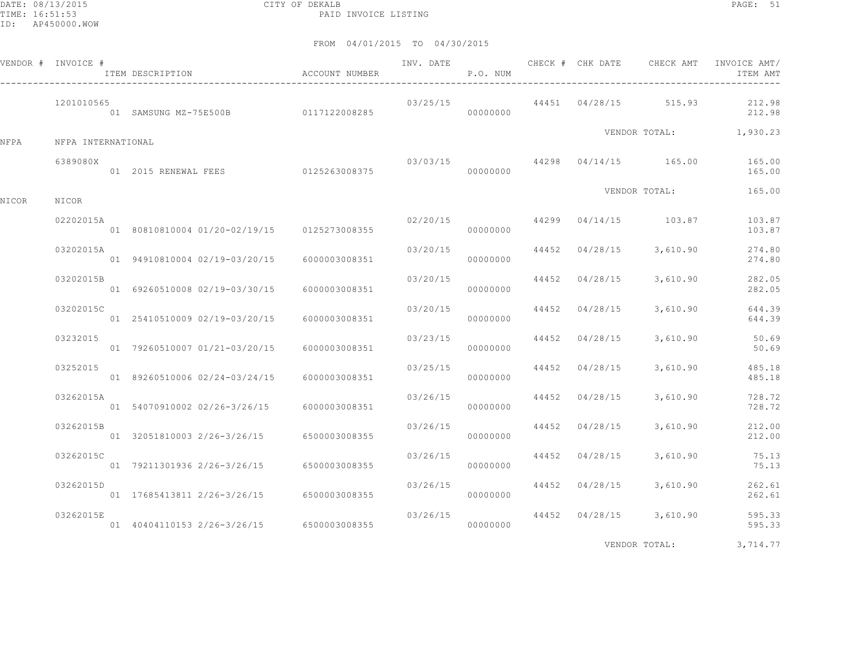DATE: 08/13/2015 CITY OF DEKALB PAGE: 51 PAID INVOICE LISTING

FROM 04/01/2015 TO 04/30/2015

|       | VENDOR # INVOICE # | ITEM DESCRIPTION                             | ACCOUNT NUMBER | INV. DATE | P.O. NUM             |                | CHECK # CHK DATE CHECK AMT             | INVOICE AMT/<br>ITEM AMT |
|-------|--------------------|----------------------------------------------|----------------|-----------|----------------------|----------------|----------------------------------------|--------------------------|
|       | 1201010565         | 01 SAMSUNG MZ-75E500B 0117122008285          |                |           | 03/25/15<br>00000000 |                | 44451 04/28/15 515.93                  | 212.98<br>212.98         |
| NFPA  | NFPA INTERNATIONAL |                                              |                |           |                      |                |                                        | VENDOR TOTAL: 1,930.23   |
|       | 6389080X           |                                              |                |           | 00000000             |                | $03/03/15$ $44298$ $04/14/15$ $165.00$ | 165.00<br>165.00         |
| NICOR | NICOR              |                                              |                |           |                      |                | VENDOR TOTAL:                          | 165.00                   |
|       | 02202015A          | 01 80810810004 01/20-02/19/15 0125273008355  |                | 02/20/15  | 00000000             |                | 44299 04/14/15 103.87                  | 103.87<br>103.87         |
|       | 03202015A          | 01 94910810004 02/19-03/20/15                | 6000003008351  | 03/20/15  | 00000000             | 44452 04/28/15 | 3,610.90                               | 274.80<br>274.80         |
|       | 03202015B          | 01 69260510008 02/19-03/30/15                | 6000003008351  | 03/20/15  | 00000000             | 44452 04/28/15 | 3,610.90                               | 282.05<br>282.05         |
|       | 03202015C          | 01 25410510009 02/19-03/20/15                | 6000003008351  | 03/20/15  | 00000000             | 44452 04/28/15 | 3,610.90                               | 644.39<br>644.39         |
|       | 03232015           | 01 79260510007 01/21-03/20/15                | 6000003008351  | 03/23/15  | 00000000             | 44452 04/28/15 | 3,610.90                               | 50.69<br>50.69           |
|       | 03252015           | 01 89260510006 02/24-03/24/15                | 6000003008351  | 03/25/15  | 00000000             | 44452 04/28/15 | 3,610.90                               | 485.18<br>485.18         |
|       | 03262015A          | 01 54070910002 02/26-3/26/15                 | 6000003008351  | 03/26/15  | 00000000             | 44452 04/28/15 | 3,610.90                               | 728.72<br>728.72         |
|       | 03262015B          | 01 32051810003 2/26-3/26/15 6500003008355    |                | 03/26/15  | 00000000             | 44452 04/28/15 | 3,610.90                               | 212.00<br>212.00         |
|       | 03262015C          | 01 79211301936 2/26-3/26/15                  | 6500003008355  | 03/26/15  | 00000000             | 44452 04/28/15 | 3,610.90                               | 75.13<br>75.13           |
|       | 03262015D          | 01  17685413811  2/26-3/26/15  6500003008355 |                | 03/26/15  | 00000000             | 44452 04/28/15 | 3,610.90                               | 262.61<br>262.61         |
|       | 03262015E          | 01 40404110153 2/26-3/26/15 6500003008355    |                | 03/26/15  | 00000000             |                | 44452 04/28/15 3,610.90                | 595.33<br>595.33         |
|       |                    |                                              |                |           |                      |                |                                        |                          |

VENDOR TOTAL: 3,714.77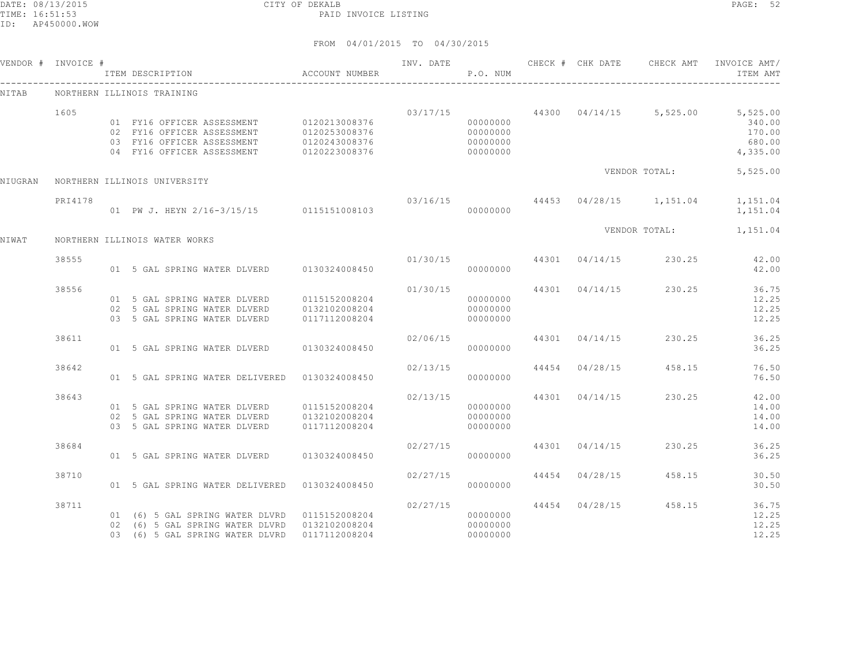DATE: 08/13/2015 CITY OF DEKALB PAGE: 52 PAID INVOICE LISTING

|         | VENDOR # INVOICE # | ACCOUNT NUMBER<br>ITEM DESCRIPTION                                                                                                               |                                |                           | P.O. NUM                                     |                |                                        | ITEM AMT                                                                                      |
|---------|--------------------|--------------------------------------------------------------------------------------------------------------------------------------------------|--------------------------------|---------------------------|----------------------------------------------|----------------|----------------------------------------|-----------------------------------------------------------------------------------------------|
| NITAB   |                    | NORTHERN ILLINOIS TRAINING                                                                                                                       |                                |                           |                                              |                |                                        |                                                                                               |
|         | 1605               | 01 FY16 OFFICER ASSESSMENT 0120213008376<br>02 FY16 OFFICER ASSESSMENT 0120253008376<br>03 FY16 OFFICER ASSESSMENT<br>04 FY16 OFFICER ASSESSMENT | 0120243008376<br>0120223008376 |                           | 00000000<br>00000000<br>00000000<br>00000000 |                |                                        | $03/17/15$ $44300$ $04/14/15$ $5,525.00$ $5,525.00$<br>340.00<br>170.00<br>680.00<br>4,335.00 |
| NIUGRAN |                    | NORTHERN ILLINOIS UNIVERSITY                                                                                                                     |                                |                           |                                              |                | VENDOR TOTAL:                          | 5,525.00                                                                                      |
|         | PRI4178            | 01 PW J. HEYN 2/16-3/15/15 0115151008103                                                                                                         |                                |                           | 00000000                                     |                |                                        | $03/16/15$ $44453$ $04/28/15$ $1,151.04$ $1,151.04$<br>1,151.04                               |
| NIWAT   |                    | NORTHERN ILLINOIS WATER WORKS                                                                                                                    |                                |                           |                                              |                |                                        | VENDOR TOTAL: 1,151.04                                                                        |
|         | 38555              | 01 5 GAL SPRING WATER DLVERD 0130324008450                                                                                                       |                                |                           | 00000000                                     |                | $01/30/15$ $44301$ $04/14/15$ $230.25$ | 42.00<br>42.00                                                                                |
|         | 38556              | 01 5 GAL SPRING WATER DLVERD 0115152008204<br>02 5 GAL SPRING WATER DLVERD<br>03 5 GAL SPRING WATER DLVERD                                       | 0132102008204<br>0117112008204 | 01/30/15                  | 00000000<br>00000000<br>00000000             |                | 44301 04/14/15 230.25                  | 36.75<br>12.25<br>12.25<br>12.25                                                              |
|         | 38611              | 01 5 GAL SPRING WATER DLVERD 0130324008450                                                                                                       |                                | 02/06/15                  | 00000000                                     |                | 44301 04/14/15 230.25                  | 36.25<br>36.25                                                                                |
|         | 38642              | 01 5 GAL SPRING WATER DELIVERED   0130324008450                                                                                                  |                                | 02/13/15                  | 00000000                                     |                | 44454 04/28/15 458.15                  | 76.50<br>76.50                                                                                |
|         | 38643              | 01 5 GAL SPRING WATER DLVERD 0115152008204<br>02 5 GAL SPRING WATER DLVERD<br>03 5 GAL SPRING WATER DLVERD                                       | 0132102008204<br>0117112008204 | $02/13/15$ 44301 04/14/15 | 00000000<br>00000000<br>00000000             |                | 230.25                                 | 42.00<br>14.00<br>14.00<br>14.00                                                              |
|         | 38684              | 01 5 GAL SPRING WATER DLVERD 0130324008450                                                                                                       |                                | 02/27/15                  | 00000000                                     | 44301 04/14/15 | 230.25                                 | 36.25<br>36.25                                                                                |
|         | 38710              | 01 5 GAL SPRING WATER DELIVERED   0130324008450                                                                                                  |                                | 02/27/15                  | 00000000                                     |                | 44454 04/28/15 458.15                  | 30.50<br>30.50                                                                                |
|         | 38711              | 01 (6) 5 GAL SPRING WATER DLVRD 0115152008204<br>02 (6) 5 GAL SPRING WATER DLVRD 0132102008204<br>03 (6) 5 GAL SPRING WATER DLVRD 0117112008204  |                                | 02/27/15                  | 00000000<br>000000000<br>00000000            |                | 44454 04/28/15 458.15                  | 36.75<br>12.25<br>12.25<br>12.25                                                              |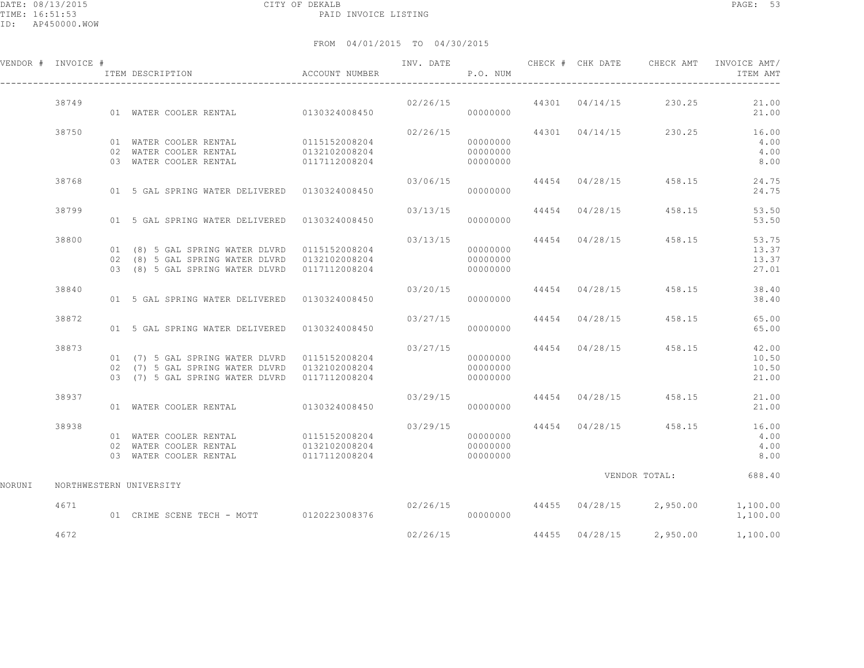DATE: 08/13/2015 CITY OF DEKALB PAGE: 53 PAID INVOICE LISTING

ID: AP450000.WOW

|        | VENDOR # INVOICE #      |  | ACCOUNT NUMBER<br>ITEM DESCRIPTION                                                                                   | INV. DATE | P.O. NUM                         |  |                                        | CHECK # CHK DATE CHECK AMT INVOICE AMT/<br>ITEM AMT             |
|--------|-------------------------|--|----------------------------------------------------------------------------------------------------------------------|-----------|----------------------------------|--|----------------------------------------|-----------------------------------------------------------------|
|        | 38749                   |  | 01 WATER COOLER RENTAL 0130324008450                                                                                 |           | 00000000                         |  | $02/26/15$ $44301$ $04/14/15$ $230.25$ | 21.00<br>21.00                                                  |
|        | 38750                   |  | 01 WATER COOLER RENTAL 0115152008204<br>02 WATER COOLER RENTAL 0132102008204<br>03 WATER COOLER RENTAL 0117112008204 | 02/26/15  | 00000000<br>00000000<br>00000000 |  | 44301 04/14/15 230.25                  | 16.00<br>4.00<br>4.00<br>8.00                                   |
|        | 38768                   |  | 01 5 GAL SPRING WATER DELIVERED 0130324008450                                                                        | 03/06/15  | 00000000                         |  | 44454 04/28/15 458.15                  | 24.75<br>24.75                                                  |
|        | 38799                   |  | 01 5 GAL SPRING WATER DELIVERED 0130324008450                                                                        |           | 00000000                         |  | $03/13/15$ 44454 04/28/15 458.15       | 53.50<br>53.50                                                  |
|        | 38800                   |  | 02 (8) 5 GAL SPRING WATER DLVRD 0132102008204<br>03 (8) 5 GAL SPRING WATER DLVRD 0117112008204                       |           | 00000000<br>00000000<br>00000000 |  | 03/13/15 44454 04/28/15 458.15         | 53.75<br>13.37<br>13.37<br>27.01                                |
|        | 38840                   |  | 01 5 GAL SPRING WATER DELIVERED   0130324008450                                                                      |           | 00000000                         |  | 03/20/15 44454 04/28/15 458.15         | 38.40<br>38.40                                                  |
|        | 38872                   |  | 01 5 GAL SPRING WATER DELIVERED  0130324008450                                                                       | 03/27/15  | 00000000                         |  | 44454 04/28/15 458.15                  | 65.00<br>65.00                                                  |
|        | 38873                   |  | 01 (7) 5 GAL SPRING WATER DLVRD 0115152008204<br>03 (7) 5 GAL SPRING WATER DLVRD 0117112008204                       | 03/27/15  | 00000000<br>00000000<br>00000000 |  | 44454 04/28/15 458.15                  | 42.00<br>10.50<br>10.50<br>21.00                                |
|        | 38937                   |  | 01 WATER COOLER RENTAL 0130324008450                                                                                 | 03/29/15  | 00000000                         |  | 44454 04/28/15 458.15                  | 21.00<br>21.00                                                  |
|        | 38938                   |  | 01 WATER COOLER RENTAL 0115152008204<br>02 WATER COOLER RENTAL 0132102008204<br>03 WATER COOLER RENTAL 0117112008204 |           | 00000000<br>00000000<br>00000000 |  |                                        | 03/29/15 44454 04/28/15 458.15 16.00<br>4.00<br>4.00<br>8.00    |
| NORUNI | NORTHWESTERN UNIVERSITY |  |                                                                                                                      |           |                                  |  |                                        | VENDOR TOTAL: 688.40                                            |
|        | 4671                    |  | 01 CRIME SCENE TECH - MOTT 0120223008376                                                                             |           | 00000000                         |  |                                        | $02/26/15$ $44455$ $04/28/15$ $2,950.00$ $1,100.00$<br>1,100.00 |
|        | 4672                    |  |                                                                                                                      | 02/26/15  |                                  |  | 44455 04/28/15 2,950.00                | 1,100.00                                                        |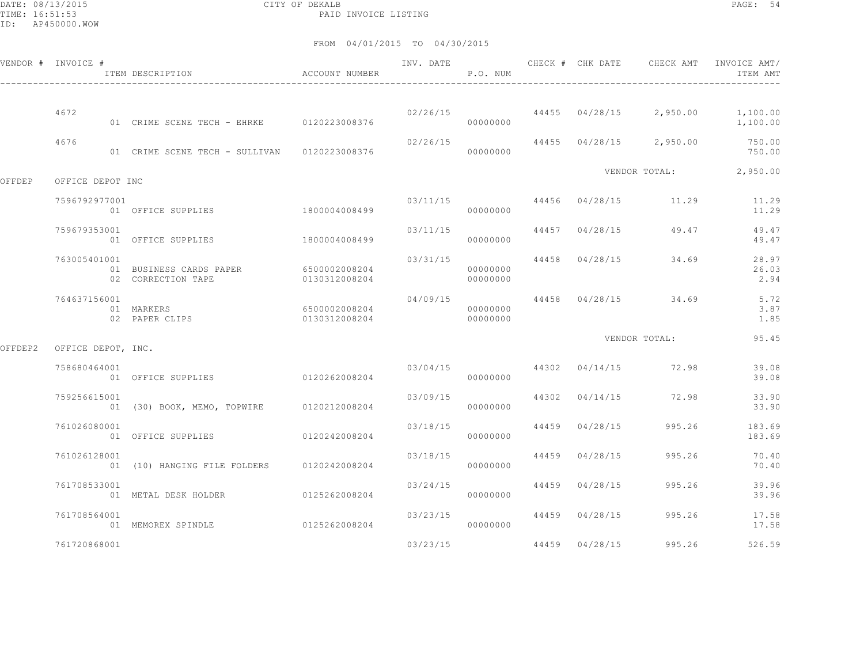DATE: 08/13/2015 CITY OF DEKALB PAGE: 54 PAID INVOICE LISTING

|         | VENDOR # INVOICE # | ITEM DESCRIPTION                                            | ACCOUNT NUMBER                 | INV. DATE | P.O. NUM             |                |                                       | ITEM AMT                                                        |
|---------|--------------------|-------------------------------------------------------------|--------------------------------|-----------|----------------------|----------------|---------------------------------------|-----------------------------------------------------------------|
|         | 4672               | 01 CRIME SCENE TECH - EHRKE 0120223008376                   |                                |           | 00000000             |                |                                       | $02/26/15$ $44455$ $04/28/15$ $2,950.00$ $1,100.00$<br>1,100.00 |
|         | 4676               | 01 CRIME SCENE TECH - SULLIVAN 0120223008376                |                                | 02/26/15  | 00000000             |                | 44455 04/28/15 2,950.00               | 750.00<br>750.00                                                |
| OFFDEP  | OFFICE DEPOT INC   |                                                             |                                |           |                      |                |                                       | VENDOR TOTAL: 2,950.00                                          |
|         | 7596792977001      | 01 OFFICE SUPPLIES                                          | 1800004008499                  |           | 00000000             |                | $03/11/15$ 44456 04/28/15 11.29       | 11.29<br>11.29                                                  |
|         | 759679353001       | 01 OFFICE SUPPLIES                                          | 1800004008499                  | 03/11/15  | 00000000             |                | 44457 04/28/15 49.47                  | 49.47<br>49.47                                                  |
|         | 763005401001       | 01 BUSINESS CARDS PAPER 6500002008204<br>02 CORRECTION TAPE | 0130312008204                  | 03/31/15  | 00000000<br>00000000 |                | 44458 04/28/15 34.69                  | 28.97<br>26.03<br>2.94                                          |
|         | 764637156001       | 01 MARKERS<br>02 PAPER CLIPS                                | 6500002008204<br>0130312008204 | 04/09/15  | 00000000<br>00000000 |                | 44458 04/28/15 34.69                  | 5.72<br>3.87<br>1.85                                            |
| OFFDEP2 | OFFICE DEPOT, INC. |                                                             |                                |           |                      |                | VENDOR TOTAL:                         | 95.45                                                           |
|         | 758680464001       | 01 OFFICE SUPPLIES 0120262008204                            |                                |           | 00000000             |                | $03/04/15$ $44302$ $04/14/15$ $72.98$ | 39.08<br>39.08                                                  |
|         | 759256615001       | 01 (30) BOOK, MEMO, TOPWIRE 0120212008204                   |                                | 03/09/15  | 00000000             |                | 44302 04/14/15 72.98                  | 33.90<br>33.90                                                  |
|         | 761026080001       | 01 OFFICE SUPPLIES                                          | 0120242008204                  |           | 03/18/15<br>00000000 | 44459 04/28/15 | 995.26                                | 183.69<br>183.69                                                |
|         | 761026128001       | 01 (10) HANGING FILE FOLDERS 0120242008204                  |                                | 03/18/15  | 00000000             | 44459 04/28/15 | 995.26                                | 70.40<br>70.40                                                  |
|         | 761708533001       | 01 METAL DESK HOLDER                                        | 0125262008204                  | 03/24/15  | 00000000             | 44459 04/28/15 | 995.26                                | 39.96<br>39.96                                                  |
|         | 761708564001       | 01 MEMOREX SPINDLE                                          | 0125262008204                  | 03/23/15  | 00000000             | 44459 04/28/15 | 995.26                                | 17.58<br>17.58                                                  |
|         | 761720868001       |                                                             |                                | 03/23/15  |                      | 44459 04/28/15 | 995.26                                | 526.59                                                          |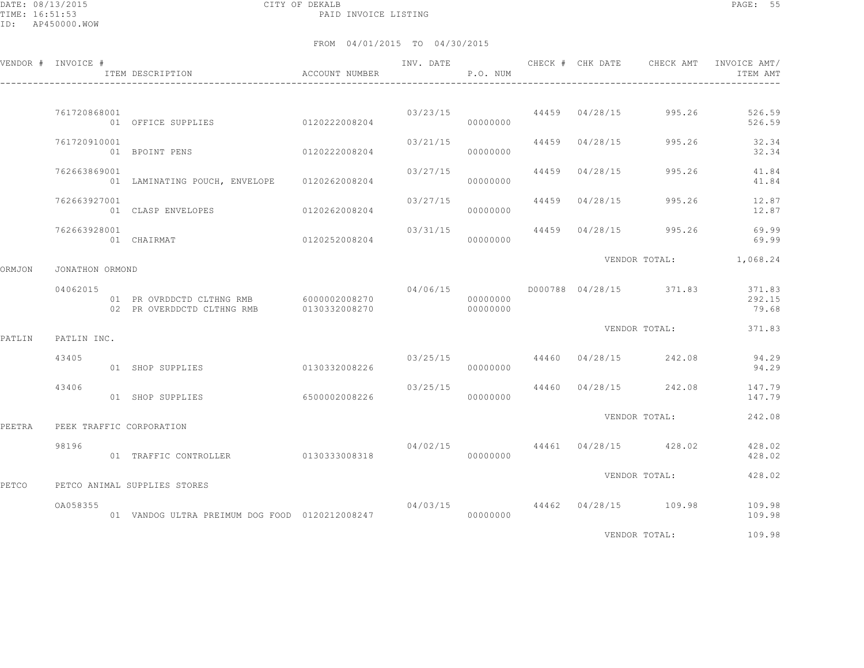DATE: 08/13/2015 CITY OF DEKALB PAGE: 55 PAID INVOICE LISTING

|        | VENDOR # INVOICE # | ITEM DESCRIPTION ACCOUNT NUMBER                                                     |               |                           | P.O. NUM             |                |                                        | INV. DATE 6 1997 CHECK # CHK DATE 6 CHECK AMT INVOICE AMT<br>ITEM AMT |
|--------|--------------------|-------------------------------------------------------------------------------------|---------------|---------------------------|----------------------|----------------|----------------------------------------|-----------------------------------------------------------------------|
|        |                    |                                                                                     |               |                           |                      |                |                                        |                                                                       |
|        | 761720868001       | 01 OFFICE SUPPLIES                                                                  | 0120222008204 |                           | 000000000            |                | $03/23/15$ 44459 04/28/15 995.26       | 526.59<br>526.59                                                      |
|        | 761720910001       | 01 BPOINT PENS                                                                      | 0120222008204 | 03/21/15                  | 00000000             | 44459 04/28/15 | 995.26                                 | 32.34<br>32.34                                                        |
|        | 762663869001       | 01 LAMINATING POUCH, ENVELOPE 0120262008204                                         |               | 03/27/15                  | 00000000             | 44459 04/28/15 | 995.26                                 | 41.84<br>41.84                                                        |
|        | 762663927001       | 01 CLASP ENVELOPES                                                                  | 0120262008204 | $03/27/15$ 44459 04/28/15 | 00000000             |                | 995.26                                 | 12.87<br>12.87                                                        |
|        | 762663928001       | 01 CHAIRMAT<br>0120252008204                                                        |               | 03/31/15                  | 00000000             | 44459 04/28/15 | 995.26                                 | 69.99<br>69.99                                                        |
| ORMJON | JONATHON ORMOND    |                                                                                     |               |                           |                      |                |                                        | VENDOR TOTAL: 1,068.24                                                |
|        | 04062015           | 01 PR OVRDDCTD CLTHNG RMB 6000002008270<br>02 PR OVERDDCTD CLTHNG RMB 0130332008270 |               |                           | 00000000<br>00000000 |                |                                        | 371.83<br>292.15<br>79.68                                             |
| PATLIN | PATLIN INC.        |                                                                                     |               |                           |                      |                | VENDOR TOTAL:                          | 371.83                                                                |
|        | 43405              | 01 SHOP SUPPLIES                                                                    |               |                           |                      |                | $03/25/15$ $44460$ $04/28/15$ $242.08$ | 94.29<br>94.29                                                        |
|        | 43406              | 01 SHOP SUPPLIES                                                                    | 6500002008226 | 03/25/15                  | 00000000             | 44460 04/28/15 | 242.08                                 | 147.79<br>147.79                                                      |
| PEETRA |                    | PEEK TRAFFIC CORPORATION                                                            |               |                           |                      |                | VENDOR TOTAL:                          | 242.08                                                                |
|        | 98196              | 01 TRAFFIC CONTROLLER 0130333008318                                                 |               |                           | 00000000             |                | $04/02/15$ $44461$ $04/28/15$ $428.02$ | 428.02<br>428.02                                                      |
| PETCO  |                    | PETCO ANIMAL SUPPLIES STORES                                                        |               |                           |                      |                | VENDOR TOTAL:                          | 428.02                                                                |
|        | OA058355           | 01 VANDOG ULTRA PREIMUM DOG FOOD 0120212008247                                      |               |                           | 00000000             |                | 04/03/15 44462 04/28/15 109.98         | 109.98<br>109.98                                                      |
|        |                    |                                                                                     |               |                           |                      |                | VENDOR TOTAL:                          | 109.98                                                                |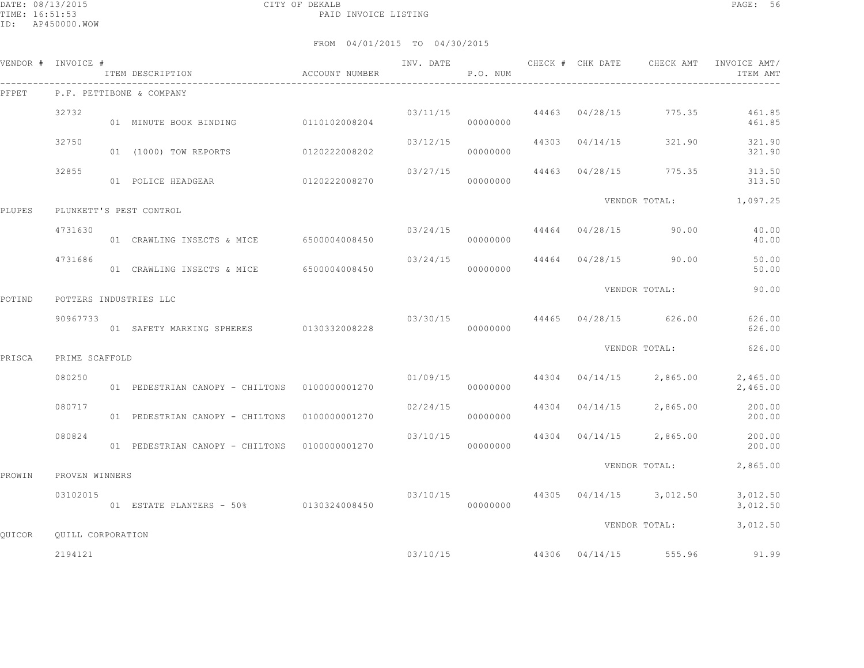DATE: 08/13/2015 CITY OF DEKALB PAGE: 56 PAID INVOICE LISTING

|        | VENDOR # INVOICE #       | ITEM DESCRIPTION<br>$\hfill$<br>ACCOUNT NUMBER |          | P.O. NUM             |                |                                      | INV. DATE 6 1997 CHECK # CHK DATE 6 CHECK AMT INVOICE AMT<br>ITEM AMT |
|--------|--------------------------|------------------------------------------------|----------|----------------------|----------------|--------------------------------------|-----------------------------------------------------------------------|
| PFPET  |                          | P.F. PETTIBONE & COMPANY                       |          |                      |                |                                      |                                                                       |
|        | 32732                    | 01 MINUTE BOOK BINDING 0110102008204           |          | 03/11/15<br>00000000 |                | 44463 04/28/15 775.35                | 461.85<br>461.85                                                      |
|        | 32750                    | 01 (1000) TOW REPORTS 0120222008202            | 03/12/15 | 00000000             | 44303 04/14/15 | 321.90                               | 321.90<br>321.90                                                      |
|        | 32855                    |                                                | 03/27/15 | 00000000             |                |                                      | 44463 04/28/15 775.35 313.50<br>313.50                                |
| PLUPES |                          | PLUNKETT'S PEST CONTROL                        |          |                      |                |                                      | VENDOR TOTAL: 1,097.25                                                |
|        | 4731630                  | 01 CRAWLING INSECTS & MICE 6500004008450       | 03/24/15 | 00000000             |                | 44464 04/28/15 90.00                 | 40.00<br>40.00                                                        |
|        | 4731686                  | 01 CRAWLING INSECTS & MICE 6500004008450       |          | 00000000             |                | $03/24/15$ $44464$ $04/28/15$ 90.00  | 50.00<br>50.00                                                        |
| POTIND |                          | POTTERS INDUSTRIES LLC                         |          |                      |                | VENDOR TOTAL:                        | 90.00                                                                 |
|        | 90967733                 | 01 SAFETY MARKING SPHERES 0130332008228        |          | 00000000             |                | $03/30/15$ $44465$ $04/28/15$ 626.00 | 626.00<br>626.00                                                      |
| PRISCA | PRIME SCAFFOLD           |                                                |          |                      |                | VENDOR TOTAL:                        | 626.00                                                                |
|        | 080250                   | 01 PEDESTRIAN CANOPY - CHILTONS 01000000001270 | 01/09/15 | 00000000             |                | 44304 04/14/15 2,865.00              | 2,465.00<br>2,465.00                                                  |
|        | 080717                   | 01 PEDESTRIAN CANOPY - CHILTONS 0100000001270  | 02/24/15 | 00000000             | 44304 04/14/15 | 2,865.00                             | 200.00<br>200.00                                                      |
|        | 080824                   | 01 PEDESTRIAN CANOPY - CHILTONS 0100000001270  | 03/10/15 | 00000000             |                | 44304 04/14/15 2,865.00              | 200.00<br>200.00                                                      |
| PROWIN | PROVEN WINNERS           |                                                |          |                      |                | VENDOR TOTAL:                        | 2,865.00                                                              |
|        | 03102015                 | 01 ESTATE PLANTERS - 50% 0130324008450         | 03/10/15 | 00000000             |                | 44305 04/14/15 3,012.50              | 3,012.50<br>3,012.50                                                  |
| QUICOR | <b>OUILL CORPORATION</b> |                                                |          |                      |                | VENDOR TOTAL:                        | 3,012.50                                                              |
|        | 2194121                  |                                                |          | 03/10/15             |                | 44306 04/14/15 555.96                | 91.99                                                                 |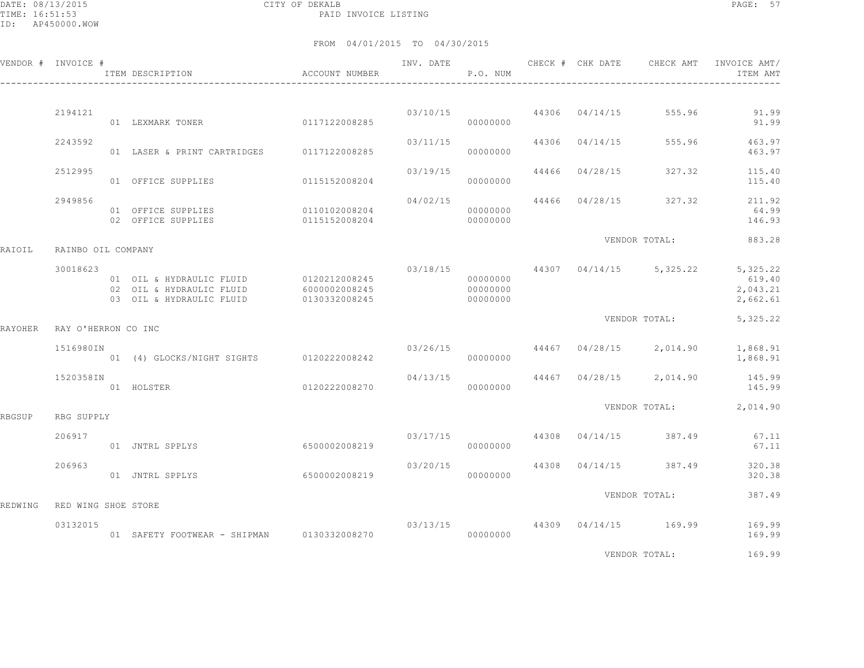DATE: 08/13/2015 CITY OF DEKALB PAGE: 57 PAID INVOICE LISTING

|         | VENDOR # INVOICE #  | ITEM DESCRIPTION                                                                               | ACCOUNT NUMBER                 | INV. DATE | P.O. NUM                         |                | CHECK # CHK DATE CHECK AMT | INVOICE AMT/<br>ITEM AMT                   |
|---------|---------------------|------------------------------------------------------------------------------------------------|--------------------------------|-----------|----------------------------------|----------------|----------------------------|--------------------------------------------|
|         |                     |                                                                                                |                                |           |                                  |                |                            |                                            |
|         | 2194121             | 01 LEXMARK TONER                                                                               | 0117122008285                  |           | 03/10/15<br>00000000             | 44306 04/14/15 | 555.96                     | 91.99<br>91.99                             |
|         | 2243592             | 01 LASER & PRINT CARTRIDGES 0117122008285                                                      |                                | 03/11/15  | 00000000                         | 44306 04/14/15 | 555.96                     | 463.97<br>463.97                           |
|         | 2512995             | 01 OFFICE SUPPLIES                                                                             | 0115152008204                  | 03/19/15  | 00000000                         | 44466 04/28/15 | 327.32                     | 115.40<br>115.40                           |
|         | 2949856             | 01 OFFICE SUPPLIES<br>02 OFFICE SUPPLIES                                                       | 0110102008204<br>0115152008204 | 04/02/15  | 00000000<br>00000000             | 44466 04/28/15 | 327.32                     | 211.92<br>64.99<br>146.93                  |
| RAIOIL  | RAINBO OIL COMPANY  |                                                                                                |                                |           |                                  |                | VENDOR TOTAL:              | 883.28                                     |
|         | 30018623            | 01 OIL & HYDRAULIC FLUID 0120212008245<br>02 OIL & HYDRAULIC FLUID<br>03 OIL & HYDRAULIC FLUID | 6000002008245<br>0130332008245 | 03/18/15  | 00000000<br>00000000<br>00000000 |                | 44307 04/14/15 5,325.22    | 5,325.22<br>619.40<br>2,043.21<br>2,662.61 |
| RAYOHER | RAY O'HERRON CO INC |                                                                                                |                                |           |                                  |                | VENDOR TOTAL:              | 5,325.22                                   |
|         | 1516980IN           | 01 (4) GLOCKS/NIGHT SIGHTS 0120222008242                                                       |                                | 03/26/15  | 00000000                         |                | 44467 04/28/15 2,014.90    | 1,868.91<br>1,868.91                       |
|         | 1520358IN           | 01 HOLSTER                                                                                     | 0120222008270                  | 04/13/15  | 00000000                         |                | 44467 04/28/15 2,014.90    | 145.99<br>145.99                           |
| RBGSUP  | RBG SUPPLY          |                                                                                                |                                |           |                                  |                |                            | VENDOR TOTAL: 2,014.90                     |
|         | 206917              | 01 JNTRL SPPLYS                                                                                | 6500002008219                  |           | 03/17/15<br>00000000             |                | 44308 04/14/15 387.49      | 67.11<br>67.11                             |
|         | 206963              | 01 JNTRL SPPLYS                                                                                | 6500002008219                  | 03/20/15  | 00000000                         | 44308 04/14/15 | 387.49                     | 320.38<br>320.38                           |
| REDWING | RED WING SHOE STORE |                                                                                                |                                |           |                                  |                | VENDOR TOTAL:              | 387.49                                     |
|         | 03132015            | 01 SAFETY FOOTWEAR - SHIPMAN 0130332008270                                                     |                                | 03/13/15  | 00000000                         |                | 44309 04/14/15 169.99      | 169.99<br>169.99                           |
|         |                     |                                                                                                |                                |           |                                  |                | VENDOR TOTAL:              | 169.99                                     |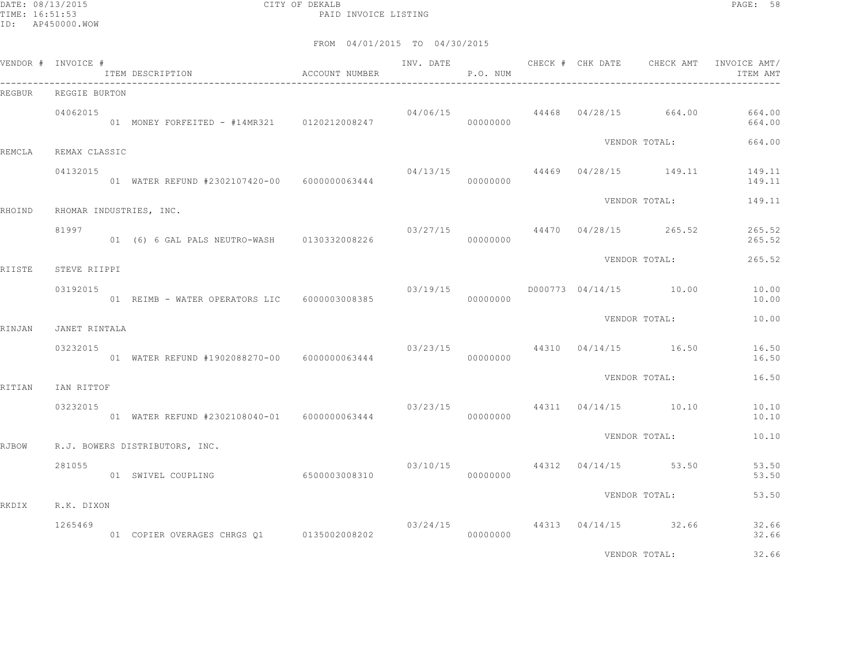DATE: 08/13/2015 CITY OF DEKALB PAGE: 58 PAID INVOICE LISTING

|        | VENDOR # INVOICE # | ITEM DESCRIPTION ACCOUNT NUMBER              |               | P.O. NUM |          |  |                                         | ITEM AMT                                                  |
|--------|--------------------|----------------------------------------------|---------------|----------|----------|--|-----------------------------------------|-----------------------------------------------------------|
| REGBUR | REGGIE BURTON      |                                              |               |          |          |  |                                         |                                                           |
|        | 04062015           | 01 MONEY FORFEITED - #14MR321 0120212008247  |               | 04/06/15 | 00000000 |  |                                         | 44468 04/28/15 664.00 664.00<br>664.00                    |
| REMCLA | REMAX CLASSIC      |                                              |               |          |          |  | VENDOR TOTAL:                           | 664.00                                                    |
|        | 04132015           | 01 WATER REFUND #2302107420-00 6000000063444 |               |          | 00000000 |  |                                         | $04/13/15$ $44469$ $04/28/15$ $149.11$ $149.11$<br>149.11 |
| RHOIND |                    | RHOMAR INDUSTRIES, INC.                      |               |          |          |  | VENDOR TOTAL:                           | 149.11                                                    |
|        | 81997              | 01 (6) 6 GAL PALS NEUTRO-WASH 0130332008226  |               | 00000000 |          |  | $03/27/15$ $44470$ $04/28/15$ $265.52$  | 265.52<br>265.52                                          |
| RIISTE | STEVE RIIPPI       |                                              |               |          |          |  | VENDOR TOTAL:                           | 265.52                                                    |
|        | 03192015           | 01 REIMB - WATER OPERATORS LIC 6000003008385 |               |          | 00000000 |  | $03/19/15$ $0000773$ $04/14/15$ $10.00$ | 10.00<br>10.00                                            |
| RINJAN | JANET RINTALA      |                                              |               |          |          |  | VENDOR TOTAL:                           | 10.00                                                     |
|        | 03232015           | 01 WATER REFUND #1902088270-00 6000000063444 |               | 03/23/15 | 00000000 |  | 44310 04/14/15 16.50                    | 16.50<br>16.50                                            |
| RITIAN | IAN RITTOF         |                                              |               |          |          |  | VENDOR TOTAL:                           | 16.50                                                     |
|        | 03232015           | 01 WATER REFUND #2302108040-01 6000000063444 |               |          | 00000000 |  | $03/23/15$ $44311$ $04/14/15$ $10.10$   | 10.10<br>10.10                                            |
|        |                    |                                              |               |          |          |  | VENDOR TOTAL:                           | 10.10                                                     |
| RJBOW  |                    | R.J. BOWERS DISTRIBUTORS, INC.               |               |          |          |  |                                         |                                                           |
|        | 281055             | 01 SWIVEL COUPLING                           | 6500003008310 |          | 00000000 |  | $03/10/15$ $44312$ $04/14/15$ 53.50     | 53.50<br>53.50                                            |
| RKDIX  | R.K. DIXON         |                                              |               |          |          |  | VENDOR TOTAL:                           | 53.50                                                     |
|        | 1265469            |                                              |               |          |          |  | $03/24/15$ 44313 $04/14/15$ 32.66       | 32.66<br>32.66                                            |
|        |                    |                                              |               |          |          |  | VENDOR TOTAL:                           | 32.66                                                     |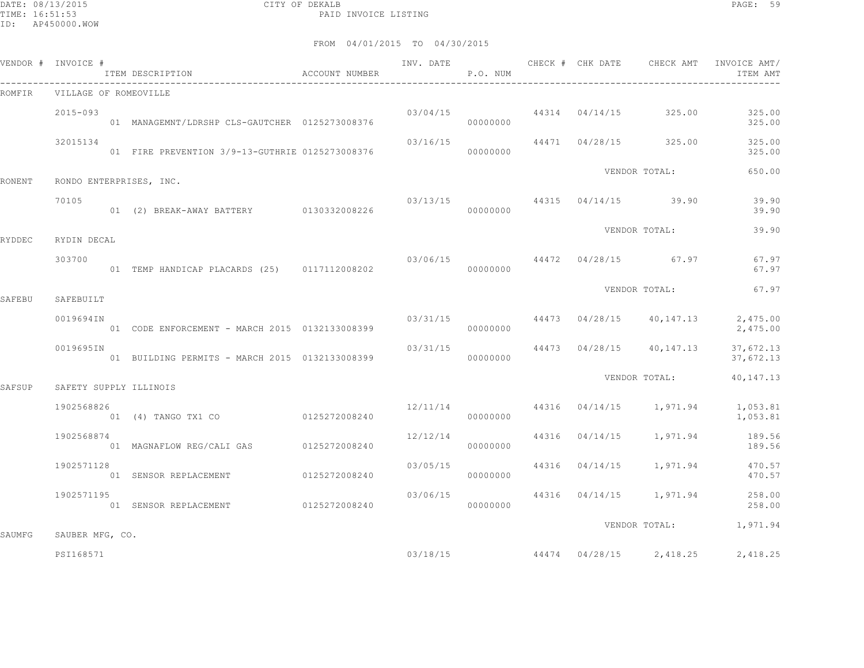DATE: 08/13/2015 CITY OF DEKALB PAGE: 59 PAID INVOICE LISTING

| VENDOR # INVOICE # |                 | ITEM DESCRIPTION ACCOUNT NUMBER                    |          | P.O. NUM |  |                                        | INV. DATE 6 CHECK # CHK DATE CHECK AMT INVOICE AMT<br>ITEM AMT  |
|--------------------|-----------------|----------------------------------------------------|----------|----------|--|----------------------------------------|-----------------------------------------------------------------|
| ROMFIR             |                 | VILLAGE OF ROMEOVILLE                              |          |          |  |                                        |                                                                 |
|                    | $2015 - 093$    | 01 MANAGEMNT/LDRSHP CLS-GAUTCHER 0125273008376     |          | 00000000 |  | $03/04/15$ $44314$ $04/14/15$ $325.00$ | 325.00<br>325.00                                                |
|                    | 32015134        | 01 FIRE PREVENTION 3/9-13-GUTHRIE 0125273008376    |          | 00000000 |  | $03/16/15$ $44471$ $04/28/15$ $325.00$ | 325.00<br>325.00                                                |
| RONENT             |                 | RONDO ENTERPRISES, INC.                            |          |          |  | VENDOR TOTAL:                          | 650.00                                                          |
|                    | 70105           | 01 (2) BREAK-AWAY BATTERY 0130332008226 0000000000 |          |          |  | $03/13/15$ 44315 $04/14/15$ 39.90      | 39.90<br>39.90                                                  |
| RYDDEC             | RYDIN DECAL     |                                                    |          |          |  | VENDOR TOTAL:                          | 39.90                                                           |
|                    | 303700          | 01 TEMP HANDICAP PLACARDS (25) 0117112008202       |          | 00000000 |  | $03/06/15$ $44472$ $04/28/15$ 67.97    | 67.97<br>67.97                                                  |
| SAFEBU             | SAFEBUILT       |                                                    |          |          |  | VENDOR TOTAL:                          | 67.97                                                           |
|                    | 0019694IN       |                                                    |          | 00000000 |  |                                        | $03/31/15$ 44473 $04/28/15$ 40,147.13 2,475.00<br>2,475.00      |
|                    | 0019695IN       | 01 BUILDING PERMITS - MARCH 2015 0132133008399     | 03/31/15 | 00000000 |  | 44473 04/28/15 40,147.13               | 37,672.13<br>37,672.13                                          |
| SAFSUP             |                 | SAFETY SUPPLY ILLINOIS                             |          |          |  | VENDOR TOTAL:                          | 40,147.13                                                       |
|                    | 1902568826      |                                                    |          | 00000000 |  |                                        | $12/11/14$ $44316$ $04/14/15$ $1,971.94$ $1,053.81$<br>1,053.81 |
|                    | 1902568874      |                                                    | 12/12/14 | 00000000 |  | 44316 04/14/15 1,971.94                | 189.56<br>189.56                                                |
|                    | 1902571128      | 01 SENSOR REPLACEMENT 0125272008240                | 03/05/15 | 00000000 |  | 44316 04/14/15 1,971.94                | 470.57<br>470.57                                                |
|                    | 1902571195      | ---<br>01 SENSOR REPLACEMENT 0125272008240         | 03/06/15 | 00000000 |  | 44316 04/14/15 1,971.94                | 258.00<br>258.00                                                |
| SAUMFG             | SAUBER MFG, CO. |                                                    |          |          |  |                                        | VENDOR TOTAL: 1,971.94                                          |
|                    | PSI168571       |                                                    | 03/18/15 |          |  | 44474 04/28/15 2,418.25                | 2,418.25                                                        |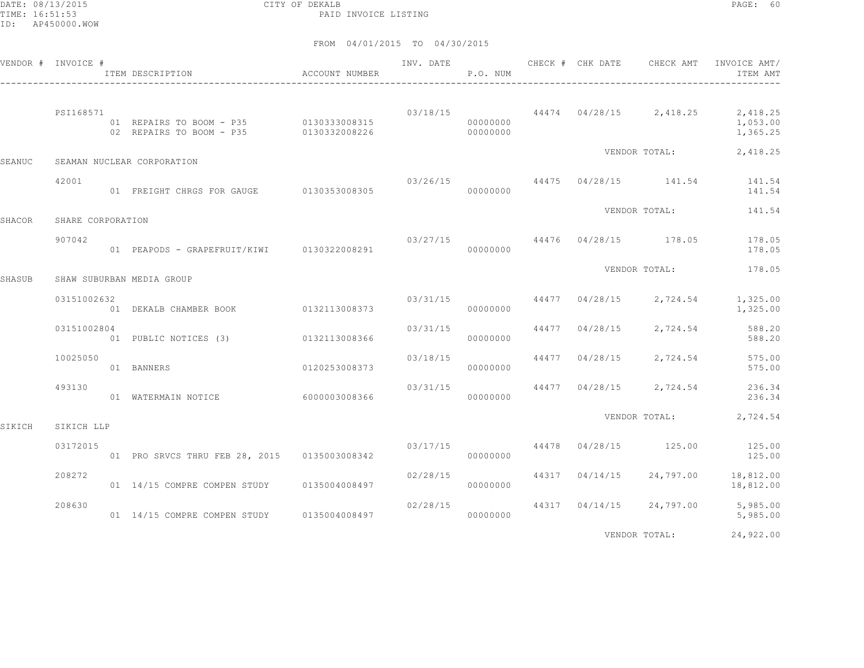DATE: 08/13/2015 CITY OF DEKALB PAGE: 60 PAID INVOICE LISTING

|        | VENDOR # INVOICE # | ITEM DESCRIPTION ACCOUNT NUMBER                                    |               |          | P.O. NUM             |                |                         | ITEM AMT                                                                    |
|--------|--------------------|--------------------------------------------------------------------|---------------|----------|----------------------|----------------|-------------------------|-----------------------------------------------------------------------------|
|        | PSI168571          | 01 REPAIRS TO BOOM - P35 0130333008315<br>02 REPAIRS TO BOOM - P35 | 0130332008226 |          | 00000000<br>00000000 |                |                         | $03/18/15$ $44474$ $04/28/15$ $2,418.25$ $2,418.25$<br>1,053.00<br>1,365.25 |
| SEANUC |                    | SEAMAN NUCLEAR CORPORATION                                         |               |          |                      |                | VENDOR TOTAL:           | 2,418.25                                                                    |
|        | 42001              | 01 FREIGHT CHRGS FOR GAUGE 0130353008305                           |               |          | 00000000             |                |                         | 03/26/15 44475 04/28/15 141.54 141.54<br>141.54                             |
| SHACOR | SHARE CORPORATION  |                                                                    |               |          |                      |                | VENDOR TOTAL:           | 141.54                                                                      |
|        | 907042             | 01 PEAPODS - GRAPEFRUIT/KIWI 0130322008291                         |               |          | 00000000             |                |                         | $03/27/15$ $44476$ $04/28/15$ $178.05$ $178.05$<br>178.05                   |
| SHASUB |                    | SHAW SUBURBAN MEDIA GROUP                                          |               |          |                      |                | VENDOR TOTAL:           | 178.05                                                                      |
|        | 03151002632        | 01 DEKALB CHAMBER BOOK 0132113008373                               |               |          | 03/31/15<br>00000000 |                | 44477 04/28/15 2,724.54 | 1,325.00<br>1,325.00                                                        |
|        | 03151002804        | 01 PUBLIC NOTICES (3) 0132113008366                                |               |          | 03/31/15<br>00000000 |                | 44477 04/28/15 2,724.54 | 588.20<br>588.20                                                            |
|        | 10025050           | 0120253008373<br>01 BANNERS                                        |               | 03/18/15 | 00000000             |                | 44477 04/28/15 2,724.54 | 575.00<br>575.00                                                            |
|        | 493130             | 01 WATERMAIN NOTICE 6000003008366                                  |               |          | 03/31/15<br>00000000 |                |                         | 44477 04/28/15 2,724.54 236.34<br>236.34                                    |
| SIKICH | SIKICH LLP         |                                                                    |               |          |                      |                |                         | VENDOR TOTAL: 2,724.54                                                      |
|        | 03172015           | 01 PRO SRVCS THRU FEB 28, 2015 0135003008342                       |               |          | 00000000             |                |                         | $03/17/15$ 44478 $04/28/15$ 125.00 125.00<br>125.00                         |
|        | 208272             | 01 14/15 COMPRE COMPEN STUDY 0135004008497                         |               | 02/28/15 | 00000000             | 44317 04/14/15 |                         | 24,797.00 18,812.00<br>18,812.00                                            |
|        | 208630             | 01 14/15 COMPRE COMPEN STUDY 0135004008497                         |               | 02/28/15 | 00000000             |                |                         | 44317 04/14/15 24,797.00 5,985.00<br>5,985.00                               |
|        |                    |                                                                    |               |          |                      |                | VENDOR TOTAL:           | 24,922.00                                                                   |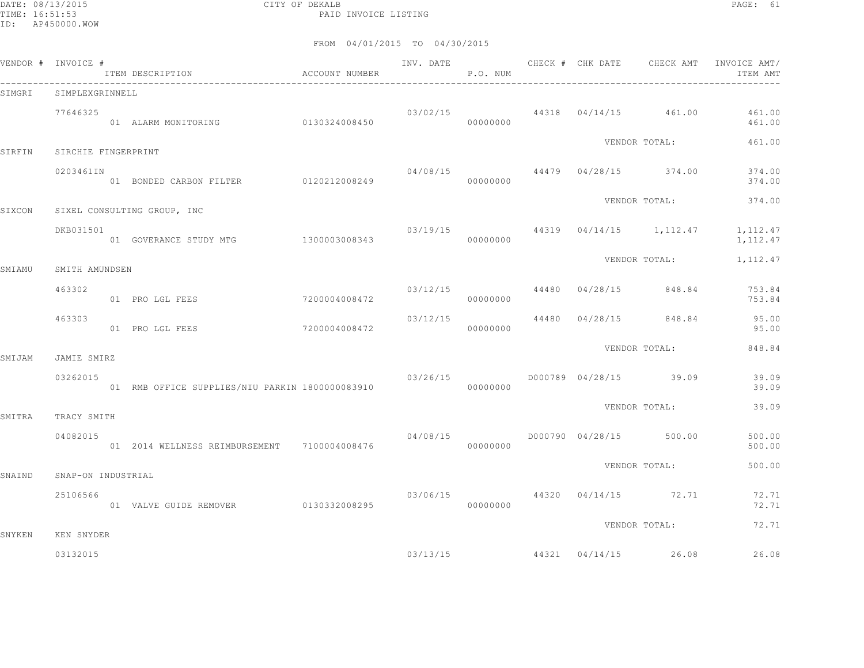DATE: 08/13/2015 CITY OF DEKALB PAGE: 61 PAID INVOICE LISTING

|        | VENDOR # INVOICE #      | ITEM DESCRIPTION<br>$\hfill$<br>ACCOUNT NUMBER  |               | INV. DATE | P.O. NUM |  | CHECK # CHK DATE CHECK AMT            | INVOICE AMT/<br>ITEM AMT                            |
|--------|-------------------------|-------------------------------------------------|---------------|-----------|----------|--|---------------------------------------|-----------------------------------------------------|
| SIMGRI | SIMPLEXGRINNELL         |                                                 |               |           |          |  |                                       |                                                     |
|        | 77646325                | 01 ALARM MONITORING 0130324008450               |               |           | 00000000 |  |                                       | $03/02/15$ 44318 $04/14/15$ 461.00 461.00<br>461.00 |
| SIRFIN | SIRCHIE FINGERPRINT     |                                                 |               |           |          |  | VENDOR TOTAL:                         | 461.00                                              |
|        | 0203461IN               | 01 BONDED CARBON FILTER 0120212008249           |               | 04/08/15  | 00000000 |  | 44479 04/28/15 374.00                 | 374.00<br>374.00                                    |
| SIXCON |                         | SIXEL CONSULTING GROUP, INC                     |               |           |          |  | VENDOR TOTAL:                         | 374.00                                              |
|        | DKB031501               | 01 GOVERANCE STUDY MTG 1300003008343            |               | 00000000  |          |  | $03/19/15$ 44319 $04/14/15$ 1,112.47  | 1, 112.47<br>1,112.47                               |
| SMIAMU | SMITH AMUNDSEN          |                                                 |               |           |          |  | VENDOR TOTAL:                         | 1,112.47                                            |
|        | 463302                  | 01 PRO LGL FEES                                 | 7200004008472 |           | 00000000 |  | $03/12/15$ 44480 04/28/15 848.84      | 753.84<br>753.84                                    |
|        | 463303                  | 01 PRO LGL FEES                                 | 7200004008472 | 03/12/15  | 00000000 |  | 44480 04/28/15 848.84                 | 95.00<br>95.00                                      |
|        |                         |                                                 |               |           |          |  | VENDOR TOTAL:                         | 848.84                                              |
| SMIJAM | JAMIE SMIRZ<br>03262015 |                                                 |               | 03/26/15  |          |  | D000789 04/28/15 39.09                | 39.09<br>39.09                                      |
|        |                         |                                                 |               |           |          |  | VENDOR TOTAL:                         | 39.09                                               |
| SMITRA | TRACY SMITH<br>04082015 | 01  2014  WELLNESS REIMBURSEMENT  7100004008476 |               | 04/08/15  | 00000000 |  | D000790 04/28/15 500.00               | 500.00<br>500.00                                    |
| SNAIND | SNAP-ON INDUSTRIAL      |                                                 |               |           |          |  | VENDOR TOTAL:                         | 500.00                                              |
|        | 25106566                | 01 VALVE GUIDE REMOVER 0130332008295            |               |           | 00000000 |  | $03/06/15$ $44320$ $04/14/15$ $72.71$ | 72.71<br>72.71                                      |
| SNYKEN | KEN SNYDER              |                                                 |               |           |          |  | VENDOR TOTAL:                         | 72.71                                               |
|        | 03132015                |                                                 |               |           |          |  | $03/13/15$ 44321 $04/14/15$ 26.08     | 26.08                                               |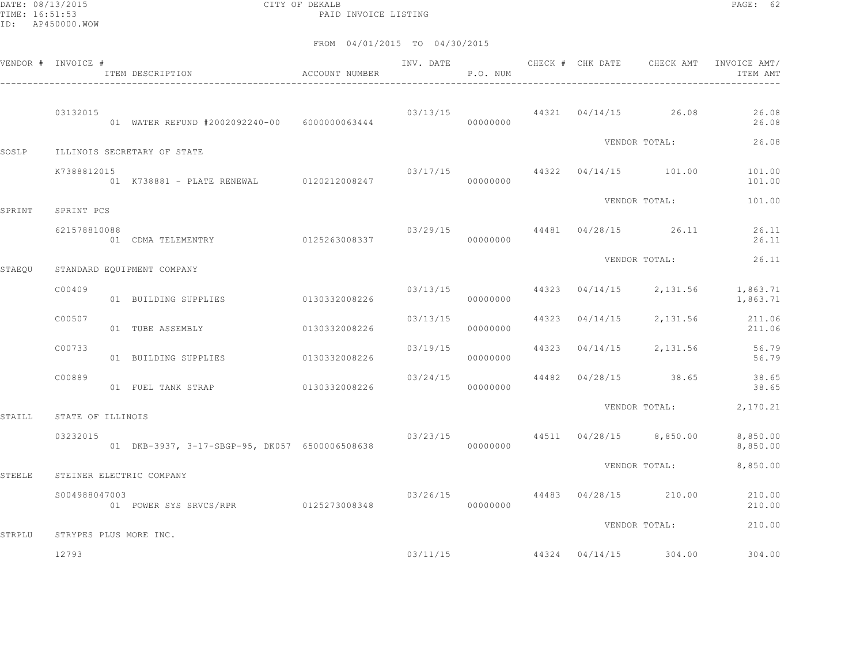DATE: 08/13/2015 CITY OF DEKALB PAGE: 62 PAID INVOICE LISTING

|               | VENDOR # INVOICE # | ITEM DESCRIPTION<br>-------------------------------- | <b>ACCOUNT NUMBER</b> | INV. DATE | P.O. NUM |  | CHECK # CHK DATE CHECK AMT               | INVOICE AMT/<br>ITEM AMT                |
|---------------|--------------------|------------------------------------------------------|-----------------------|-----------|----------|--|------------------------------------------|-----------------------------------------|
|               | 03132015           | 01 WATER REFUND #2002092240-00 6000000063444         |                       |           | 00000000 |  | $03/13/15$ 44321 $04/14/15$ 26.08        | 26.08<br>26.08                          |
| SOSLP         |                    | ILLINOIS SECRETARY OF STATE                          |                       |           |          |  | VENDOR TOTAL:                            | 26.08                                   |
|               | K7388812015        | 01 K738881 - PLATE RENEWAL 0120212008247             |                       | 03/17/15  | 00000000 |  | 44322 04/14/15 101.00                    | 101.00<br>101.00                        |
| SPRINT        | SPRINT PCS         |                                                      |                       |           |          |  | VENDOR TOTAL:                            | 101.00                                  |
|               | 621578810088       | <br>01 CDMA TELEMENTRY 0125263008337                 |                       |           | 00000000 |  | $03/29/15$ 44481 04/28/15 26.11          | 26.11<br>26.11                          |
| STAEQU        |                    | STANDARD EQUIPMENT COMPANY                           |                       |           |          |  | VENDOR TOTAL:                            | 26.11                                   |
|               | C00409             | 01 BUILDING SUPPLIES                                 | 0130332008226         |           | 00000000 |  | $03/13/15$ $44323$ $04/14/15$ $2,131.56$ | 1,863.71<br>1,863.71                    |
|               | C00507             | 01 TUBE ASSEMBLY                                     | 0130332008226         | 03/13/15  | 00000000 |  | 44323 04/14/15 2,131.56                  | 211.06<br>211.06                        |
|               | C00733             | 01 BUILDING SUPPLIES 0130332008226                   |                       | 03/19/15  | 00000000 |  |                                          | 44323 04/14/15 2,131.56 56.79<br>56.79  |
|               | C00889             | 01 FUEL TANK STRAP                                   | 0130332008226         | 03/24/15  | 00000000 |  | 44482 04/28/15 38.65                     | 38.65<br>38.65                          |
| STAILL        | STATE OF ILLINOIS  |                                                      |                       |           |          |  | VENDOR TOTAL:                            | 2,170.21                                |
|               | 03232015           | 01 DKB-3937, 3-17-SBGP-95, DK057 6500006508638       |                       |           | 00000000 |  | $03/23/15$ $44511$ $04/28/15$ $8,850.00$ | 8,850.00<br>8,850.00                    |
| <b>STEELE</b> |                    | STEINER ELECTRIC COMPANY                             |                       |           |          |  | VENDOR TOTAL:                            | 8,850.00                                |
|               | S004988047003      | 01 POWER SYS SRVCS/RPR 0125273008348                 |                       | 03/26/15  | 00000000 |  | 44483 04/28/15 210.00                    | 210.00<br>210.00                        |
| STRPLU        |                    | STRYPES PLUS MORE INC.                               |                       |           |          |  | VENDOR TOTAL:                            | 210.00                                  |
|               | 12793              |                                                      |                       |           |          |  |                                          | $03/11/15$ 44324 04/14/15 304.00 304.00 |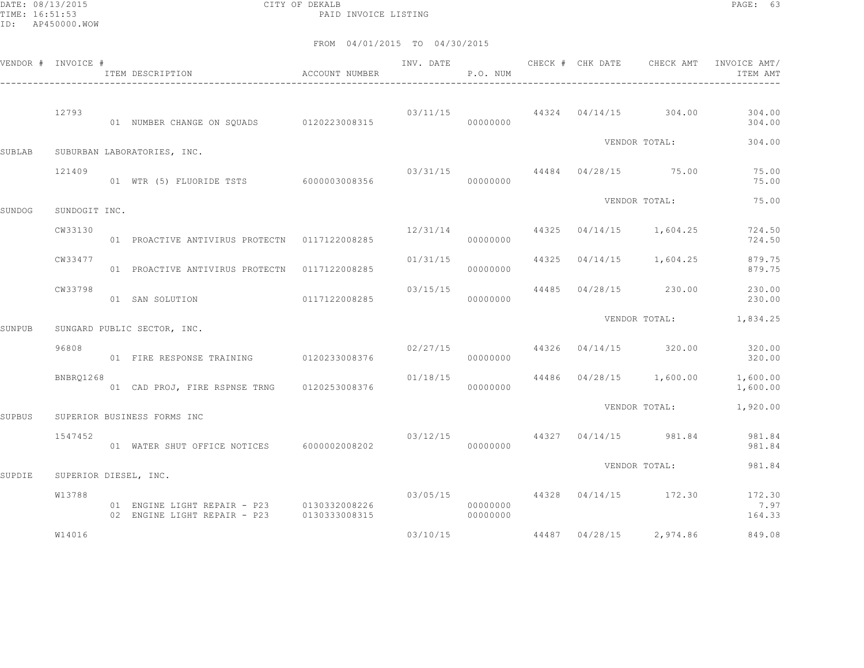DATE: 08/13/2015 CITY OF DEKALB PAGE: 63 PAID INVOICE LISTING

|               | VENDOR # INVOICE #    | ACCOUNT NUMBER<br>ITEM DESCRIPTION                                         |               | INV. DATE | P.O. NUM             |  | CHECK # CHK DATE CHECK AMT            | INVOICE AMT/<br>ITEM AMT                            |
|---------------|-----------------------|----------------------------------------------------------------------------|---------------|-----------|----------------------|--|---------------------------------------|-----------------------------------------------------|
|               | 12793                 | 01 NUMBER CHANGE ON SOUADS 0120223008315                                   |               |           | 00000000             |  |                                       | $03/11/15$ 44324 $04/14/15$ 304.00 304.00<br>304.00 |
| <b>SUBLAB</b> |                       | SUBURBAN LABORATORIES, INC.                                                |               |           |                      |  | VENDOR TOTAL:                         | 304.00                                              |
|               | 121409                | 01 WTR (5) FLUORIDE TSTS 6000003008356                                     |               |           | 00000000             |  | $03/31/15$ $44484$ $04/28/15$ $75.00$ | 75.00<br>75.00                                      |
| SUNDOG        | SUNDOGIT INC.         |                                                                            |               |           |                      |  | VENDOR TOTAL:                         | 75.00                                               |
|               | CW33130               | 01 PROACTIVE ANTIVIRUS PROTECTN 0117122008285                              |               | 12/31/14  | 00000000             |  | 44325 04/14/15 1,604.25               | 724.50<br>724.50                                    |
|               | CW33477               | 01 PROACTIVE ANTIVIRUS PROTECTN 0117122008285                              |               | 01/31/15  | 00000000             |  | 44325 04/14/15 1,604.25               | 879.75<br>879.75                                    |
|               | CW33798               | 01 SAN SOLUTION                                                            | 0117122008285 |           | 03/15/15<br>00000000 |  | 44485 04/28/15 230.00                 | 230.00<br>230.00                                    |
| SUNPUB        |                       | SUNGARD PUBLIC SECTOR, INC.                                                |               |           |                      |  | VENDOR TOTAL:                         | 1,834.25                                            |
|               | 96808                 | 01 FIRE RESPONSE TRAINING 0120233008376                                    |               | 02/27/15  | 00000000             |  | 44326 04/14/15 320.00                 | 320.00<br>320.00                                    |
|               | BNBRQ1268             | 01 CAD PROJ, FIRE RSPNSE TRNG 0120253008376                                |               | 01/18/15  | 00000000             |  | 44486 04/28/15 1,600.00               | 1,600.00<br>1,600.00                                |
| SUPBUS        |                       | SUPERIOR BUSINESS FORMS INC                                                |               |           |                      |  | VENDOR TOTAL:                         | 1,920.00                                            |
|               | 1547452               | 01 WATER SHUT OFFICE NOTICES 6000002008202                                 |               | 03/12/15  | 00000000             |  | 44327 04/14/15 981.84                 | 981.84<br>981.84                                    |
| SUPDIE        | SUPERIOR DIESEL, INC. |                                                                            |               |           |                      |  | VENDOR TOTAL:                         | 981.84                                              |
|               | W13788                | 01 ENGINE LIGHT REPAIR - P23 0130332008226<br>02 ENGINE LIGHT REPAIR - P23 | 0130333008315 |           | 00000000<br>00000000 |  | $03/05/15$ 44328 $04/14/15$ 172.30    | 172.30<br>7.97<br>164.33                            |
|               | W14016                |                                                                            |               | 03/10/15  |                      |  | 44487 04/28/15 2,974.86               | 849.08                                              |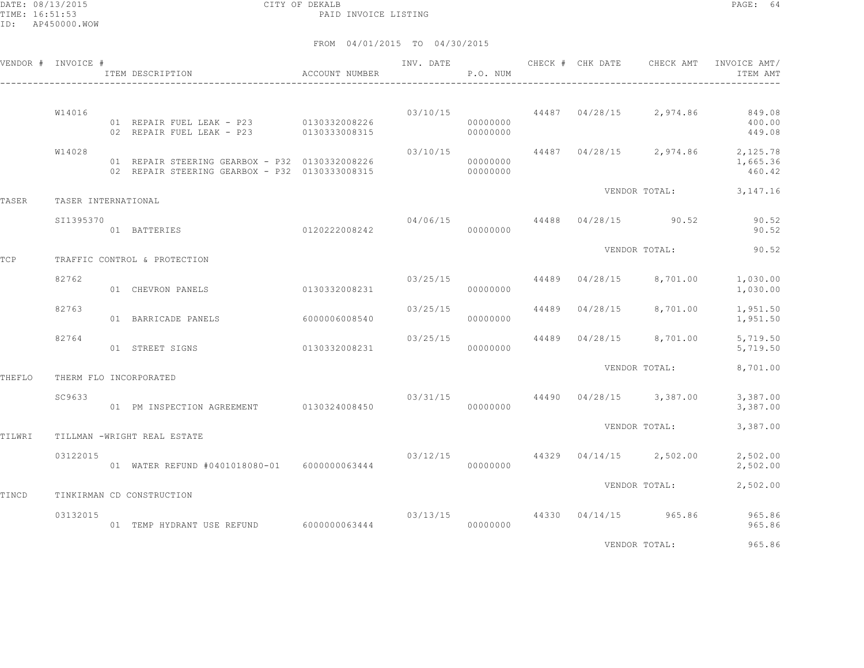|        | VENDOR # INVOICE #  | ITEM DESCRIPTION                                                                                 | ACCOUNT NUMBER | INV. DATE | P.O. NUM             |       | CHECK # CHK DATE | CHECK AMT                                | INVOICE AMT/<br>ITEM AMT                               |
|--------|---------------------|--------------------------------------------------------------------------------------------------|----------------|-----------|----------------------|-------|------------------|------------------------------------------|--------------------------------------------------------|
|        | W14016              | 01 REPAIR FUEL LEAK - P23 0130332008226<br>02 REPAIR FUEL LEAK - P23 0130333008315               |                |           | 00000000<br>00000000 |       |                  | $03/10/15$ $44487$ $04/28/15$ $2,974.86$ | 849.08<br>400.00<br>449.08                             |
|        | W14028              | 01 REPAIR STEERING GEARBOX - P32 0130332008226<br>02 REPAIR STEERING GEARBOX - P32 0130333008315 |                | 03/10/15  | 00000000<br>00000000 |       |                  |                                          | 44487 04/28/15 2,974.86 2,125.78<br>1,665.36<br>460.42 |
| TASER  | TASER INTERNATIONAL |                                                                                                  |                |           |                      |       |                  | VENDOR TOTAL:                            | 3, 147. 16                                             |
|        | SI1395370           | 01 BATTERIES                                                                                     | 0120222008242  | 04/06/15  | 00000000             |       |                  | 44488 04/28/15 90.52                     | 90.52<br>90.52                                         |
| TCP    |                     | TRAFFIC CONTROL & PROTECTION                                                                     |                |           |                      |       |                  | VENDOR TOTAL:                            | 90.52                                                  |
|        | 82762               | 01 CHEVRON PANELS                                                                                | 0130332008231  |           | 03/25/15<br>00000000 | 44489 |                  | $04/28/15$ 8,701.00                      | 1,030.00<br>1,030.00                                   |
|        | 82763               | 01 BARRICADE PANELS                                                                              | 6000006008540  | 03/25/15  | 00000000             | 44489 | 04/28/15         | 8,701.00                                 | 1,951.50<br>1,951.50                                   |
|        | 82764               | 01 STREET SIGNS                                                                                  | 0130332008231  | 03/25/15  | 00000000             |       |                  | 44489 04/28/15 8,701.00                  | 5,719.50<br>5,719.50                                   |
| THEFLO |                     | THERM FLO INCORPORATED                                                                           |                |           |                      |       |                  | VENDOR TOTAL:                            | 8,701.00                                               |
|        | SC9633              | 01 PM INSPECTION AGREEMENT                                                                       | 0130324008450  |           | 00000000             |       |                  | $03/31/15$ $44490$ $04/28/15$ $3,387.00$ | 3,387.00<br>3,387.00                                   |
| TILWRI |                     | TILLMAN -WRIGHT REAL ESTATE                                                                      |                |           |                      |       |                  | VENDOR TOTAL:                            | 3,387.00                                               |
|        | 03122015            | 01 WATER REFUND #0401018080-01 6000000063444                                                     |                | 03/12/15  | 00000000             |       |                  | $44329$ $04/14/15$ 2,502.00              | 2,502.00<br>2,502.00                                   |
| TINCD  |                     | TINKIRMAN CD CONSTRUCTION                                                                        |                |           |                      |       |                  | VENDOR TOTAL:                            | 2,502.00                                               |
|        | 03132015            | 01 TEMP HYDRANT USE REFUND                                                                       | 6000000063444  | 03/13/15  | 00000000             |       |                  | 44330 04/14/15 965.86                    | 965.86<br>965.86                                       |
|        |                     |                                                                                                  |                |           |                      |       |                  | VENDOR TOTAL:                            | 965.86                                                 |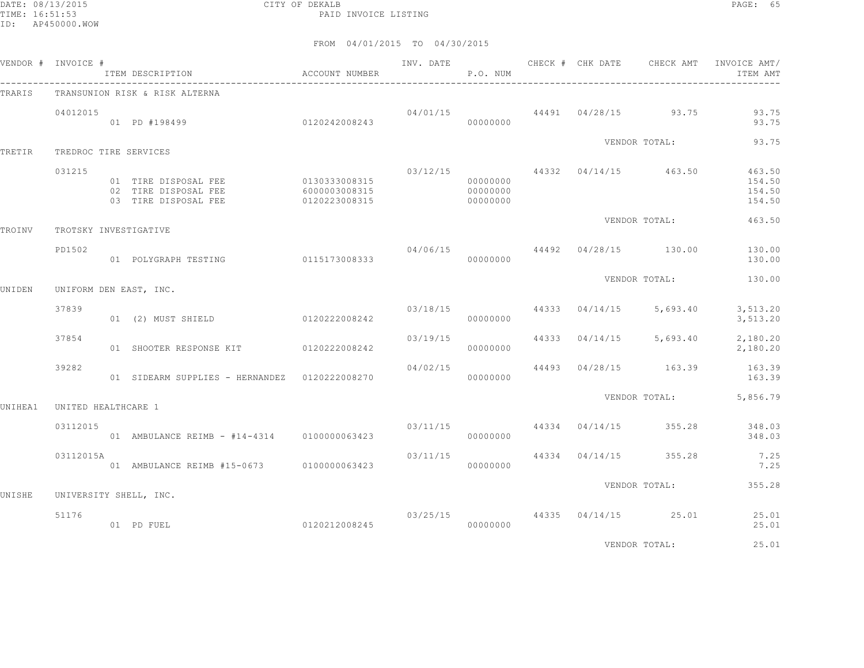DATE: 08/13/2015 CITY OF DEKALB PAGE: 65 PAID INVOICE LISTING

|         | VENDOR # INVOICE #  | ACCOUNT NUMBER<br>ITEM DESCRIPTION                                                 |                                |          | P.O. NUM                         |  |                                                                                                                                                                                                                                          | INV. DATE 6 CHECK # CHK DATE 6 CHECK AMT INVOICE AMT/<br>ITEM AMT |
|---------|---------------------|------------------------------------------------------------------------------------|--------------------------------|----------|----------------------------------|--|------------------------------------------------------------------------------------------------------------------------------------------------------------------------------------------------------------------------------------------|-------------------------------------------------------------------|
| TRARIS  |                     | TRANSUNION RISK & RISK ALTERNA                                                     |                                |          |                                  |  |                                                                                                                                                                                                                                          |                                                                   |
|         | 04012015            | 。<br>01  PD #198499               0120242008243                                    |                                |          | 00000000                         |  | $04/01/15$ $44491$ $04/28/15$ 93.75                                                                                                                                                                                                      | 93.75<br>93.75                                                    |
| TRETIR  |                     | TREDROC TIRE SERVICES                                                              |                                |          |                                  |  | VENDOR TOTAL:                                                                                                                                                                                                                            | 93.75                                                             |
|         | 031215              | 01 TIRE DISPOSAL FEE 0130333008315<br>02 TIRE DISPOSAL FEE<br>03 TIRE DISPOSAL FEE | 6000003008315<br>0120223008315 |          | 00000000<br>00000000<br>00000000 |  | 03/12/15 44332 04/14/15 463.50                                                                                                                                                                                                           | 463.50<br>154.50<br>154.50<br>154.50                              |
| TROINV  |                     | TROTSKY INVESTIGATIVE                                                              |                                |          |                                  |  |                                                                                                                                                                                                                                          | 463.50                                                            |
|         | PD1502              | 01 POLYGRAPH TESTING 0115173008333                                                 |                                |          | 00000000                         |  |                                                                                                                                                                                                                                          | 130.00                                                            |
| UNIDEN  |                     | UNIFORM DEN EAST, INC.                                                             |                                |          |                                  |  | VENDOR TOTAL:<br>04/06/15 44492 04/28/15 130.00 130.00<br>VENDOR TOTAL:<br>$03/18/15$ $44333$ $04/14/15$ $5,693.40$ $3,513.20$<br>$03/19/15$ $44333$ $04/14/15$ $5,693.40$ $2,180.20$<br>44493 04/28/15 163.39<br>VENDOR TOTAL: 5,856.79 | 130.00                                                            |
|         | 37839               |                                                                                    |                                |          |                                  |  |                                                                                                                                                                                                                                          |                                                                   |
|         |                     | 01 (2) MUST SHIELD 0120222008242                                                   |                                |          | 00000000                         |  |                                                                                                                                                                                                                                          | 3,513.20                                                          |
|         | 37854               | 01 SHOOTER RESPONSE KIT 0120222008242                                              |                                |          | 00000000                         |  |                                                                                                                                                                                                                                          | 2,180.20                                                          |
|         | 39282               | 01 SIDEARM SUPPLIES - HERNANDEZ 0120222008270                                      |                                | 04/02/15 | 00000000                         |  |                                                                                                                                                                                                                                          | 163.39<br>163.39                                                  |
| UNIHEA1 | UNITED HEALTHCARE 1 |                                                                                    |                                |          |                                  |  |                                                                                                                                                                                                                                          |                                                                   |
|         | 03112015            | 01 AMBULANCE REIMB - #14-4314 0100000063423                                        |                                |          | 00000000                         |  | $03/11/15$ 44334 04/14/15 355.28                                                                                                                                                                                                         | 348.03<br>348.03                                                  |
|         | 03112015A           | 01 AMBULANCE REIMB #15-0673 0100000063423                                          |                                |          | 00000000                         |  | $03/11/15$ 44334 04/14/15 355.28                                                                                                                                                                                                         | 7.25<br>7.25                                                      |
| UNISHE  |                     | UNIVERSITY SHELL, INC.                                                             |                                |          |                                  |  | VENDOR TOTAL:                                                                                                                                                                                                                            | 355.28                                                            |
|         | 51176               | 01 PD FUEL                                                                         | 0120212008245                  |          | 00000000                         |  | 03/25/15 44335 04/14/15 25.01                                                                                                                                                                                                            | 25.01<br>25.01                                                    |
|         |                     |                                                                                    |                                |          |                                  |  | VENDOR TOTAL:                                                                                                                                                                                                                            | 25.01                                                             |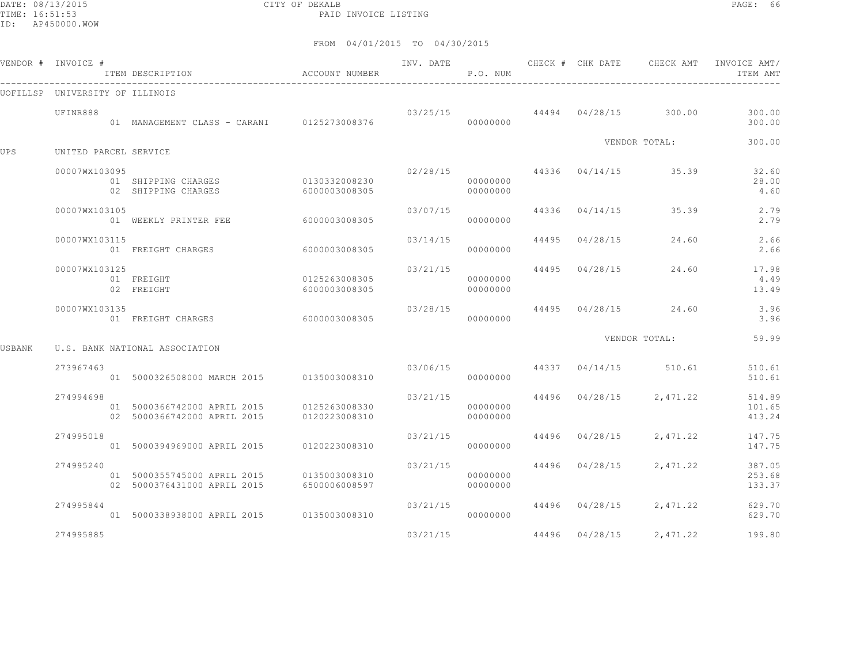DATE: 08/13/2015 CITY OF DEKALB PAGE: 66 PAID INVOICE LISTING

|        | VENDOR # INVOICE #              | ITEM DESCRIPTION                                                                       | ACCOUNT NUMBER                 | INV. DATE | P.O. NUM                         |                                                                                                                                                                                                                                                                                                                                                                                                     |          | INVOICE AMT/<br>ITEM AMT   |
|--------|---------------------------------|----------------------------------------------------------------------------------------|--------------------------------|-----------|----------------------------------|-----------------------------------------------------------------------------------------------------------------------------------------------------------------------------------------------------------------------------------------------------------------------------------------------------------------------------------------------------------------------------------------------------|----------|----------------------------|
|        | UOFILLSP UNIVERSITY OF ILLINOIS |                                                                                        |                                |           |                                  | CHECK # CHK DATE CHECK AMT<br>$03/25/15$ $44494$ $04/28/15$ 300.00<br>VENDOR TOTAL:<br>44336 04/14/15 35.39<br>35.39<br>44336 04/14/15<br>44495 04/28/15<br>24.60<br>44495 04/28/15<br>24.60<br>44495 04/28/15<br>24.60<br>VENDOR TOTAL:<br>$03/06/15$ 44337 $04/14/15$ 510.61<br>44496 04/28/15 2,471.22<br>44496 04/28/15<br>2,471.22<br>44496 04/28/15<br>2,471.22<br>44496 04/28/15<br>2,471.22 |          |                            |
|        | UFINR888                        | 01 MANAGEMENT CLASS - CARANI 0125273008376                                             |                                |           | 00000000                         |                                                                                                                                                                                                                                                                                                                                                                                                     |          | 300.00<br>300.00           |
| UPS    | UNITED PARCEL SERVICE           |                                                                                        |                                |           |                                  |                                                                                                                                                                                                                                                                                                                                                                                                     |          | 300.00                     |
|        | 00007WX103095                   | 01 SHIPPING CHARGES<br>02 SHIPPING CHARGES                                             | 0130332008230<br>6000003008305 |           | 02/28/15<br>00000000<br>00000000 |                                                                                                                                                                                                                                                                                                                                                                                                     |          | 32.60<br>28.00<br>4.60     |
|        | 00007WX103105                   | 01 WEEKLY PRINTER FEE                                                                  | 60000003008305                 | 03/07/15  | 00000000                         |                                                                                                                                                                                                                                                                                                                                                                                                     |          | 2.79<br>2.79               |
|        | 00007WX103115                   | 01 FREIGHT CHARGES                                                                     | 6000003008305                  | 03/14/15  | 00000000                         |                                                                                                                                                                                                                                                                                                                                                                                                     |          | 2.66<br>2.66               |
|        | 00007WX103125                   | 01 FREIGHT<br>02 FREIGHT                                                               | 0125263008305<br>6000003008305 | 03/21/15  | 00000000<br>00000000             |                                                                                                                                                                                                                                                                                                                                                                                                     |          | 17.98<br>4.49<br>13.49     |
|        | 00007WX103135                   | 01 FREIGHT CHARGES                                                                     | 60000003008305                 | 03/28/15  | 00000000                         |                                                                                                                                                                                                                                                                                                                                                                                                     |          | 3.96<br>3.96               |
| USBANK |                                 | U.S. BANK NATIONAL ASSOCIATION                                                         |                                |           |                                  |                                                                                                                                                                                                                                                                                                                                                                                                     |          | 59.99                      |
|        | 273967463                       | 01 5000326508000 MARCH 2015 0135003008310                                              |                                |           | 00000000                         |                                                                                                                                                                                                                                                                                                                                                                                                     |          | 510.61<br>510.61           |
|        | 274994698                       | 01 5000366742000 APRIL 2015 0125263008330<br>02 5000366742000 APRIL 2015               | 0120223008310                  | 03/21/15  | 00000000<br>00000000             |                                                                                                                                                                                                                                                                                                                                                                                                     |          | 514.89<br>101.65<br>413.24 |
|        | 274995018                       | 01 5000394969000 APRIL 2015 0120223008310                                              |                                | 03/21/15  | 00000000                         |                                                                                                                                                                                                                                                                                                                                                                                                     |          | 147.75<br>147.75           |
|        | 274995240                       | 01 5000355745000 APRIL 2015 0135003008310<br>02 5000376431000 APRIL 2015 6500006008597 |                                |           | 03/21/15<br>00000000<br>00000000 |                                                                                                                                                                                                                                                                                                                                                                                                     |          | 387.05<br>253.68<br>133.37 |
|        | 274995844                       | 01 5000338938000 APRIL 2015 0135003008310                                              |                                | 03/21/15  | 00000000                         |                                                                                                                                                                                                                                                                                                                                                                                                     |          | 629.70<br>629.70           |
|        | 274995885                       |                                                                                        |                                | 03/21/15  |                                  | 44496 04/28/15                                                                                                                                                                                                                                                                                                                                                                                      | 2,471.22 | 199.80                     |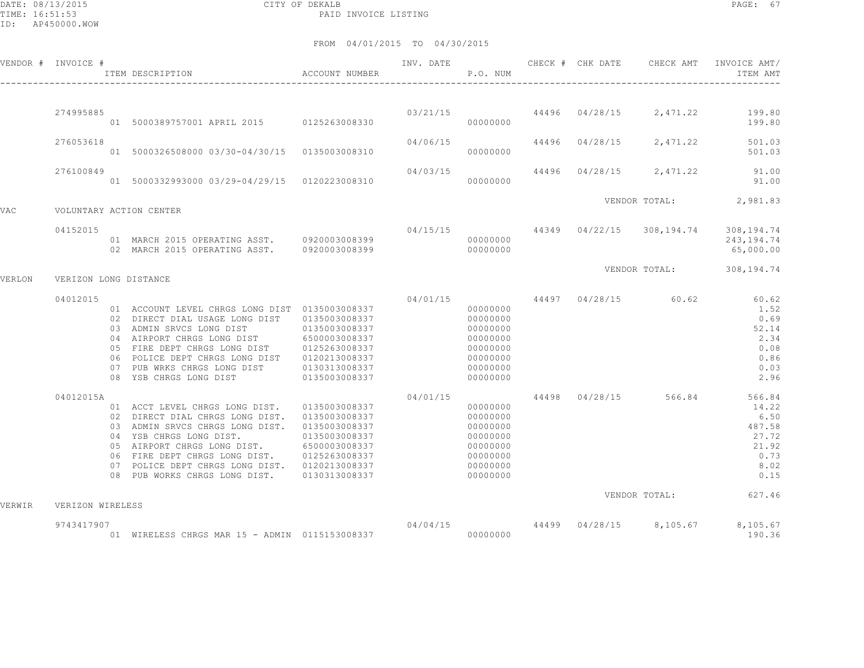DATE: 08/13/2015 CITY OF DEKALB PAGE: 67 PAID INVOICE LISTING

|        | VENDOR # INVOICE #    | ITEM DESCRIPTION                                                                                                                                                                                                                                                                                                                                                      | ACCOUNT NUMBER                 | INV. DATE            | P.O. NUM                                                                                     | CHECK # CHK DATE | CHECK AMT                           | INVOICE AMT/<br>ITEM AMT                                                                          |
|--------|-----------------------|-----------------------------------------------------------------------------------------------------------------------------------------------------------------------------------------------------------------------------------------------------------------------------------------------------------------------------------------------------------------------|--------------------------------|----------------------|----------------------------------------------------------------------------------------------|------------------|-------------------------------------|---------------------------------------------------------------------------------------------------|
|        |                       |                                                                                                                                                                                                                                                                                                                                                                       |                                |                      |                                                                                              |                  |                                     |                                                                                                   |
|        | 274995885             | 01 5000389757001 APRIL 2015 0125263008330                                                                                                                                                                                                                                                                                                                             |                                | 03/21/15             | 00000000                                                                                     |                  |                                     | 44496 04/28/15 2,471.22 199.80<br>199.80                                                          |
|        | 276053618             | 01 5000326508000 03/30-04/30/15 0135003008310                                                                                                                                                                                                                                                                                                                         |                                | 04/06/15             | 00000000                                                                                     |                  |                                     | 44496 04/28/15 2,471.22 501.03<br>501.03                                                          |
|        | 276100849             | 01 5000332993000 03/29-04/29/15 0120223008310                                                                                                                                                                                                                                                                                                                         |                                | 04/03/15<br>00000000 |                                                                                              |                  | 44496 04/28/15 2,471.22             | 91.00<br>91.00                                                                                    |
|        |                       |                                                                                                                                                                                                                                                                                                                                                                       |                                |                      |                                                                                              |                  |                                     | VENDOR TOTAL: 2,981.83                                                                            |
| VAC    |                       | VOLUNTARY ACTION CENTER                                                                                                                                                                                                                                                                                                                                               |                                |                      |                                                                                              |                  |                                     |                                                                                                   |
|        | 04152015              | 01 MARCH 2015 OPERATING ASST. 0920003008399<br>02 MARCH 2015 OPERATING ASST. 0920003008399                                                                                                                                                                                                                                                                            |                                |                      | 00000000<br>00000000                                                                         |                  |                                     | $04/15/15$ $44349$ $04/22/15$ $308,194.74$ $308,194.74$<br>243, 194. 74<br>65,000.00              |
| VERLON | VERIZON LONG DISTANCE |                                                                                                                                                                                                                                                                                                                                                                       |                                |                      |                                                                                              |                  |                                     | VENDOR TOTAL: 308,194.74                                                                          |
|        | 04012015              |                                                                                                                                                                                                                                                                                                                                                                       |                                |                      |                                                                                              |                  | $04/01/15$ $44497$ $04/28/15$ 60.62 | 60.62                                                                                             |
|        |                       | 01 ACCOUNT LEVEL CHRGS LONG DIST 0135003008337<br>02 DIRECT DIAL USAGE LONG DIST 0135003008337<br>03 ADMIN SRVCS LONG DIST 0135003008337<br>04 AIRPORT CHRGS LONG DIST 6500003008337<br>05 FIRE DEPT CHRGS LONG DIST 0125263008337<br>06 POLICE DEPT CHRGS LONG DIST 0120213008337<br>07 PUB WRKS CHRGS LONG DIST<br>08 YSB CHRGS LONG DIST                           | 0130313008337<br>0135003008337 |                      | 00000000<br>00000000<br>00000000<br>00000000<br>00000000<br>00000000<br>00000000<br>00000000 |                  |                                     | 1.52<br>0.69<br>52.14<br>2.34<br>0.08<br>0.86<br>0.03<br>2.96                                     |
|        | 04012015A             | 01 ACCT LEVEL CHRGS LONG DIST. 0135003008337<br>02 DIRECT DIAL CHRGS LONG DIST. 0135003008337<br>03 ADMIN SRVCS CHRGS LONG DIST. 0135003008337<br>04 YSB CHRGS LONG DIST.<br>05 AIRPORT CHRGS LONG DIST. 6500003008337<br>06 FIRE DEPT CHRGS LONG DIST. 0125263008337<br>07 POLICE DEPT CHRGS LONG DIST. 0120213008337<br>08 PUB WORKS CHRGS LONG DIST. 0130313008337 | 0135003008337                  | 04/01/15             | 00000000<br>00000000<br>00000000<br>00000000<br>00000000<br>00000000<br>00000000<br>00000000 |                  |                                     | 44498 04/28/15 566.84 566.84<br>14.22<br>6.50<br>487.58<br>27.72<br>21.92<br>0.73<br>8.02<br>0.15 |
| VERWIR | VERIZON WIRELESS      |                                                                                                                                                                                                                                                                                                                                                                       |                                |                      |                                                                                              |                  |                                     | VENDOR TOTAL: 627.46                                                                              |
|        | 9743417907            | 01 WIRELESS CHRGS MAR 15 - ADMIN 0115153008337                                                                                                                                                                                                                                                                                                                        |                                | 04/04/15             | 00000000                                                                                     | 44499 04/28/15   | 8,105.67                            | 8,105.67<br>190.36                                                                                |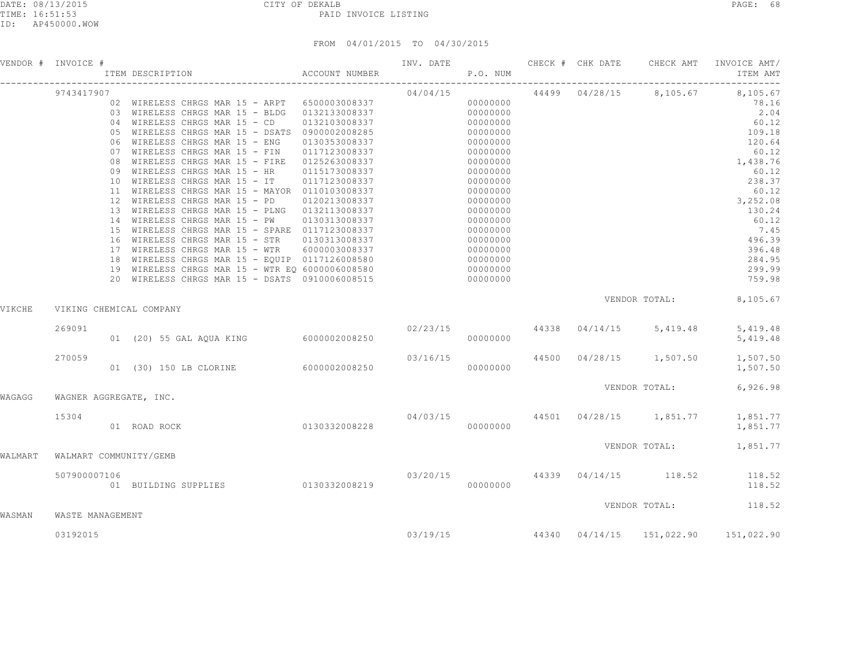|         | VENDOR # INVOICE #      |                                                                                               |               | P.O. NUM |                      |                |                                                                                                                                                                                                                                      | INVOICE AMT/<br>ITEM AMT                                |
|---------|-------------------------|-----------------------------------------------------------------------------------------------|---------------|----------|----------------------|----------------|--------------------------------------------------------------------------------------------------------------------------------------------------------------------------------------------------------------------------------------|---------------------------------------------------------|
|         | 9743417907              | 02 WIRELESS CHRGS MAR 15 - ARPT 6500003008337                                                 |               | 04/04/15 |                      | 44499 04/28/15 | 8,105.67                                                                                                                                                                                                                             | 8,105.67                                                |
|         |                         | 03 WIRELESS CHRGS MAR 15 - BLDG 0132133008337                                                 |               |          | 00000000<br>00000000 |                | VENDOR TOTAL: 8,105.67<br>$02/23/15$ 44338 04/14/15 5,419.48<br>$03/16/15$ 44500 04/28/15 1,507.50<br>VENDOR TOTAL:<br>04/03/15 44501 04/28/15 1,851.77<br>VENDOR TOTAL: 1,851.77<br>$03/20/15$ $44339$ $04/14/15$ $118.52$ $118.52$ | 78.16<br>2.04                                           |
|         |                         |                                                                                               |               |          | 00000000             |                |                                                                                                                                                                                                                                      | 60.12                                                   |
|         |                         | 04 WIRELESS CHRGS MAR 15 - CD 0132103008337<br>05 WIRELESS CHRGS MAR 15 - DSATS 0900002008285 |               |          | 00000000             |                |                                                                                                                                                                                                                                      | 109.18                                                  |
|         |                         | 06 WIRELESS CHRGS MAR 15 - ENG                                                                | 0130353008337 |          | 00000000             |                | INV. DATE <b>CHECK # CHK DATE</b> CHECK AMT                                                                                                                                                                                          | 120.64                                                  |
|         |                         | 07 WIRELESS CHRGS MAR 15 - FIN 0117123008337                                                  |               |          | 00000000             |                |                                                                                                                                                                                                                                      | 60.12                                                   |
|         |                         | 08 WIRELESS CHRGS MAR 15 - FIRE 0125263008337                                                 |               |          | 00000000             |                |                                                                                                                                                                                                                                      | 1,438.76                                                |
|         |                         | 09 WIRELESS CHRGS MAR 15 - HR                                                                 | 0115173008337 |          | 00000000             |                |                                                                                                                                                                                                                                      | 60.12                                                   |
|         |                         | 10 WIRELESS CHRGS MAR 15 - IT<br>11 WIRELESS CHRGS MAR 15 - MAYOR 0110103008337               | 0117123008337 |          | 00000000             |                |                                                                                                                                                                                                                                      | 238.37<br>60.12                                         |
|         |                         | 12 WIRELESS CHRGS MAR 15 - PD 0120213008337                                                   |               |          | 00000000<br>00000000 |                |                                                                                                                                                                                                                                      | 3,252.08                                                |
|         |                         | 13 WIRELESS CHRGS MAR 15 - PLNG 0132113008337                                                 |               |          | 00000000             |                |                                                                                                                                                                                                                                      | 130.24                                                  |
|         |                         | 14 WIRELESS CHRGS MAR 15 - PW 0130313008337                                                   |               |          | 00000000             |                |                                                                                                                                                                                                                                      | 60.12                                                   |
|         |                         | 15 WIRELESS CHRGS MAR 15 - SPARE 0117123008337                                                |               |          | 00000000             |                |                                                                                                                                                                                                                                      | 7.45                                                    |
|         |                         | 16 WIRELESS CHRGS MAR 15 - STR 0130313008337                                                  |               |          | 00000000             |                |                                                                                                                                                                                                                                      | 496.39                                                  |
|         |                         | 17 WIRELESS CHRGS MAR 15 - WTR    6000003008337                                               |               |          | 00000000             |                |                                                                                                                                                                                                                                      | 396.48                                                  |
|         |                         | 18 WIRELESS CHRGS MAR 15 - EQUIP 0117126008580                                                |               |          | 00000000             |                |                                                                                                                                                                                                                                      | 284.95                                                  |
|         |                         | 19 WIRELESS CHRGS MAR 15 - WTR EQ 6000006008580                                               |               |          | 00000000             |                |                                                                                                                                                                                                                                      | 299.99                                                  |
|         |                         |                                                                                               |               |          |                      |                |                                                                                                                                                                                                                                      | 759.98                                                  |
| VIKCHE  | VIKING CHEMICAL COMPANY |                                                                                               |               |          |                      |                |                                                                                                                                                                                                                                      |                                                         |
|         | 269091                  |                                                                                               |               |          |                      |                |                                                                                                                                                                                                                                      | 5,419.48                                                |
|         |                         | 01 (20) 55 GAL AQUA KING 6000002008250                                                        |               |          | 00000000             |                |                                                                                                                                                                                                                                      | 5,419.48                                                |
|         | 270059                  |                                                                                               |               |          |                      |                |                                                                                                                                                                                                                                      | 1,507.50                                                |
|         |                         | 01 (30) 150 LB CLORINE 6000002008250                                                          |               |          | 00000000             |                |                                                                                                                                                                                                                                      | 1,507.50                                                |
| WAGAGG  | WAGNER AGGREGATE, INC.  |                                                                                               |               |          |                      |                |                                                                                                                                                                                                                                      | 6,926.98                                                |
|         |                         |                                                                                               |               |          |                      |                |                                                                                                                                                                                                                                      |                                                         |
|         | 15304                   | $04/03/15$<br>0130332008228 00000000<br>01 ROAD ROCK                                          |               |          |                      |                |                                                                                                                                                                                                                                      | 1,851.77<br>1,851.77                                    |
| WALMART | WALMART COMMUNITY/GEMB  |                                                                                               |               |          |                      |                |                                                                                                                                                                                                                                      |                                                         |
|         |                         |                                                                                               |               |          |                      |                |                                                                                                                                                                                                                                      |                                                         |
|         | 507900007106            | 01 BUILDING SUPPLIES 0130332008219                                                            |               |          | 00000000             |                |                                                                                                                                                                                                                                      | 118.52                                                  |
|         |                         |                                                                                               |               |          |                      |                |                                                                                                                                                                                                                                      | VENDOR TOTAL: 118.52                                    |
| WASMAN  | WASTE MANAGEMENT        |                                                                                               |               |          |                      |                |                                                                                                                                                                                                                                      |                                                         |
|         | 03192015                |                                                                                               |               |          |                      |                |                                                                                                                                                                                                                                      | $03/19/15$ $44340$ $04/14/15$ $151,022.90$ $151,022.90$ |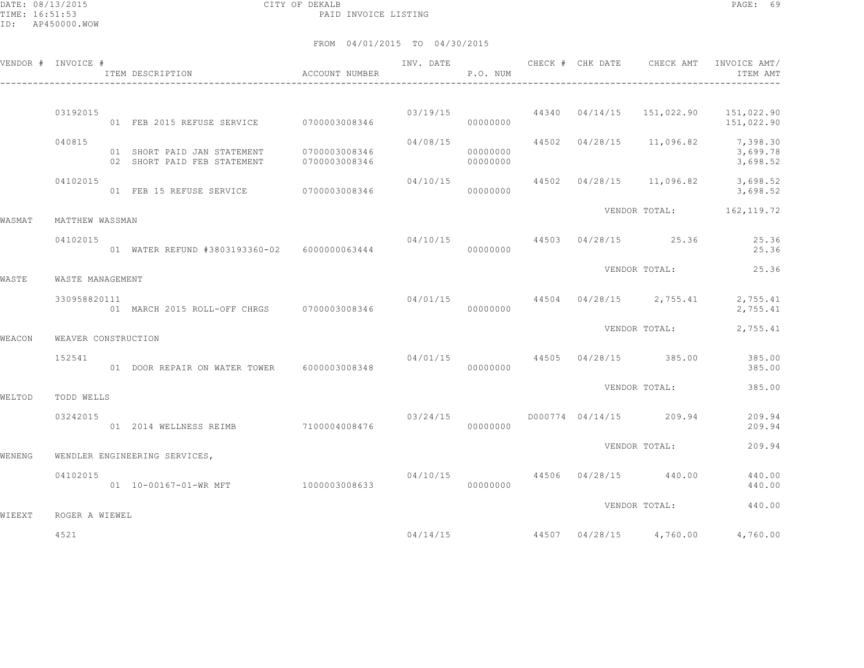DATE: 08/13/2015 CITY OF DEKALB PAGE: 69 PAID INVOICE LISTING

|        | VENDOR # INVOICE #  | ITEM DESCRIPTION                                                                                              | ACCOUNT NUMBER                 | INV. DATE | P.O. NUM             | CHECK # CHK DATE |                                          | CHECK AMT INVOICE AMT/<br>ITEM AMT                         |
|--------|---------------------|---------------------------------------------------------------------------------------------------------------|--------------------------------|-----------|----------------------|------------------|------------------------------------------|------------------------------------------------------------|
|        |                     |                                                                                                               |                                |           |                      |                  |                                          |                                                            |
|        | 03192015            | 01 FEB 2015 REFUSE SERVICE 0700003008346                                                                      |                                | 03/19/15  | 00000000             |                  |                                          | $44340$ $04/14/15$ $151,022.90$ $151,022.90$<br>151,022.90 |
|        | 040815              | 01 SHORT PAID JAN STATEMENT<br>02 SHORT PAID FEB STATEMENT                                                    | 0700003008346<br>0700003008346 | 04/08/15  | 00000000<br>00000000 |                  | 44502 04/28/15 11,096.82 7,398.30        | 3,699.78<br>3,698.52                                       |
|        | 04102015            | 01 FEB 15 REFUSE SERVICE 0700003008346                                                                        |                                | 04/10/15  | 00000000             |                  |                                          | 44502 04/28/15 11,096.82 3,698.52<br>3,698.52              |
| WASMAT | MATTHEW WASSMAN     | VENDOR TOTAL: 162, 119.72<br>04/10/15 44503 04/28/15 25.36<br>01 WATER REFUND #3803193360-02    6000000063444 |                                |           |                      |                  |                                          |                                                            |
|        | 04102015            |                                                                                                               |                                |           | 00000000             |                  |                                          | 25.36<br>25.36                                             |
| WASTE  | WASTE MANAGEMENT    |                                                                                                               |                                |           |                      |                  | VENDOR TOTAL:                            | 25.36                                                      |
|        | 330958820111        | 01 MARCH 2015 ROLL-OFF CHRGS 0700003008346                                                                    |                                | 04/01/15  | 00000000             |                  | 44504 04/28/15 2,755.41                  | 2,755.41<br>2,755.41                                       |
| WEACON | WEAVER CONSTRUCTION |                                                                                                               |                                |           |                      |                  | VENDOR TOTAL:                            | 2,755.41                                                   |
|        | 152541              | 01 DOOR REPAIR ON WATER TOWER 6000003008348                                                                   |                                | 04/01/15  | 00000000             |                  | 44505 04/28/15 385.00                    | 385.00<br>385.00                                           |
| WELTOD | TODD WELLS          |                                                                                                               |                                |           |                      |                  | VENDOR TOTAL:                            | 385.00                                                     |
|        | 03242015            | 01  2014 WELLNESS REIMB  7100004008476                                                                        |                                | 03/24/15  | 00000000             |                  | D000774 04/14/15 209.94                  | 209.94<br>209.94                                           |
| WENENG |                     | WENDLER ENGINEERING SERVICES,                                                                                 |                                |           |                      |                  | VENDOR TOTAL:                            | 209.94                                                     |
|        | 04102015            | 01  10-00167-01-WR MFT  1000003008633                                                                         |                                |           | 00000000             |                  | $04/10/15$ $44506$ $04/28/15$ $440.00$   | 440.00<br>440.00                                           |
| WIEEXT | ROGER A WIEWEL      |                                                                                                               |                                |           |                      |                  | VENDOR TOTAL:                            | 440.00                                                     |
|        | 4521                |                                                                                                               |                                |           |                      |                  | $04/14/15$ $44507$ $04/28/15$ $4,760.00$ | 4,760.00                                                   |